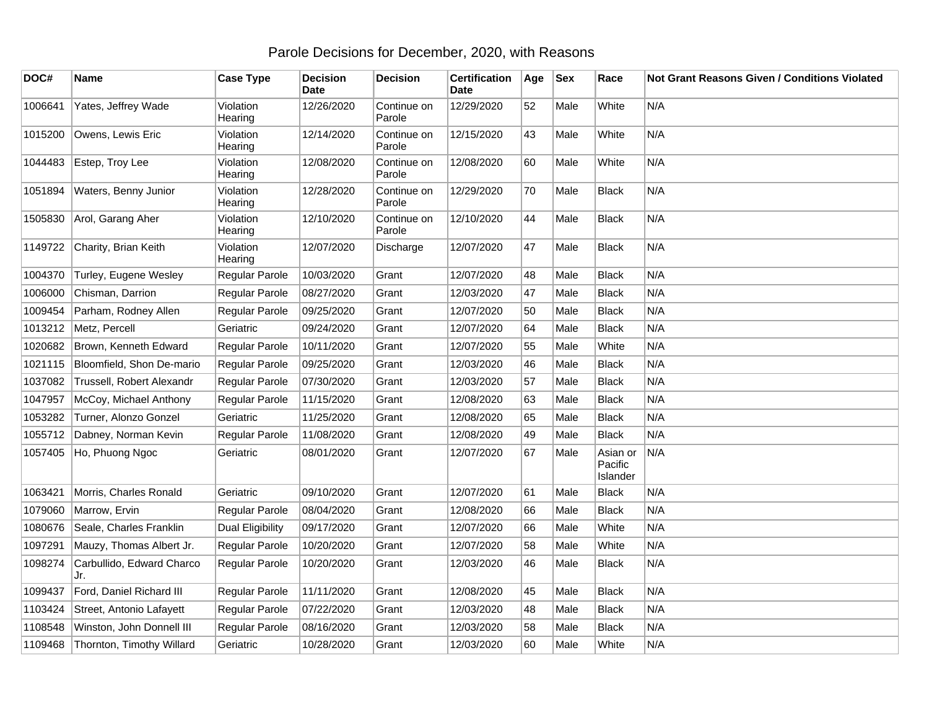## Parole Decisions for December, 2020, with Reasons

| DOC#    | Name                             | <b>Case Type</b>        | <b>Decision</b><br><b>Date</b> | <b>Decision</b>       | <b>Certification</b><br>Date | Age | <b>Sex</b> | Race                            | Not Grant Reasons Given / Conditions Violated |
|---------|----------------------------------|-------------------------|--------------------------------|-----------------------|------------------------------|-----|------------|---------------------------------|-----------------------------------------------|
| 1006641 | Yates, Jeffrey Wade              | Violation<br>Hearing    | 12/26/2020                     | Continue on<br>Parole | 12/29/2020                   | 52  | Male       | White                           | N/A                                           |
| 1015200 | Owens, Lewis Eric                | Violation<br>Hearing    | 12/14/2020                     | Continue on<br>Parole | 12/15/2020                   | 43  | Male       | White                           | N/A                                           |
| 1044483 | Estep, Troy Lee                  | Violation<br>Hearing    | 12/08/2020                     | Continue on<br>Parole | 12/08/2020                   | 60  | Male       | White                           | N/A                                           |
| 1051894 | Waters, Benny Junior             | Violation<br>Hearing    | 12/28/2020                     | Continue on<br>Parole | 12/29/2020                   | 70  | Male       | <b>Black</b>                    | N/A                                           |
| 1505830 | Arol, Garang Aher                | Violation<br>Hearing    | 12/10/2020                     | Continue on<br>Parole | 12/10/2020                   | 44  | Male       | <b>Black</b>                    | N/A                                           |
| 1149722 | Charity, Brian Keith             | Violation<br>Hearing    | 12/07/2020                     | Discharge             | 12/07/2020                   | 47  | Male       | <b>Black</b>                    | N/A                                           |
| 1004370 | Turley, Eugene Wesley            | Regular Parole          | 10/03/2020                     | Grant                 | 12/07/2020                   | 48  | Male       | <b>Black</b>                    | N/A                                           |
| 1006000 | Chisman, Darrion                 | Regular Parole          | 08/27/2020                     | Grant                 | 12/03/2020                   | 47  | Male       | <b>Black</b>                    | N/A                                           |
| 1009454 | Parham, Rodney Allen             | Regular Parole          | 09/25/2020                     | Grant                 | 12/07/2020                   | 50  | Male       | <b>Black</b>                    | N/A                                           |
| 1013212 | Metz, Percell                    | Geriatric               | 09/24/2020                     | Grant                 | 12/07/2020                   | 64  | Male       | <b>Black</b>                    | N/A                                           |
| 1020682 | Brown, Kenneth Edward            | Regular Parole          | 10/11/2020                     | Grant                 | 12/07/2020                   | 55  | Male       | White                           | N/A                                           |
| 1021115 | Bloomfield, Shon De-mario        | Regular Parole          | 09/25/2020                     | Grant                 | 12/03/2020                   | 46  | Male       | <b>Black</b>                    | N/A                                           |
| 1037082 | Trussell, Robert Alexandr        | Regular Parole          | 07/30/2020                     | Grant                 | 12/03/2020                   | 57  | Male       | <b>Black</b>                    | N/A                                           |
| 1047957 | McCoy, Michael Anthony           | Regular Parole          | 11/15/2020                     | Grant                 | 12/08/2020                   | 63  | Male       | <b>Black</b>                    | N/A                                           |
| 1053282 | Turner, Alonzo Gonzel            | Geriatric               | 11/25/2020                     | Grant                 | 12/08/2020                   | 65  | Male       | <b>Black</b>                    | N/A                                           |
| 1055712 | Dabney, Norman Kevin             | Regular Parole          | 11/08/2020                     | Grant                 | 12/08/2020                   | 49  | Male       | <b>Black</b>                    | N/A                                           |
| 1057405 | Ho, Phuong Ngoc                  | Geriatric               | 08/01/2020                     | Grant                 | 12/07/2020                   | 67  | Male       | Asian or<br>Pacific<br>Islander | N/A                                           |
| 1063421 | Morris, Charles Ronald           | Geriatric               | 09/10/2020                     | Grant                 | 12/07/2020                   | 61  | Male       | <b>Black</b>                    | N/A                                           |
| 1079060 | Marrow, Ervin                    | Regular Parole          | 08/04/2020                     | Grant                 | 12/08/2020                   | 66  | Male       | <b>Black</b>                    | N/A                                           |
| 1080676 | Seale, Charles Franklin          | <b>Dual Eligibility</b> | 09/17/2020                     | Grant                 | 12/07/2020                   | 66  | Male       | White                           | N/A                                           |
| 1097291 | Mauzy, Thomas Albert Jr.         | Regular Parole          | 10/20/2020                     | Grant                 | 12/07/2020                   | 58  | Male       | White                           | N/A                                           |
| 1098274 | Carbullido, Edward Charco<br>Jr. | Regular Parole          | 10/20/2020                     | Grant                 | 12/03/2020                   | 46  | Male       | <b>Black</b>                    | N/A                                           |
| 1099437 | Ford, Daniel Richard III         | Regular Parole          | 11/11/2020                     | Grant                 | 12/08/2020                   | 45  | Male       | <b>Black</b>                    | N/A                                           |
| 1103424 | Street, Antonio Lafayett         | Regular Parole          | 07/22/2020                     | Grant                 | 12/03/2020                   | 48  | Male       | <b>Black</b>                    | N/A                                           |
| 1108548 | Winston, John Donnell III        | Regular Parole          | 08/16/2020                     | Grant                 | 12/03/2020                   | 58  | Male       | <b>Black</b>                    | N/A                                           |
| 1109468 | Thornton, Timothy Willard        | Geriatric               | 10/28/2020                     | Grant                 | 12/03/2020                   | 60  | Male       | White                           | N/A                                           |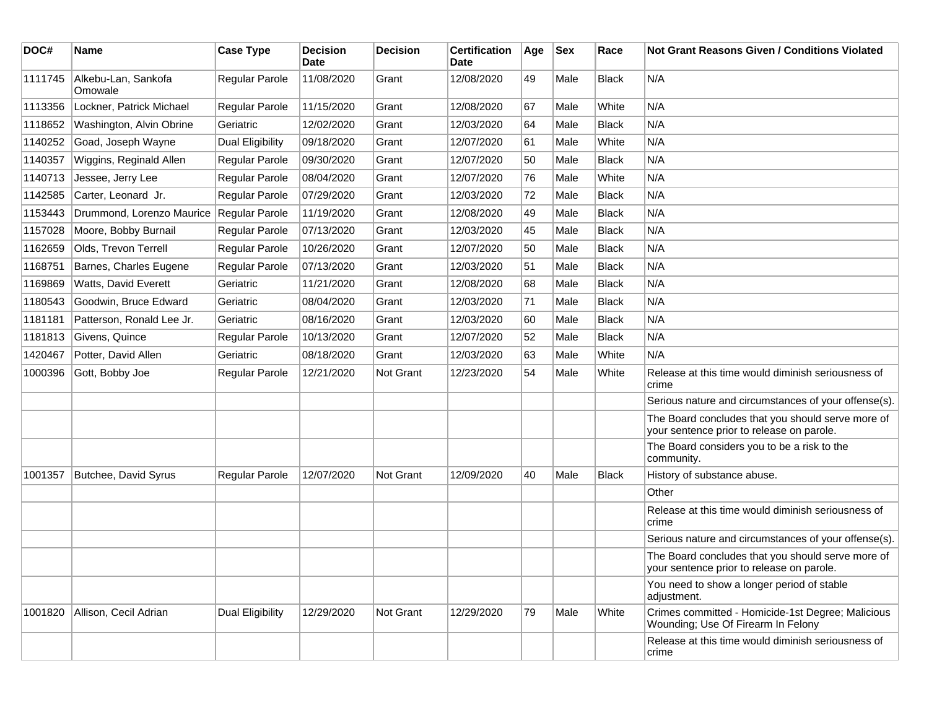| DOC#    | Name                           | <b>Case Type</b>        | <b>Decision</b><br><b>Date</b> | <b>Decision</b> | <b>Certification</b><br>Date | Age | <b>Sex</b> | Race         | <b>Not Grant Reasons Given / Conditions Violated</b>                                           |
|---------|--------------------------------|-------------------------|--------------------------------|-----------------|------------------------------|-----|------------|--------------|------------------------------------------------------------------------------------------------|
| 1111745 | Alkebu-Lan, Sankofa<br>Omowale | Regular Parole          | 11/08/2020                     | Grant           | 12/08/2020                   | 49  | Male       | <b>Black</b> | N/A                                                                                            |
| 1113356 | Lockner, Patrick Michael       | <b>Regular Parole</b>   | 11/15/2020                     | Grant           | 12/08/2020                   | 67  | Male       | White        | N/A                                                                                            |
| 1118652 | Washington, Alvin Obrine       | Geriatric               | 12/02/2020                     | Grant           | 12/03/2020                   | 64  | Male       | <b>Black</b> | N/A                                                                                            |
| 1140252 | Goad, Joseph Wayne             | Dual Eligibility        | 09/18/2020                     | Grant           | 12/07/2020                   | 61  | Male       | White        | N/A                                                                                            |
| 1140357 | Wiggins, Reginald Allen        | <b>Regular Parole</b>   | 09/30/2020                     | Grant           | 12/07/2020                   | 50  | Male       | <b>Black</b> | N/A                                                                                            |
| 1140713 | Jessee, Jerry Lee              | Regular Parole          | 08/04/2020                     | Grant           | 12/07/2020                   | 76  | Male       | White        | N/A                                                                                            |
| 1142585 | Carter, Leonard Jr.            | Regular Parole          | 07/29/2020                     | Grant           | 12/03/2020                   | 72  | Male       | <b>Black</b> | N/A                                                                                            |
| 1153443 | Drummond, Lorenzo Maurice      | Regular Parole          | 11/19/2020                     | Grant           | 12/08/2020                   | 49  | Male       | <b>Black</b> | N/A                                                                                            |
| 1157028 | Moore, Bobby Burnail           | Regular Parole          | 07/13/2020                     | Grant           | 12/03/2020                   | 45  | Male       | <b>Black</b> | N/A                                                                                            |
| 1162659 | Olds, Trevon Terrell           | Regular Parole          | 10/26/2020                     | Grant           | 12/07/2020                   | 50  | Male       | <b>Black</b> | N/A                                                                                            |
| 1168751 | Barnes, Charles Eugene         | Regular Parole          | 07/13/2020                     | Grant           | 12/03/2020                   | 51  | Male       | <b>Black</b> | N/A                                                                                            |
| 1169869 | Watts, David Everett           | Geriatric               | 11/21/2020                     | Grant           | 12/08/2020                   | 68  | Male       | <b>Black</b> | N/A                                                                                            |
| 1180543 | Goodwin, Bruce Edward          | Geriatric               | 08/04/2020                     | Grant           | 12/03/2020                   | 71  | Male       | <b>Black</b> | N/A                                                                                            |
| 1181181 | Patterson, Ronald Lee Jr.      | Geriatric               | 08/16/2020                     | Grant           | 12/03/2020                   | 60  | Male       | <b>Black</b> | N/A                                                                                            |
| 1181813 | Givens, Quince                 | <b>Regular Parole</b>   | 10/13/2020                     | Grant           | 12/07/2020                   | 52  | Male       | <b>Black</b> | N/A                                                                                            |
| 1420467 | Potter, David Allen            | Geriatric               | 08/18/2020                     | Grant           | 12/03/2020                   | 63  | Male       | White        | N/A                                                                                            |
| 1000396 | Gott, Bobby Joe                | Regular Parole          | 12/21/2020                     | Not Grant       | 12/23/2020                   | 54  | Male       | White        | Release at this time would diminish seriousness of<br>crime                                    |
|         |                                |                         |                                |                 |                              |     |            |              | Serious nature and circumstances of your offense(s).                                           |
|         |                                |                         |                                |                 |                              |     |            |              | The Board concludes that you should serve more of<br>your sentence prior to release on parole. |
|         |                                |                         |                                |                 |                              |     |            |              | The Board considers you to be a risk to the<br>community.                                      |
| 1001357 | Butchee, David Syrus           | <b>Regular Parole</b>   | 12/07/2020                     | Not Grant       | 12/09/2020                   | 40  | Male       | <b>Black</b> | History of substance abuse.                                                                    |
|         |                                |                         |                                |                 |                              |     |            |              | Other                                                                                          |
|         |                                |                         |                                |                 |                              |     |            |              | Release at this time would diminish seriousness of<br>crime                                    |
|         |                                |                         |                                |                 |                              |     |            |              | Serious nature and circumstances of your offense(s).                                           |
|         |                                |                         |                                |                 |                              |     |            |              | The Board concludes that you should serve more of<br>your sentence prior to release on parole. |
|         |                                |                         |                                |                 |                              |     |            |              | You need to show a longer period of stable<br>adjustment.                                      |
| 1001820 | Allison, Cecil Adrian          | <b>Dual Eligibility</b> | 12/29/2020                     | Not Grant       | 12/29/2020                   | 79  | Male       | White        | Crimes committed - Homicide-1st Degree; Malicious<br>Wounding; Use Of Firearm In Felony        |
|         |                                |                         |                                |                 |                              |     |            |              | Release at this time would diminish seriousness of<br>crime                                    |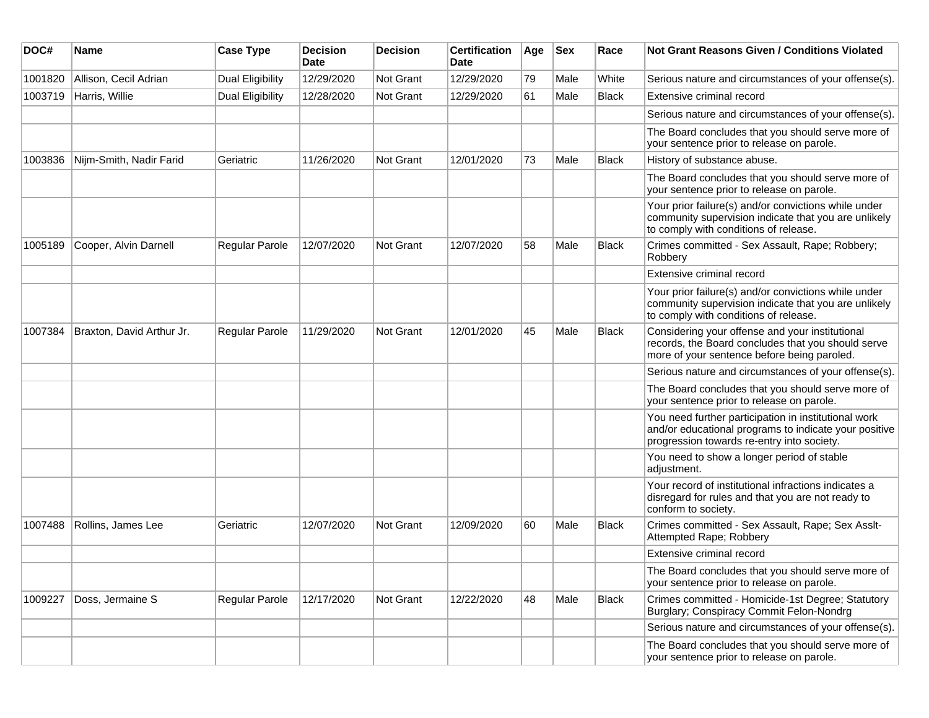| DOC#    | <b>Name</b>               | <b>Case Type</b>        | <b>Decision</b><br>Date | <b>Decision</b>  | <b>Certification</b><br>Date | Age | <b>Sex</b> | Race         | <b>Not Grant Reasons Given / Conditions Violated</b>                                                                                                        |
|---------|---------------------------|-------------------------|-------------------------|------------------|------------------------------|-----|------------|--------------|-------------------------------------------------------------------------------------------------------------------------------------------------------------|
| 1001820 | Allison, Cecil Adrian     | Dual Eligibility        | 12/29/2020              | Not Grant        | 12/29/2020                   | 79  | Male       | White        | Serious nature and circumstances of your offense(s).                                                                                                        |
| 1003719 | Harris, Willie            | <b>Dual Eligibility</b> | 12/28/2020              | <b>Not Grant</b> | 12/29/2020                   | 61  | Male       | <b>Black</b> | Extensive criminal record                                                                                                                                   |
|         |                           |                         |                         |                  |                              |     |            |              | Serious nature and circumstances of your offense(s).                                                                                                        |
|         |                           |                         |                         |                  |                              |     |            |              | The Board concludes that you should serve more of<br>your sentence prior to release on parole.                                                              |
| 1003836 | Nijm-Smith, Nadir Farid   | Geriatric               | 11/26/2020              | Not Grant        | 12/01/2020                   | 73  | Male       | <b>Black</b> | History of substance abuse.                                                                                                                                 |
|         |                           |                         |                         |                  |                              |     |            |              | The Board concludes that you should serve more of<br>your sentence prior to release on parole.                                                              |
|         |                           |                         |                         |                  |                              |     |            |              | Your prior failure(s) and/or convictions while under<br>community supervision indicate that you are unlikely<br>to comply with conditions of release.       |
| 1005189 | Cooper, Alvin Darnell     | Regular Parole          | 12/07/2020              | Not Grant        | 12/07/2020                   | 58  | Male       | <b>Black</b> | Crimes committed - Sex Assault, Rape; Robbery;<br>Robbery                                                                                                   |
|         |                           |                         |                         |                  |                              |     |            |              | Extensive criminal record                                                                                                                                   |
|         |                           |                         |                         |                  |                              |     |            |              | Your prior failure(s) and/or convictions while under<br>community supervision indicate that you are unlikely<br>to comply with conditions of release.       |
| 1007384 | Braxton, David Arthur Jr. | <b>Regular Parole</b>   | 11/29/2020              | Not Grant        | 12/01/2020                   | 45  | Male       | <b>Black</b> | Considering your offense and your institutional<br>records, the Board concludes that you should serve<br>more of your sentence before being paroled.        |
|         |                           |                         |                         |                  |                              |     |            |              | Serious nature and circumstances of your offense(s).                                                                                                        |
|         |                           |                         |                         |                  |                              |     |            |              | The Board concludes that you should serve more of<br>your sentence prior to release on parole.                                                              |
|         |                           |                         |                         |                  |                              |     |            |              | You need further participation in institutional work<br>and/or educational programs to indicate your positive<br>progression towards re-entry into society. |
|         |                           |                         |                         |                  |                              |     |            |              | You need to show a longer period of stable<br>adjustment.                                                                                                   |
|         |                           |                         |                         |                  |                              |     |            |              | Your record of institutional infractions indicates a<br>disregard for rules and that you are not ready to<br>conform to society.                            |
| 1007488 | Rollins, James Lee        | Geriatric               | 12/07/2020              | Not Grant        | 12/09/2020                   | 60  | Male       | <b>Black</b> | Crimes committed - Sex Assault, Rape; Sex Asslt-<br>Attempted Rape; Robbery                                                                                 |
|         |                           |                         |                         |                  |                              |     |            |              | Extensive criminal record                                                                                                                                   |
|         |                           |                         |                         |                  |                              |     |            |              | The Board concludes that you should serve more of<br>your sentence prior to release on parole.                                                              |
| 1009227 | Doss, Jermaine S          | Regular Parole          | 12/17/2020              | Not Grant        | 12/22/2020                   | 48  | Male       | <b>Black</b> | Crimes committed - Homicide-1st Degree; Statutory<br>Burglary; Conspiracy Commit Felon-Nondrg                                                               |
|         |                           |                         |                         |                  |                              |     |            |              | Serious nature and circumstances of your offense(s).                                                                                                        |
|         |                           |                         |                         |                  |                              |     |            |              | The Board concludes that you should serve more of<br>your sentence prior to release on parole.                                                              |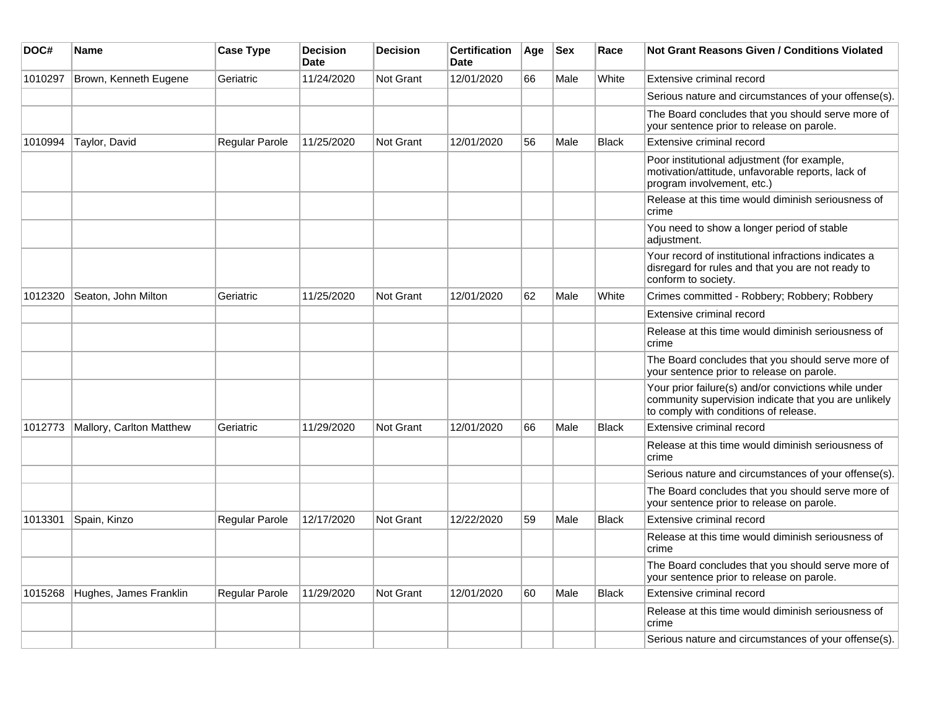| DOC#    | Name                     | <b>Case Type</b>      | <b>Decision</b><br><b>Date</b> | <b>Decision</b>  | <b>Certification</b><br>Date | Age | <b>Sex</b> | Race         | Not Grant Reasons Given / Conditions Violated                                                                                                         |
|---------|--------------------------|-----------------------|--------------------------------|------------------|------------------------------|-----|------------|--------------|-------------------------------------------------------------------------------------------------------------------------------------------------------|
| 1010297 | Brown, Kenneth Eugene    | Geriatric             | 11/24/2020                     | Not Grant        | 12/01/2020                   | 66  | Male       | White        | Extensive criminal record                                                                                                                             |
|         |                          |                       |                                |                  |                              |     |            |              | Serious nature and circumstances of your offense(s).                                                                                                  |
|         |                          |                       |                                |                  |                              |     |            |              | The Board concludes that you should serve more of<br>your sentence prior to release on parole.                                                        |
| 1010994 | Taylor, David            | Regular Parole        | 11/25/2020                     | Not Grant        | 12/01/2020                   | 56  | Male       | <b>Black</b> | Extensive criminal record                                                                                                                             |
|         |                          |                       |                                |                  |                              |     |            |              | Poor institutional adjustment (for example,<br>motivation/attitude, unfavorable reports, lack of<br>program involvement, etc.)                        |
|         |                          |                       |                                |                  |                              |     |            |              | Release at this time would diminish seriousness of<br>crime                                                                                           |
|         |                          |                       |                                |                  |                              |     |            |              | You need to show a longer period of stable<br>adjustment.                                                                                             |
|         |                          |                       |                                |                  |                              |     |            |              | Your record of institutional infractions indicates a<br>disregard for rules and that you are not ready to<br>conform to society.                      |
| 1012320 | Seaton, John Milton      | Geriatric             | 11/25/2020                     | Not Grant        | 12/01/2020                   | 62  | Male       | White        | Crimes committed - Robbery; Robbery; Robbery                                                                                                          |
|         |                          |                       |                                |                  |                              |     |            |              | Extensive criminal record                                                                                                                             |
|         |                          |                       |                                |                  |                              |     |            |              | Release at this time would diminish seriousness of<br>crime                                                                                           |
|         |                          |                       |                                |                  |                              |     |            |              | The Board concludes that you should serve more of<br>your sentence prior to release on parole.                                                        |
|         |                          |                       |                                |                  |                              |     |            |              | Your prior failure(s) and/or convictions while under<br>community supervision indicate that you are unlikely<br>to comply with conditions of release. |
| 1012773 | Mallory, Carlton Matthew | Geriatric             | 11/29/2020                     | Not Grant        | 12/01/2020                   | 66  | Male       | <b>Black</b> | Extensive criminal record                                                                                                                             |
|         |                          |                       |                                |                  |                              |     |            |              | Release at this time would diminish seriousness of<br>crime                                                                                           |
|         |                          |                       |                                |                  |                              |     |            |              | Serious nature and circumstances of your offense(s).                                                                                                  |
|         |                          |                       |                                |                  |                              |     |            |              | The Board concludes that you should serve more of<br>your sentence prior to release on parole.                                                        |
| 1013301 | Spain, Kinzo             | Regular Parole        | 12/17/2020                     | <b>Not Grant</b> | 12/22/2020                   | 59  | Male       | <b>Black</b> | Extensive criminal record                                                                                                                             |
|         |                          |                       |                                |                  |                              |     |            |              | Release at this time would diminish seriousness of<br>crime                                                                                           |
|         |                          |                       |                                |                  |                              |     |            |              | The Board concludes that you should serve more of<br>your sentence prior to release on parole.                                                        |
| 1015268 | Hughes, James Franklin   | <b>Regular Parole</b> | 11/29/2020                     | Not Grant        | 12/01/2020                   | 60  | Male       | <b>Black</b> | Extensive criminal record                                                                                                                             |
|         |                          |                       |                                |                  |                              |     |            |              | Release at this time would diminish seriousness of<br>crime                                                                                           |
|         |                          |                       |                                |                  |                              |     |            |              | Serious nature and circumstances of your offense(s).                                                                                                  |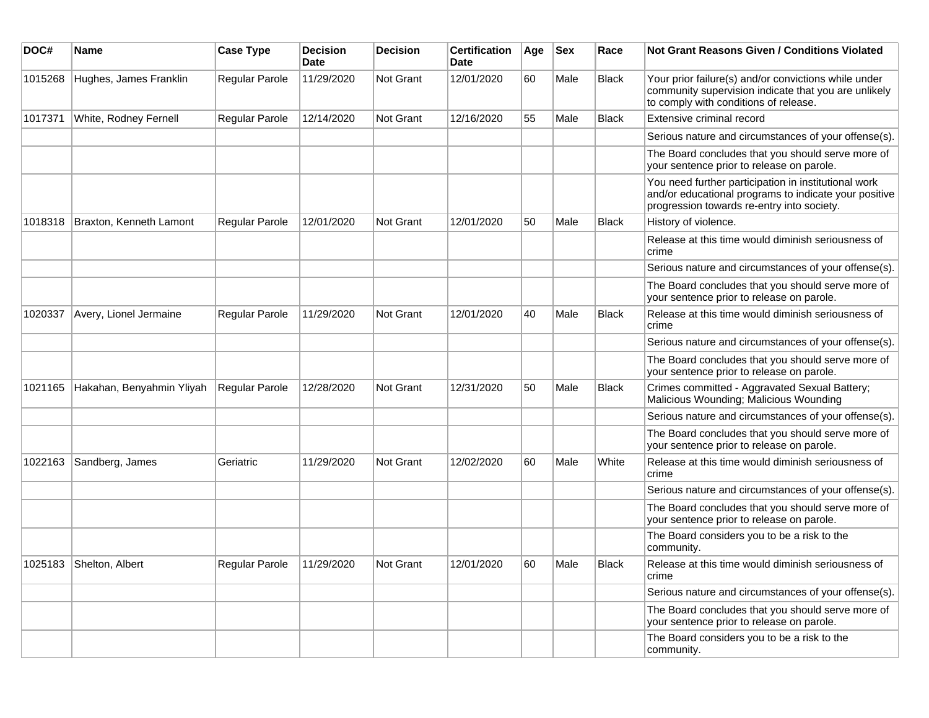| DOC#    | Name                      | <b>Case Type</b>      | <b>Decision</b><br><b>Date</b> | <b>Decision</b> | <b>Certification</b><br>Date | Age | <b>Sex</b> | Race         | Not Grant Reasons Given / Conditions Violated                                                                                                               |
|---------|---------------------------|-----------------------|--------------------------------|-----------------|------------------------------|-----|------------|--------------|-------------------------------------------------------------------------------------------------------------------------------------------------------------|
| 1015268 | Hughes, James Franklin    | Regular Parole        | 11/29/2020                     | Not Grant       | 12/01/2020                   | 60  | Male       | <b>Black</b> | Your prior failure(s) and/or convictions while under<br>community supervision indicate that you are unlikely<br>to comply with conditions of release.       |
| 1017371 | White, Rodney Fernell     | Regular Parole        | 12/14/2020                     | Not Grant       | 12/16/2020                   | 55  | Male       | <b>Black</b> | Extensive criminal record                                                                                                                                   |
|         |                           |                       |                                |                 |                              |     |            |              | Serious nature and circumstances of your offense(s).                                                                                                        |
|         |                           |                       |                                |                 |                              |     |            |              | The Board concludes that you should serve more of<br>your sentence prior to release on parole.                                                              |
|         |                           |                       |                                |                 |                              |     |            |              | You need further participation in institutional work<br>and/or educational programs to indicate your positive<br>progression towards re-entry into society. |
| 1018318 | Braxton, Kenneth Lamont   | Regular Parole        | 12/01/2020                     | Not Grant       | 12/01/2020                   | 50  | Male       | <b>Black</b> | History of violence.                                                                                                                                        |
|         |                           |                       |                                |                 |                              |     |            |              | Release at this time would diminish seriousness of<br>crime                                                                                                 |
|         |                           |                       |                                |                 |                              |     |            |              | Serious nature and circumstances of your offense(s).                                                                                                        |
|         |                           |                       |                                |                 |                              |     |            |              | The Board concludes that you should serve more of<br>your sentence prior to release on parole.                                                              |
| 1020337 | Avery, Lionel Jermaine    | <b>Regular Parole</b> | 11/29/2020                     | Not Grant       | 12/01/2020                   | 40  | Male       | <b>Black</b> | Release at this time would diminish seriousness of<br>crime                                                                                                 |
|         |                           |                       |                                |                 |                              |     |            |              | Serious nature and circumstances of your offense(s).                                                                                                        |
|         |                           |                       |                                |                 |                              |     |            |              | The Board concludes that you should serve more of<br>your sentence prior to release on parole.                                                              |
| 1021165 | Hakahan, Benyahmin Yliyah | Regular Parole        | 12/28/2020                     | Not Grant       | 12/31/2020                   | 50  | Male       | <b>Black</b> | Crimes committed - Aggravated Sexual Battery;<br>Malicious Wounding; Malicious Wounding                                                                     |
|         |                           |                       |                                |                 |                              |     |            |              | Serious nature and circumstances of your offense(s).                                                                                                        |
|         |                           |                       |                                |                 |                              |     |            |              | The Board concludes that you should serve more of<br>your sentence prior to release on parole.                                                              |
| 1022163 | Sandberg, James           | Geriatric             | 11/29/2020                     | Not Grant       | 12/02/2020                   | 60  | Male       | White        | Release at this time would diminish seriousness of<br>crime                                                                                                 |
|         |                           |                       |                                |                 |                              |     |            |              | Serious nature and circumstances of your offense(s).                                                                                                        |
|         |                           |                       |                                |                 |                              |     |            |              | The Board concludes that you should serve more of<br>your sentence prior to release on parole.                                                              |
|         |                           |                       |                                |                 |                              |     |            |              | The Board considers you to be a risk to the<br>community.                                                                                                   |
|         | 1025183 Shelton, Albert   | Regular Parole        | 11/29/2020                     | Not Grant       | 12/01/2020                   | 60  | Male       | Black        | Release at this time would diminish seriousness of<br>crime                                                                                                 |
|         |                           |                       |                                |                 |                              |     |            |              | Serious nature and circumstances of your offense(s).                                                                                                        |
|         |                           |                       |                                |                 |                              |     |            |              | The Board concludes that you should serve more of<br>your sentence prior to release on parole.                                                              |
|         |                           |                       |                                |                 |                              |     |            |              | The Board considers you to be a risk to the<br>community.                                                                                                   |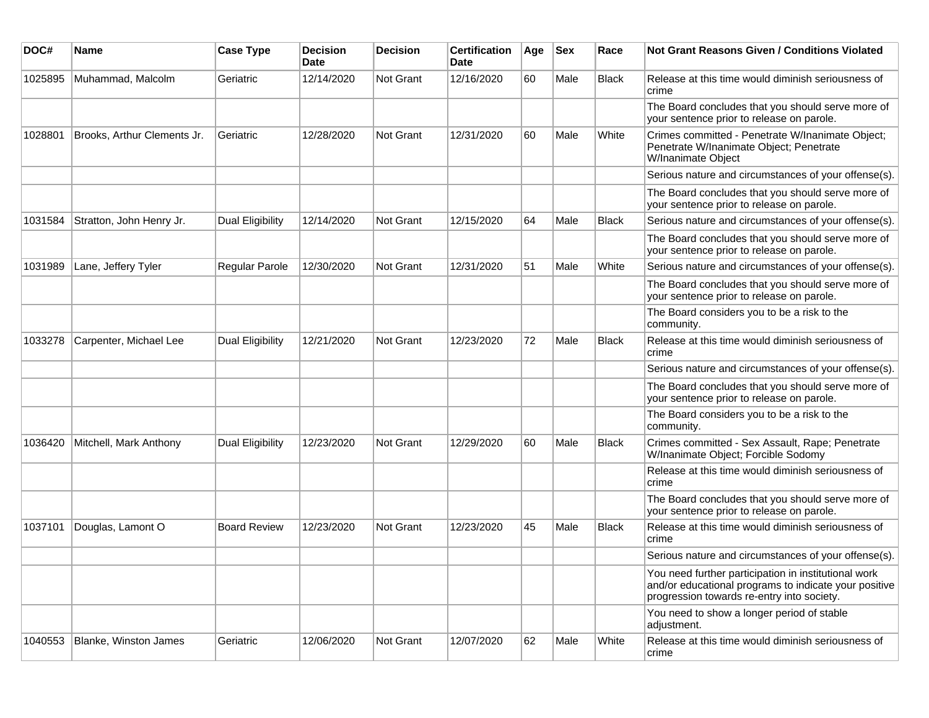| DOC#    | <b>Name</b>                 | <b>Case Type</b>        | <b>Decision</b><br><b>Date</b> | <b>Decision</b>  | <b>Certification</b><br>Date | Age | <b>Sex</b> | Race         | Not Grant Reasons Given / Conditions Violated                                                                                                               |
|---------|-----------------------------|-------------------------|--------------------------------|------------------|------------------------------|-----|------------|--------------|-------------------------------------------------------------------------------------------------------------------------------------------------------------|
| 1025895 | Muhammad, Malcolm           | Geriatric               | 12/14/2020                     | Not Grant        | 12/16/2020                   | 60  | Male       | Black        | Release at this time would diminish seriousness of<br>crime                                                                                                 |
|         |                             |                         |                                |                  |                              |     |            |              | The Board concludes that you should serve more of<br>your sentence prior to release on parole.                                                              |
| 1028801 | Brooks, Arthur Clements Jr. | Geriatric               | 12/28/2020                     | Not Grant        | 12/31/2020                   | 60  | Male       | White        | Crimes committed - Penetrate W/Inanimate Object;<br>Penetrate W/Inanimate Object; Penetrate<br>W/Inanimate Object                                           |
|         |                             |                         |                                |                  |                              |     |            |              | Serious nature and circumstances of your offense(s).                                                                                                        |
|         |                             |                         |                                |                  |                              |     |            |              | The Board concludes that you should serve more of<br>your sentence prior to release on parole.                                                              |
| 1031584 | Stratton, John Henry Jr.    | Dual Eligibility        | 12/14/2020                     | <b>Not Grant</b> | 12/15/2020                   | 64  | Male       | <b>Black</b> | Serious nature and circumstances of your offense(s).                                                                                                        |
|         |                             |                         |                                |                  |                              |     |            |              | The Board concludes that you should serve more of<br>your sentence prior to release on parole.                                                              |
| 1031989 | Lane, Jeffery Tyler         | Regular Parole          | 12/30/2020                     | <b>Not Grant</b> | 12/31/2020                   | 51  | Male       | White        | Serious nature and circumstances of your offense(s).                                                                                                        |
|         |                             |                         |                                |                  |                              |     |            |              | The Board concludes that you should serve more of<br>your sentence prior to release on parole.                                                              |
|         |                             |                         |                                |                  |                              |     |            |              | The Board considers you to be a risk to the<br>community.                                                                                                   |
| 1033278 | Carpenter, Michael Lee      | Dual Eligibility        | 12/21/2020                     | <b>Not Grant</b> | 12/23/2020                   | 72  | Male       | <b>Black</b> | Release at this time would diminish seriousness of<br>crime                                                                                                 |
|         |                             |                         |                                |                  |                              |     |            |              | Serious nature and circumstances of your offense(s).                                                                                                        |
|         |                             |                         |                                |                  |                              |     |            |              | The Board concludes that you should serve more of<br>your sentence prior to release on parole.                                                              |
|         |                             |                         |                                |                  |                              |     |            |              | The Board considers you to be a risk to the<br>community.                                                                                                   |
| 1036420 | Mitchell, Mark Anthony      | <b>Dual Eligibility</b> | 12/23/2020                     | Not Grant        | 12/29/2020                   | 60  | Male       | Black        | Crimes committed - Sex Assault, Rape; Penetrate<br>W/Inanimate Object; Forcible Sodomy                                                                      |
|         |                             |                         |                                |                  |                              |     |            |              | Release at this time would diminish seriousness of<br>crime                                                                                                 |
|         |                             |                         |                                |                  |                              |     |            |              | The Board concludes that you should serve more of<br>your sentence prior to release on parole.                                                              |
| 1037101 | Douglas, Lamont O           | <b>Board Review</b>     | 12/23/2020                     | Not Grant        | 12/23/2020                   | 45  | Male       | <b>Black</b> | Release at this time would diminish seriousness of<br>crime                                                                                                 |
|         |                             |                         |                                |                  |                              |     |            |              | Serious nature and circumstances of your offense(s).                                                                                                        |
|         |                             |                         |                                |                  |                              |     |            |              | You need further participation in institutional work<br>and/or educational programs to indicate your positive<br>progression towards re-entry into society. |
|         |                             |                         |                                |                  |                              |     |            |              | You need to show a longer period of stable<br>adjustment.                                                                                                   |
| 1040553 | Blanke, Winston James       | Geriatric               | 12/06/2020                     | Not Grant        | 12/07/2020                   | 62  | Male       | White        | Release at this time would diminish seriousness of<br>crime                                                                                                 |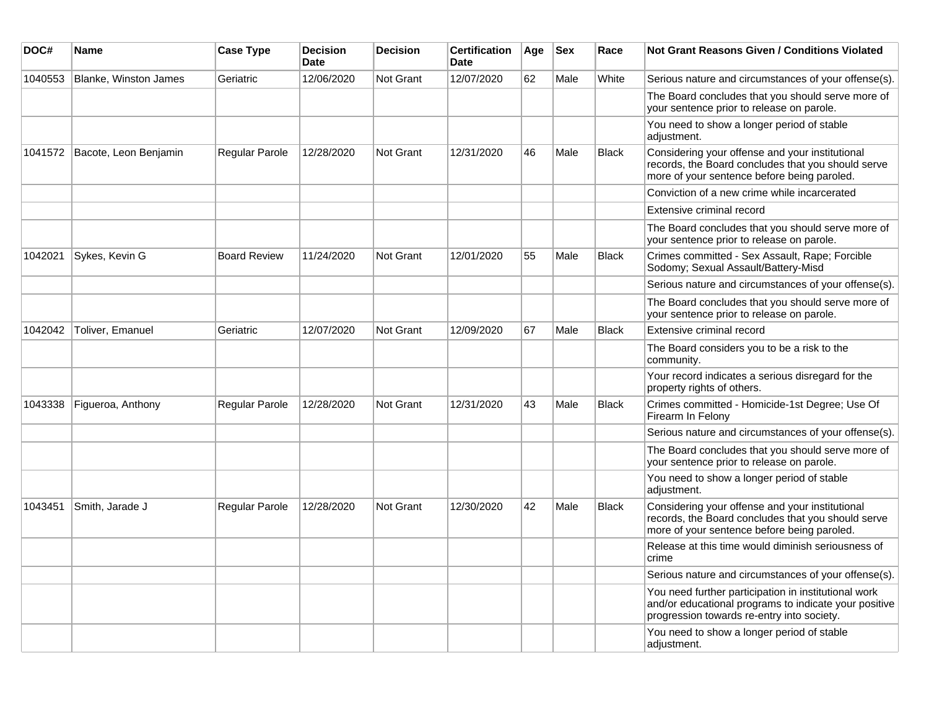| DOC#    | Name                         | <b>Case Type</b>    | <b>Decision</b><br><b>Date</b> | <b>Decision</b>  | <b>Certification</b><br>Date | Age | <b>Sex</b> | Race         | <b>Not Grant Reasons Given / Conditions Violated</b>                                                                                                        |
|---------|------------------------------|---------------------|--------------------------------|------------------|------------------------------|-----|------------|--------------|-------------------------------------------------------------------------------------------------------------------------------------------------------------|
| 1040553 | <b>Blanke, Winston James</b> | Geriatric           | 12/06/2020                     | Not Grant        | 12/07/2020                   | 62  | Male       | White        | Serious nature and circumstances of your offense(s).                                                                                                        |
|         |                              |                     |                                |                  |                              |     |            |              | The Board concludes that you should serve more of<br>your sentence prior to release on parole.                                                              |
|         |                              |                     |                                |                  |                              |     |            |              | You need to show a longer period of stable<br>adjustment.                                                                                                   |
| 1041572 | Bacote, Leon Benjamin        | Regular Parole      | 12/28/2020                     | Not Grant        | 12/31/2020                   | 46  | Male       | <b>Black</b> | Considering your offense and your institutional<br>records, the Board concludes that you should serve<br>more of your sentence before being paroled.        |
|         |                              |                     |                                |                  |                              |     |            |              | Conviction of a new crime while incarcerated                                                                                                                |
|         |                              |                     |                                |                  |                              |     |            |              | Extensive criminal record                                                                                                                                   |
|         |                              |                     |                                |                  |                              |     |            |              | The Board concludes that you should serve more of<br>your sentence prior to release on parole.                                                              |
| 1042021 | Sykes, Kevin G               | <b>Board Review</b> | 11/24/2020                     | <b>Not Grant</b> | 12/01/2020                   | 55  | Male       | <b>Black</b> | Crimes committed - Sex Assault, Rape; Forcible<br>Sodomy; Sexual Assault/Battery-Misd                                                                       |
|         |                              |                     |                                |                  |                              |     |            |              | Serious nature and circumstances of your offense(s).                                                                                                        |
|         |                              |                     |                                |                  |                              |     |            |              | The Board concludes that you should serve more of<br>your sentence prior to release on parole.                                                              |
| 1042042 | Toliver, Emanuel             | Geriatric           | 12/07/2020                     | <b>Not Grant</b> | 12/09/2020                   | 67  | Male       | <b>Black</b> | Extensive criminal record                                                                                                                                   |
|         |                              |                     |                                |                  |                              |     |            |              | The Board considers you to be a risk to the<br>community.                                                                                                   |
|         |                              |                     |                                |                  |                              |     |            |              | Your record indicates a serious disregard for the<br>property rights of others.                                                                             |
| 1043338 | Figueroa, Anthony            | Regular Parole      | 12/28/2020                     | Not Grant        | 12/31/2020                   | 43  | Male       | <b>Black</b> | Crimes committed - Homicide-1st Degree; Use Of<br>Firearm In Felony                                                                                         |
|         |                              |                     |                                |                  |                              |     |            |              | Serious nature and circumstances of your offense(s).                                                                                                        |
|         |                              |                     |                                |                  |                              |     |            |              | The Board concludes that you should serve more of<br>your sentence prior to release on parole.                                                              |
|         |                              |                     |                                |                  |                              |     |            |              | You need to show a longer period of stable<br>adjustment.                                                                                                   |
| 1043451 | Smith, Jarade J              | Regular Parole      | 12/28/2020                     | Not Grant        | 12/30/2020                   | 42  | Male       | <b>Black</b> | Considering your offense and your institutional<br>records, the Board concludes that you should serve<br>more of your sentence before being paroled.        |
|         |                              |                     |                                |                  |                              |     |            |              | Release at this time would diminish seriousness of<br>crime                                                                                                 |
|         |                              |                     |                                |                  |                              |     |            |              | Serious nature and circumstances of your offense(s).                                                                                                        |
|         |                              |                     |                                |                  |                              |     |            |              | You need further participation in institutional work<br>and/or educational programs to indicate your positive<br>progression towards re-entry into society. |
|         |                              |                     |                                |                  |                              |     |            |              | You need to show a longer period of stable<br>adjustment.                                                                                                   |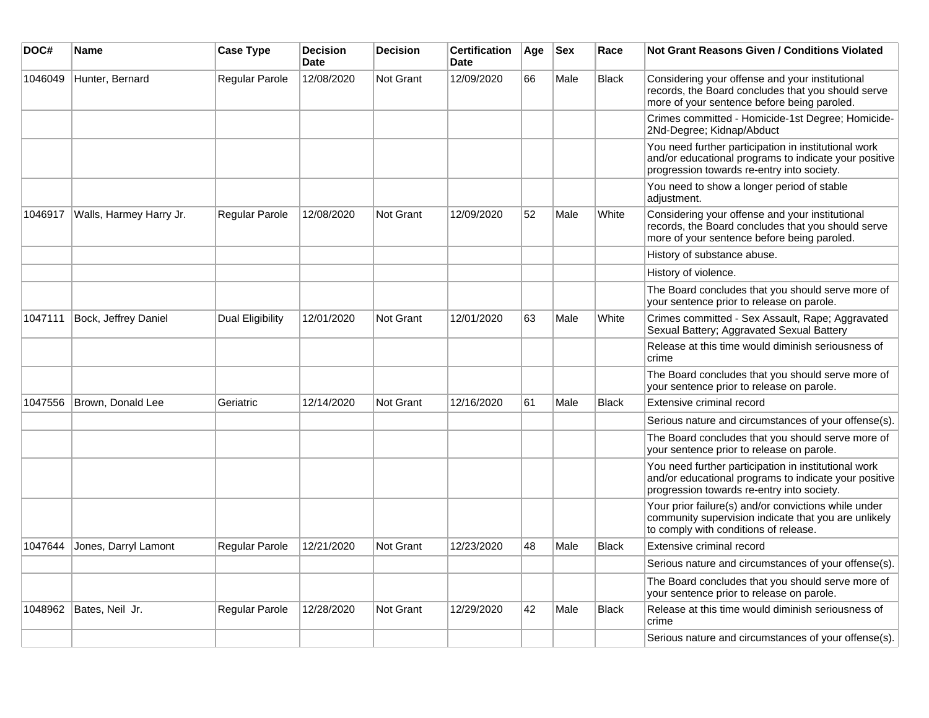| DOC#    | Name                    | <b>Case Type</b> | <b>Decision</b><br><b>Date</b> | <b>Decision</b> | <b>Certification</b><br><b>Date</b> | Age | <b>Sex</b> | Race         | Not Grant Reasons Given / Conditions Violated                                                                                                               |
|---------|-------------------------|------------------|--------------------------------|-----------------|-------------------------------------|-----|------------|--------------|-------------------------------------------------------------------------------------------------------------------------------------------------------------|
| 1046049 | Hunter, Bernard         | Regular Parole   | 12/08/2020                     | Not Grant       | 12/09/2020                          | 66  | Male       | <b>Black</b> | Considering your offense and your institutional<br>records, the Board concludes that you should serve<br>more of your sentence before being paroled.        |
|         |                         |                  |                                |                 |                                     |     |            |              | Crimes committed - Homicide-1st Degree; Homicide-<br>2Nd-Degree; Kidnap/Abduct                                                                              |
|         |                         |                  |                                |                 |                                     |     |            |              | You need further participation in institutional work<br>and/or educational programs to indicate your positive<br>progression towards re-entry into society. |
|         |                         |                  |                                |                 |                                     |     |            |              | You need to show a longer period of stable<br>adjustment.                                                                                                   |
| 1046917 | Walls, Harmey Harry Jr. | Regular Parole   | 12/08/2020                     | Not Grant       | 12/09/2020                          | 52  | Male       | White        | Considering your offense and your institutional<br>records, the Board concludes that you should serve<br>more of your sentence before being paroled.        |
|         |                         |                  |                                |                 |                                     |     |            |              | History of substance abuse.                                                                                                                                 |
|         |                         |                  |                                |                 |                                     |     |            |              | History of violence.                                                                                                                                        |
|         |                         |                  |                                |                 |                                     |     |            |              | The Board concludes that you should serve more of<br>your sentence prior to release on parole.                                                              |
| 1047111 | Bock, Jeffrey Daniel    | Dual Eligibility | 12/01/2020                     | Not Grant       | 12/01/2020                          | 63  | Male       | White        | Crimes committed - Sex Assault, Rape; Aggravated<br>Sexual Battery; Aggravated Sexual Battery                                                               |
|         |                         |                  |                                |                 |                                     |     |            |              | Release at this time would diminish seriousness of<br>crime                                                                                                 |
|         |                         |                  |                                |                 |                                     |     |            |              | The Board concludes that you should serve more of<br>your sentence prior to release on parole.                                                              |
| 1047556 | Brown, Donald Lee       | Geriatric        | 12/14/2020                     | Not Grant       | 12/16/2020                          | 61  | Male       | <b>Black</b> | Extensive criminal record                                                                                                                                   |
|         |                         |                  |                                |                 |                                     |     |            |              | Serious nature and circumstances of your offense(s).                                                                                                        |
|         |                         |                  |                                |                 |                                     |     |            |              | The Board concludes that you should serve more of<br>your sentence prior to release on parole.                                                              |
|         |                         |                  |                                |                 |                                     |     |            |              | You need further participation in institutional work<br>and/or educational programs to indicate your positive<br>progression towards re-entry into society. |
|         |                         |                  |                                |                 |                                     |     |            |              | Your prior failure(s) and/or convictions while under<br>community supervision indicate that you are unlikely<br>to comply with conditions of release.       |
| 1047644 | Jones, Darryl Lamont    | Regular Parole   | 12/21/2020                     | Not Grant       | 12/23/2020                          | 48  | Male       | <b>Black</b> | Extensive criminal record                                                                                                                                   |
|         |                         |                  |                                |                 |                                     |     |            |              | Serious nature and circumstances of your offense(s).                                                                                                        |
|         |                         |                  |                                |                 |                                     |     |            |              | The Board concludes that you should serve more of<br>your sentence prior to release on parole.                                                              |
| 1048962 | Bates, Neil Jr.         | Regular Parole   | 12/28/2020                     | Not Grant       | 12/29/2020                          | 42  | Male       | <b>Black</b> | Release at this time would diminish seriousness of<br>crime                                                                                                 |
|         |                         |                  |                                |                 |                                     |     |            |              | Serious nature and circumstances of your offense(s).                                                                                                        |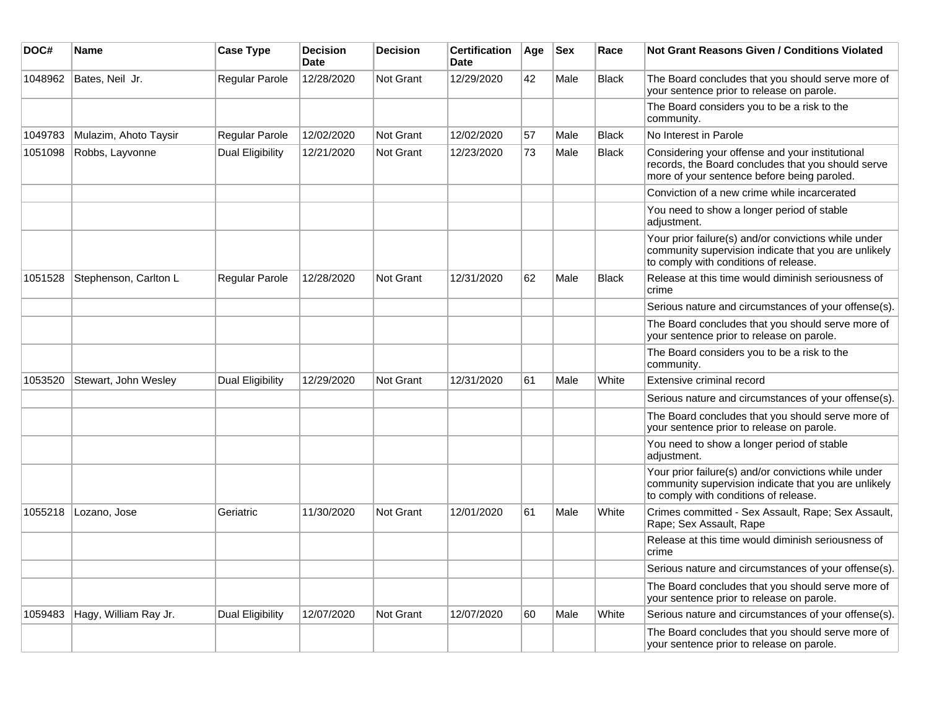| DOC#    | Name                  | <b>Case Type</b>        | <b>Decision</b><br><b>Date</b> | <b>Decision</b>  | <b>Certification</b><br><b>Date</b> | Age | <b>Sex</b> | Race         | <b>Not Grant Reasons Given / Conditions Violated</b>                                                                                                  |
|---------|-----------------------|-------------------------|--------------------------------|------------------|-------------------------------------|-----|------------|--------------|-------------------------------------------------------------------------------------------------------------------------------------------------------|
| 1048962 | Bates, Neil Jr.       | Regular Parole          | 12/28/2020                     | Not Grant        | 12/29/2020                          | 42  | Male       | <b>Black</b> | The Board concludes that you should serve more of<br>your sentence prior to release on parole.                                                        |
|         |                       |                         |                                |                  |                                     |     |            |              | The Board considers you to be a risk to the<br>community.                                                                                             |
| 1049783 | Mulazim, Ahoto Taysir | Regular Parole          | 12/02/2020                     | Not Grant        | 12/02/2020                          | 57  | Male       | <b>Black</b> | No Interest in Parole                                                                                                                                 |
| 1051098 | Robbs, Layvonne       | Dual Eligibility        | 12/21/2020                     | <b>Not Grant</b> | 12/23/2020                          | 73  | Male       | <b>Black</b> | Considering your offense and your institutional<br>records, the Board concludes that you should serve<br>more of your sentence before being paroled.  |
|         |                       |                         |                                |                  |                                     |     |            |              | Conviction of a new crime while incarcerated                                                                                                          |
|         |                       |                         |                                |                  |                                     |     |            |              | You need to show a longer period of stable<br>adjustment.                                                                                             |
|         |                       |                         |                                |                  |                                     |     |            |              | Your prior failure(s) and/or convictions while under<br>community supervision indicate that you are unlikely<br>to comply with conditions of release. |
| 1051528 | Stephenson, Carlton L | Regular Parole          | 12/28/2020                     | Not Grant        | 12/31/2020                          | 62  | Male       | <b>Black</b> | Release at this time would diminish seriousness of<br>crime                                                                                           |
|         |                       |                         |                                |                  |                                     |     |            |              | Serious nature and circumstances of your offense(s).                                                                                                  |
|         |                       |                         |                                |                  |                                     |     |            |              | The Board concludes that you should serve more of<br>your sentence prior to release on parole.                                                        |
|         |                       |                         |                                |                  |                                     |     |            |              | The Board considers you to be a risk to the<br>community.                                                                                             |
| 1053520 | Stewart, John Wesley  | Dual Eligibility        | 12/29/2020                     | Not Grant        | 12/31/2020                          | 61  | Male       | White        | Extensive criminal record                                                                                                                             |
|         |                       |                         |                                |                  |                                     |     |            |              | Serious nature and circumstances of your offense(s).                                                                                                  |
|         |                       |                         |                                |                  |                                     |     |            |              | The Board concludes that you should serve more of<br>your sentence prior to release on parole.                                                        |
|         |                       |                         |                                |                  |                                     |     |            |              | You need to show a longer period of stable<br>adjustment.                                                                                             |
|         |                       |                         |                                |                  |                                     |     |            |              | Your prior failure(s) and/or convictions while under<br>community supervision indicate that you are unlikely<br>to comply with conditions of release. |
| 1055218 | Lozano, Jose          | Geriatric               | 11/30/2020                     | Not Grant        | 12/01/2020                          | 61  | Male       | White        | Crimes committed - Sex Assault, Rape; Sex Assault,<br>Rape; Sex Assault, Rape                                                                         |
|         |                       |                         |                                |                  |                                     |     |            |              | Release at this time would diminish seriousness of<br>crime                                                                                           |
|         |                       |                         |                                |                  |                                     |     |            |              | Serious nature and circumstances of your offense(s).                                                                                                  |
|         |                       |                         |                                |                  |                                     |     |            |              | The Board concludes that you should serve more of<br>your sentence prior to release on parole.                                                        |
| 1059483 | Hagy, William Ray Jr. | <b>Dual Eligibility</b> | 12/07/2020                     | <b>Not Grant</b> | 12/07/2020                          | 60  | Male       | White        | Serious nature and circumstances of your offense(s).                                                                                                  |
|         |                       |                         |                                |                  |                                     |     |            |              | The Board concludes that you should serve more of<br>your sentence prior to release on parole.                                                        |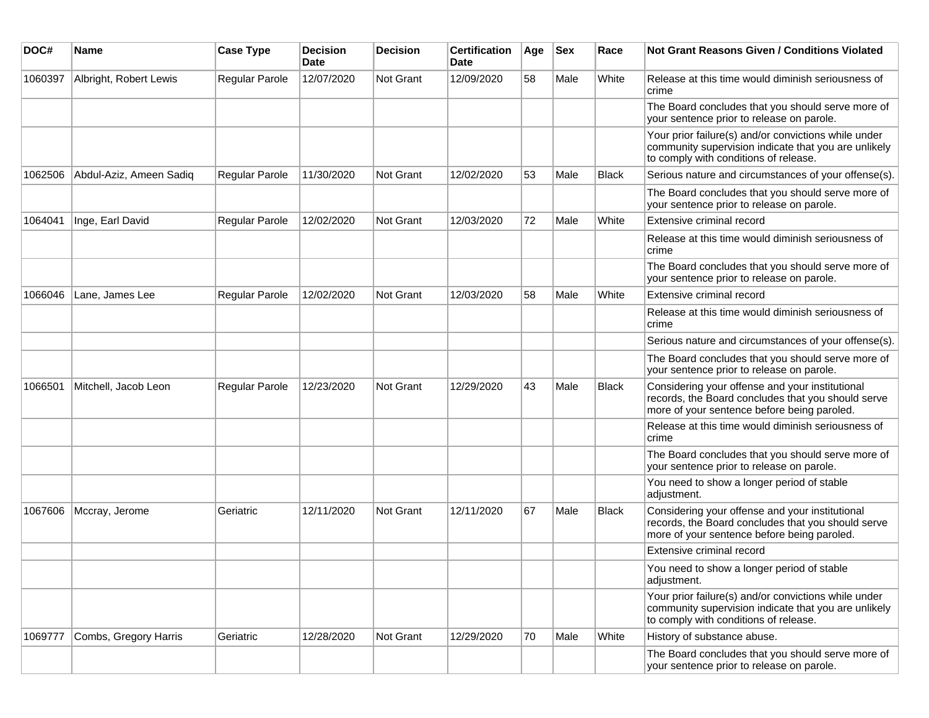| DOC#    | Name                    | <b>Case Type</b> | <b>Decision</b><br>Date | <b>Decision</b> | <b>Certification</b><br>Date | Age | Sex  | Race         | Not Grant Reasons Given / Conditions Violated                                                                                                         |
|---------|-------------------------|------------------|-------------------------|-----------------|------------------------------|-----|------|--------------|-------------------------------------------------------------------------------------------------------------------------------------------------------|
| 1060397 | Albright, Robert Lewis  | Regular Parole   | 12/07/2020              | Not Grant       | 12/09/2020                   | 58  | Male | White        | Release at this time would diminish seriousness of<br>crime                                                                                           |
|         |                         |                  |                         |                 |                              |     |      |              | The Board concludes that you should serve more of<br>your sentence prior to release on parole.                                                        |
|         |                         |                  |                         |                 |                              |     |      |              | Your prior failure(s) and/or convictions while under<br>community supervision indicate that you are unlikely<br>to comply with conditions of release. |
| 1062506 | Abdul-Aziz, Ameen Sadiq | Regular Parole   | 11/30/2020              | Not Grant       | 12/02/2020                   | 53  | Male | <b>Black</b> | Serious nature and circumstances of your offense(s).                                                                                                  |
|         |                         |                  |                         |                 |                              |     |      |              | The Board concludes that you should serve more of<br>your sentence prior to release on parole.                                                        |
| 1064041 | Inge, Earl David        | Regular Parole   | 12/02/2020              | Not Grant       | 12/03/2020                   | 72  | Male | White        | Extensive criminal record                                                                                                                             |
|         |                         |                  |                         |                 |                              |     |      |              | Release at this time would diminish seriousness of<br>crime                                                                                           |
|         |                         |                  |                         |                 |                              |     |      |              | The Board concludes that you should serve more of<br>your sentence prior to release on parole.                                                        |
| 1066046 | Lane, James Lee         | Regular Parole   | 12/02/2020              | Not Grant       | 12/03/2020                   | 58  | Male | White        | Extensive criminal record                                                                                                                             |
|         |                         |                  |                         |                 |                              |     |      |              | Release at this time would diminish seriousness of<br>crime                                                                                           |
|         |                         |                  |                         |                 |                              |     |      |              | Serious nature and circumstances of your offense(s).                                                                                                  |
|         |                         |                  |                         |                 |                              |     |      |              | The Board concludes that you should serve more of<br>your sentence prior to release on parole.                                                        |
| 1066501 | Mitchell, Jacob Leon    | Regular Parole   | 12/23/2020              | Not Grant       | 12/29/2020                   | 43  | Male | <b>Black</b> | Considering your offense and your institutional<br>records, the Board concludes that you should serve<br>more of your sentence before being paroled.  |
|         |                         |                  |                         |                 |                              |     |      |              | Release at this time would diminish seriousness of<br>crime                                                                                           |
|         |                         |                  |                         |                 |                              |     |      |              | The Board concludes that you should serve more of<br>your sentence prior to release on parole.                                                        |
|         |                         |                  |                         |                 |                              |     |      |              | You need to show a longer period of stable<br>adjustment.                                                                                             |
| 1067606 | Mccray, Jerome          | Geriatric        | 12/11/2020              | Not Grant       | 12/11/2020                   | 67  | Male | <b>Black</b> | Considering your offense and your institutional<br>records, the Board concludes that you should serve<br>more of your sentence before being paroled.  |
|         |                         |                  |                         |                 |                              |     |      |              | Extensive criminal record                                                                                                                             |
|         |                         |                  |                         |                 |                              |     |      |              | You need to show a longer period of stable<br>adjustment.                                                                                             |
|         |                         |                  |                         |                 |                              |     |      |              | Your prior failure(s) and/or convictions while under<br>community supervision indicate that you are unlikely<br>to comply with conditions of release. |
| 1069777 | Combs, Gregory Harris   | Geriatric        | 12/28/2020              | Not Grant       | 12/29/2020                   | 70  | Male | White        | History of substance abuse.                                                                                                                           |
|         |                         |                  |                         |                 |                              |     |      |              | The Board concludes that you should serve more of<br>your sentence prior to release on parole.                                                        |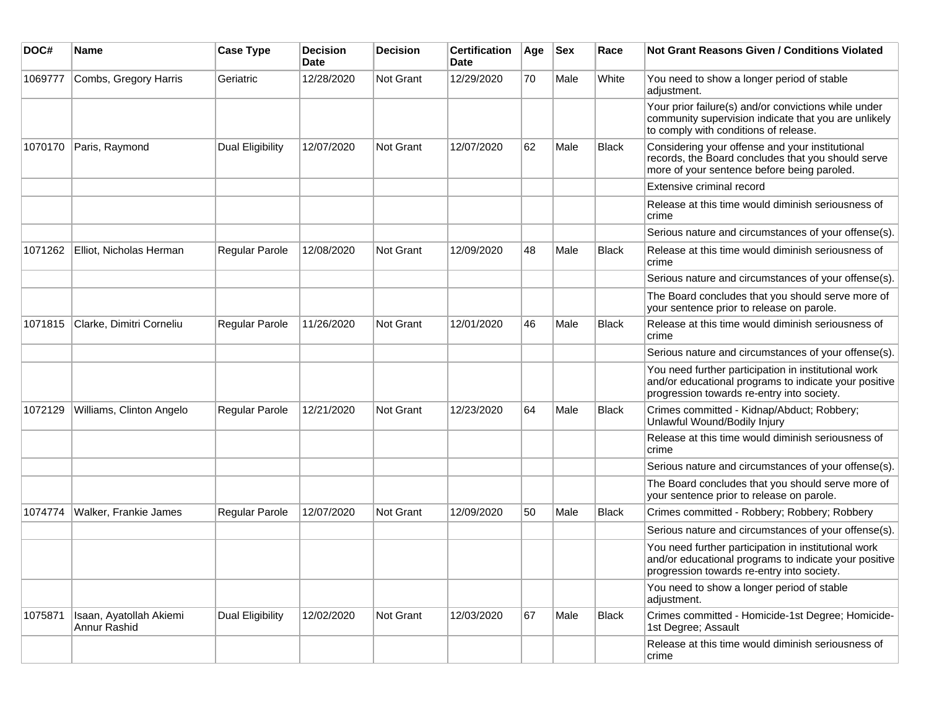| DOC#    | <b>Name</b>                             | <b>Case Type</b>        | <b>Decision</b><br><b>Date</b> | <b>Decision</b>  | <b>Certification</b><br>Date | Age | <b>Sex</b> | Race         | <b>Not Grant Reasons Given / Conditions Violated</b>                                                                                                        |
|---------|-----------------------------------------|-------------------------|--------------------------------|------------------|------------------------------|-----|------------|--------------|-------------------------------------------------------------------------------------------------------------------------------------------------------------|
| 1069777 | Combs, Gregory Harris                   | Geriatric               | 12/28/2020                     | Not Grant        | 12/29/2020                   | 70  | Male       | White        | You need to show a longer period of stable<br>adjustment.                                                                                                   |
|         |                                         |                         |                                |                  |                              |     |            |              | Your prior failure(s) and/or convictions while under<br>community supervision indicate that you are unlikely<br>to comply with conditions of release.       |
| 1070170 | Paris, Raymond                          | <b>Dual Eligibility</b> | 12/07/2020                     | Not Grant        | 12/07/2020                   | 62  | Male       | Black        | Considering your offense and your institutional<br>records, the Board concludes that you should serve<br>more of your sentence before being paroled.        |
|         |                                         |                         |                                |                  |                              |     |            |              | Extensive criminal record                                                                                                                                   |
|         |                                         |                         |                                |                  |                              |     |            |              | Release at this time would diminish seriousness of<br>crime                                                                                                 |
|         |                                         |                         |                                |                  |                              |     |            |              | Serious nature and circumstances of your offense(s).                                                                                                        |
| 1071262 | Elliot, Nicholas Herman                 | Regular Parole          | 12/08/2020                     | <b>Not Grant</b> | 12/09/2020                   | 48  | Male       | Black        | Release at this time would diminish seriousness of<br>crime                                                                                                 |
|         |                                         |                         |                                |                  |                              |     |            |              | Serious nature and circumstances of your offense(s).                                                                                                        |
|         |                                         |                         |                                |                  |                              |     |            |              | The Board concludes that you should serve more of<br>your sentence prior to release on parole.                                                              |
| 1071815 | Clarke, Dimitri Corneliu                | <b>Regular Parole</b>   | 11/26/2020                     | <b>Not Grant</b> | 12/01/2020                   | 46  | Male       | Black        | Release at this time would diminish seriousness of<br>crime                                                                                                 |
|         |                                         |                         |                                |                  |                              |     |            |              | Serious nature and circumstances of your offense(s).                                                                                                        |
|         |                                         |                         |                                |                  |                              |     |            |              | You need further participation in institutional work<br>and/or educational programs to indicate your positive<br>progression towards re-entry into society. |
| 1072129 | Williams, Clinton Angelo                | Regular Parole          | 12/21/2020                     | Not Grant        | 12/23/2020                   | 64  | Male       | <b>Black</b> | Crimes committed - Kidnap/Abduct; Robbery;<br>Unlawful Wound/Bodily Injury                                                                                  |
|         |                                         |                         |                                |                  |                              |     |            |              | Release at this time would diminish seriousness of<br>crime                                                                                                 |
|         |                                         |                         |                                |                  |                              |     |            |              | Serious nature and circumstances of your offense(s).                                                                                                        |
|         |                                         |                         |                                |                  |                              |     |            |              | The Board concludes that you should serve more of<br>your sentence prior to release on parole.                                                              |
| 1074774 | Walker, Frankie James                   | Regular Parole          | 12/07/2020                     | Not Grant        | 12/09/2020                   | 50  | Male       | Black        | Crimes committed - Robbery; Robbery; Robbery                                                                                                                |
|         |                                         |                         |                                |                  |                              |     |            |              | Serious nature and circumstances of your offense(s).                                                                                                        |
|         |                                         |                         |                                |                  |                              |     |            |              | You need further participation in institutional work<br>and/or educational programs to indicate your positive<br>progression towards re-entry into society. |
|         |                                         |                         |                                |                  |                              |     |            |              | You need to show a longer period of stable<br>adjustment.                                                                                                   |
| 1075871 | Isaan, Ayatollah Akiemi<br>Annur Rashid | Dual Eligibility        | 12/02/2020                     | Not Grant        | 12/03/2020                   | 67  | Male       | <b>Black</b> | Crimes committed - Homicide-1st Degree; Homicide-<br>1st Degree; Assault                                                                                    |
|         |                                         |                         |                                |                  |                              |     |            |              | Release at this time would diminish seriousness of<br>crime                                                                                                 |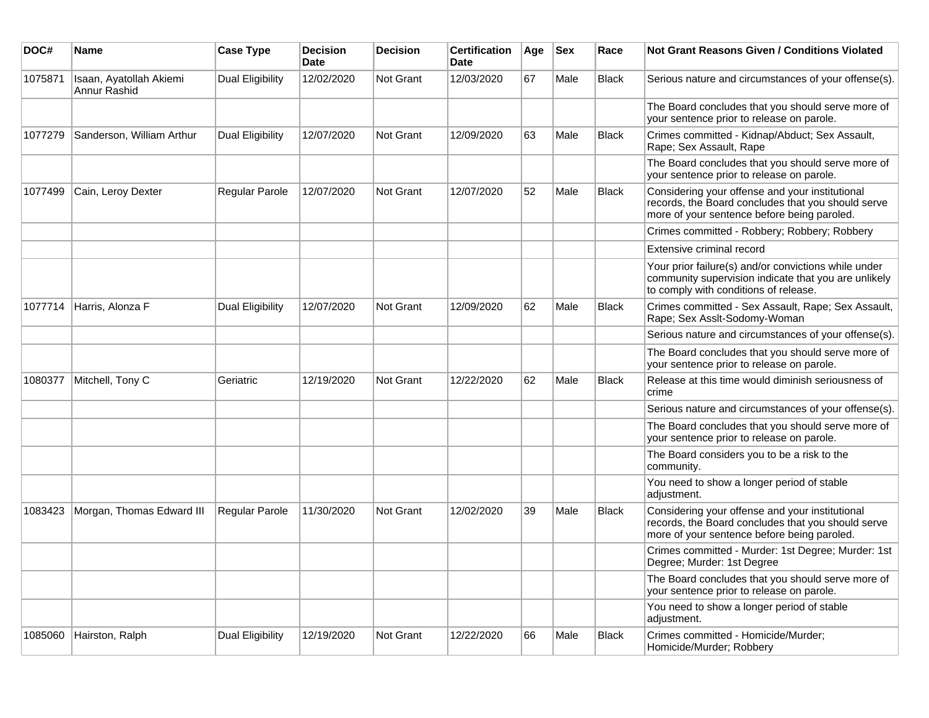| DOC#    | Name                                    | <b>Case Type</b>        | <b>Decision</b><br><b>Date</b> | <b>Decision</b>  | <b>Certification</b><br><b>Date</b> | Age | <b>Sex</b> | Race         | <b>Not Grant Reasons Given / Conditions Violated</b>                                                                                                  |
|---------|-----------------------------------------|-------------------------|--------------------------------|------------------|-------------------------------------|-----|------------|--------------|-------------------------------------------------------------------------------------------------------------------------------------------------------|
| 1075871 | Isaan, Ayatollah Akiemi<br>Annur Rashid | <b>Dual Eligibility</b> | 12/02/2020                     | Not Grant        | 12/03/2020                          | 67  | Male       | <b>Black</b> | Serious nature and circumstances of your offense(s).                                                                                                  |
|         |                                         |                         |                                |                  |                                     |     |            |              | The Board concludes that you should serve more of<br>your sentence prior to release on parole.                                                        |
| 1077279 | Sanderson, William Arthur               | Dual Eligibility        | 12/07/2020                     | Not Grant        | 12/09/2020                          | 63  | Male       | <b>Black</b> | Crimes committed - Kidnap/Abduct; Sex Assault,<br>Rape; Sex Assault, Rape                                                                             |
|         |                                         |                         |                                |                  |                                     |     |            |              | The Board concludes that you should serve more of<br>your sentence prior to release on parole.                                                        |
| 1077499 | Cain, Leroy Dexter                      | Regular Parole          | 12/07/2020                     | <b>Not Grant</b> | 12/07/2020                          | 52  | Male       | <b>Black</b> | Considering your offense and your institutional<br>records, the Board concludes that you should serve<br>more of your sentence before being paroled.  |
|         |                                         |                         |                                |                  |                                     |     |            |              | Crimes committed - Robbery; Robbery; Robbery                                                                                                          |
|         |                                         |                         |                                |                  |                                     |     |            |              | Extensive criminal record                                                                                                                             |
|         |                                         |                         |                                |                  |                                     |     |            |              | Your prior failure(s) and/or convictions while under<br>community supervision indicate that you are unlikely<br>to comply with conditions of release. |
| 1077714 | Harris, Alonza F                        | Dual Eligibility        | 12/07/2020                     | <b>Not Grant</b> | 12/09/2020                          | 62  | Male       | Black        | Crimes committed - Sex Assault, Rape; Sex Assault,<br>Rape; Sex Asslt-Sodomy-Woman                                                                    |
|         |                                         |                         |                                |                  |                                     |     |            |              | Serious nature and circumstances of your offense(s).                                                                                                  |
|         |                                         |                         |                                |                  |                                     |     |            |              | The Board concludes that you should serve more of<br>your sentence prior to release on parole.                                                        |
| 1080377 | Mitchell, Tony C                        | Geriatric               | 12/19/2020                     | <b>Not Grant</b> | 12/22/2020                          | 62  | Male       | <b>Black</b> | Release at this time would diminish seriousness of<br>crime                                                                                           |
|         |                                         |                         |                                |                  |                                     |     |            |              | Serious nature and circumstances of your offense(s).                                                                                                  |
|         |                                         |                         |                                |                  |                                     |     |            |              | The Board concludes that you should serve more of<br>your sentence prior to release on parole.                                                        |
|         |                                         |                         |                                |                  |                                     |     |            |              | The Board considers you to be a risk to the<br>community.                                                                                             |
|         |                                         |                         |                                |                  |                                     |     |            |              | You need to show a longer period of stable<br>adjustment.                                                                                             |
| 1083423 | Morgan, Thomas Edward III               | Regular Parole          | 11/30/2020                     | <b>Not Grant</b> | 12/02/2020                          | 39  | Male       | <b>Black</b> | Considering your offense and your institutional<br>records, the Board concludes that you should serve<br>more of your sentence before being paroled.  |
|         |                                         |                         |                                |                  |                                     |     |            |              | Crimes committed - Murder: 1st Degree; Murder: 1st<br>Degree; Murder: 1st Degree                                                                      |
|         |                                         |                         |                                |                  |                                     |     |            |              | The Board concludes that you should serve more of<br>your sentence prior to release on parole.                                                        |
|         |                                         |                         |                                |                  |                                     |     |            |              | You need to show a longer period of stable<br>adjustment.                                                                                             |
| 1085060 | Hairston, Ralph                         | Dual Eligibility        | 12/19/2020                     | <b>Not Grant</b> | 12/22/2020                          | 66  | Male       | <b>Black</b> | Crimes committed - Homicide/Murder;<br>Homicide/Murder; Robbery                                                                                       |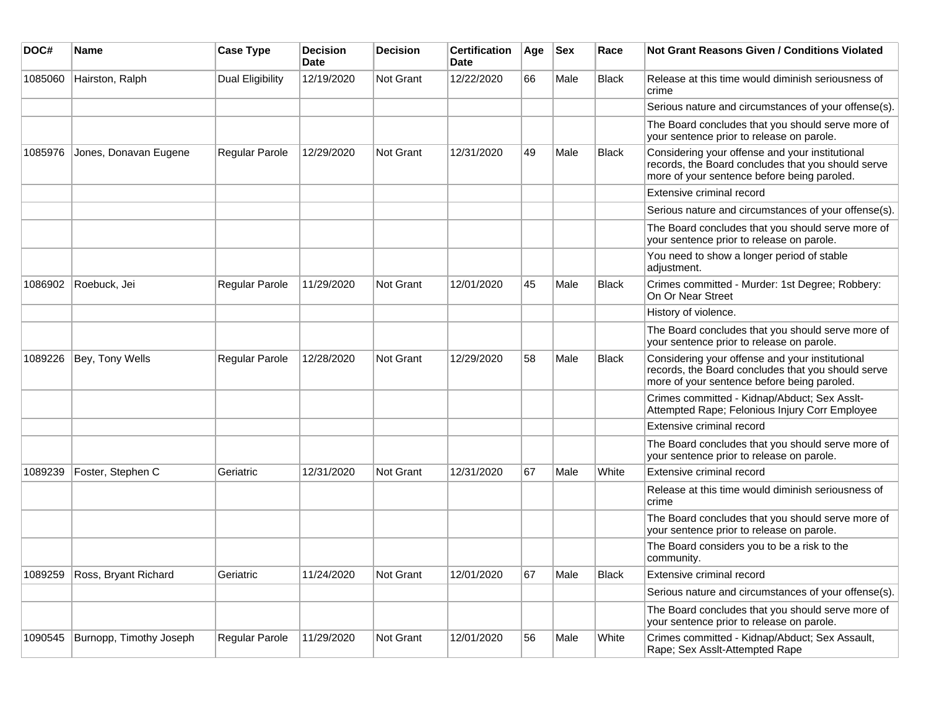| DOC#    | <b>Name</b>             | <b>Case Type</b>        | <b>Decision</b><br><b>Date</b> | <b>Decision</b> | <b>Certification</b><br>Date | Age | <b>Sex</b> | Race         | <b>Not Grant Reasons Given / Conditions Violated</b>                                                                                                 |
|---------|-------------------------|-------------------------|--------------------------------|-----------------|------------------------------|-----|------------|--------------|------------------------------------------------------------------------------------------------------------------------------------------------------|
| 1085060 | Hairston, Ralph         | <b>Dual Eligibility</b> | 12/19/2020                     | Not Grant       | 12/22/2020                   | 66  | Male       | Black        | Release at this time would diminish seriousness of<br>crime                                                                                          |
|         |                         |                         |                                |                 |                              |     |            |              | Serious nature and circumstances of your offense(s).                                                                                                 |
|         |                         |                         |                                |                 |                              |     |            |              | The Board concludes that you should serve more of<br>your sentence prior to release on parole.                                                       |
| 1085976 | Jones, Donavan Eugene   | Regular Parole          | 12/29/2020                     | Not Grant       | 12/31/2020                   | 49  | Male       | <b>Black</b> | Considering your offense and your institutional<br>records, the Board concludes that you should serve<br>more of your sentence before being paroled. |
|         |                         |                         |                                |                 |                              |     |            |              | Extensive criminal record                                                                                                                            |
|         |                         |                         |                                |                 |                              |     |            |              | Serious nature and circumstances of your offense(s).                                                                                                 |
|         |                         |                         |                                |                 |                              |     |            |              | The Board concludes that you should serve more of<br>your sentence prior to release on parole.                                                       |
|         |                         |                         |                                |                 |                              |     |            |              | You need to show a longer period of stable<br>adjustment.                                                                                            |
| 1086902 | Roebuck, Jei            | Regular Parole          | 11/29/2020                     | Not Grant       | 12/01/2020                   | 45  | Male       | <b>Black</b> | Crimes committed - Murder: 1st Degree; Robbery:<br>On Or Near Street                                                                                 |
|         |                         |                         |                                |                 |                              |     |            |              | History of violence.                                                                                                                                 |
|         |                         |                         |                                |                 |                              |     |            |              | The Board concludes that you should serve more of<br>your sentence prior to release on parole.                                                       |
| 1089226 | Bey, Tony Wells         | Regular Parole          | 12/28/2020                     | Not Grant       | 12/29/2020                   | 58  | Male       | <b>Black</b> | Considering your offense and your institutional<br>records, the Board concludes that you should serve<br>more of your sentence before being paroled. |
|         |                         |                         |                                |                 |                              |     |            |              | Crimes committed - Kidnap/Abduct; Sex Asslt-<br>Attempted Rape; Felonious Injury Corr Employee                                                       |
|         |                         |                         |                                |                 |                              |     |            |              | Extensive criminal record                                                                                                                            |
|         |                         |                         |                                |                 |                              |     |            |              | The Board concludes that you should serve more of<br>your sentence prior to release on parole.                                                       |
| 1089239 | Foster, Stephen C       | Geriatric               | 12/31/2020                     | Not Grant       | 12/31/2020                   | 67  | Male       | White        | Extensive criminal record                                                                                                                            |
|         |                         |                         |                                |                 |                              |     |            |              | Release at this time would diminish seriousness of<br>crime                                                                                          |
|         |                         |                         |                                |                 |                              |     |            |              | The Board concludes that you should serve more of<br>your sentence prior to release on parole.                                                       |
|         |                         |                         |                                |                 |                              |     |            |              | The Board considers you to be a risk to the<br>community.                                                                                            |
| 1089259 | Ross, Bryant Richard    | Geriatric               | 11/24/2020                     | Not Grant       | 12/01/2020                   | 67  | Male       | Black        | Extensive criminal record                                                                                                                            |
|         |                         |                         |                                |                 |                              |     |            |              | Serious nature and circumstances of your offense(s).                                                                                                 |
|         |                         |                         |                                |                 |                              |     |            |              | The Board concludes that you should serve more of<br>your sentence prior to release on parole.                                                       |
| 1090545 | Burnopp, Timothy Joseph | Regular Parole          | 11/29/2020                     | Not Grant       | 12/01/2020                   | 56  | Male       | White        | Crimes committed - Kidnap/Abduct; Sex Assault,<br>Rape; Sex Asslt-Attempted Rape                                                                     |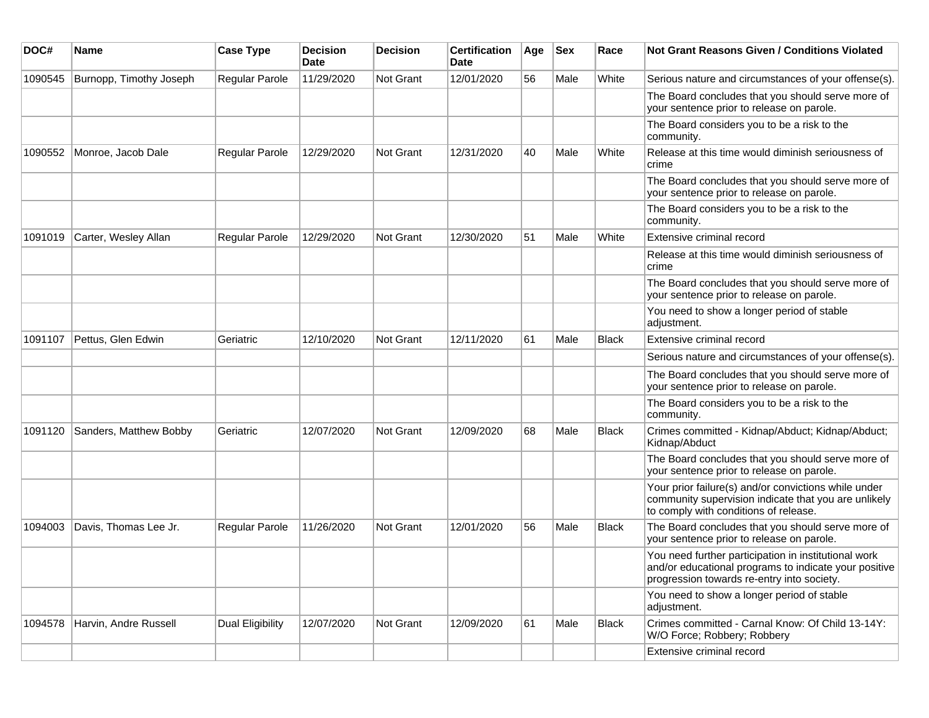| DOC#    | Name                    | <b>Case Type</b>      | <b>Decision</b><br>Date | <b>Decision</b>  | <b>Certification</b><br>Date | Age | <b>Sex</b> | Race         | <b>Not Grant Reasons Given / Conditions Violated</b>                                                                                                        |
|---------|-------------------------|-----------------------|-------------------------|------------------|------------------------------|-----|------------|--------------|-------------------------------------------------------------------------------------------------------------------------------------------------------------|
| 1090545 | Burnopp, Timothy Joseph | <b>Regular Parole</b> | 11/29/2020              | Not Grant        | 12/01/2020                   | 56  | Male       | White        | Serious nature and circumstances of your offense(s).                                                                                                        |
|         |                         |                       |                         |                  |                              |     |            |              | The Board concludes that you should serve more of<br>your sentence prior to release on parole.                                                              |
|         |                         |                       |                         |                  |                              |     |            |              | The Board considers you to be a risk to the<br>community.                                                                                                   |
| 1090552 | Monroe, Jacob Dale      | Regular Parole        | 12/29/2020              | <b>Not Grant</b> | 12/31/2020                   | 40  | Male       | White        | Release at this time would diminish seriousness of<br>crime                                                                                                 |
|         |                         |                       |                         |                  |                              |     |            |              | The Board concludes that you should serve more of<br>your sentence prior to release on parole.                                                              |
|         |                         |                       |                         |                  |                              |     |            |              | The Board considers you to be a risk to the<br>community.                                                                                                   |
| 1091019 | Carter, Wesley Allan    | Regular Parole        | 12/29/2020              | <b>Not Grant</b> | 12/30/2020                   | 51  | Male       | White        | Extensive criminal record                                                                                                                                   |
|         |                         |                       |                         |                  |                              |     |            |              | Release at this time would diminish seriousness of<br>crime                                                                                                 |
|         |                         |                       |                         |                  |                              |     |            |              | The Board concludes that you should serve more of<br>your sentence prior to release on parole.                                                              |
|         |                         |                       |                         |                  |                              |     |            |              | You need to show a longer period of stable<br>adjustment.                                                                                                   |
| 1091107 | Pettus, Glen Edwin      | Geriatric             | 12/10/2020              | Not Grant        | 12/11/2020                   | 61  | Male       | <b>Black</b> | Extensive criminal record                                                                                                                                   |
|         |                         |                       |                         |                  |                              |     |            |              | Serious nature and circumstances of your offense(s).                                                                                                        |
|         |                         |                       |                         |                  |                              |     |            |              | The Board concludes that you should serve more of<br>your sentence prior to release on parole.                                                              |
|         |                         |                       |                         |                  |                              |     |            |              | The Board considers you to be a risk to the<br>community.                                                                                                   |
| 1091120 | Sanders, Matthew Bobby  | Geriatric             | 12/07/2020              | Not Grant        | 12/09/2020                   | 68  | Male       | <b>Black</b> | Crimes committed - Kidnap/Abduct; Kidnap/Abduct;<br>Kidnap/Abduct                                                                                           |
|         |                         |                       |                         |                  |                              |     |            |              | The Board concludes that you should serve more of<br>your sentence prior to release on parole.                                                              |
|         |                         |                       |                         |                  |                              |     |            |              | Your prior failure(s) and/or convictions while under<br>community supervision indicate that you are unlikely<br>to comply with conditions of release.       |
| 1094003 | Davis, Thomas Lee Jr.   | <b>Regular Parole</b> | 11/26/2020              | Not Grant        | 12/01/2020                   | 56  | Male       | <b>Black</b> | The Board concludes that you should serve more of<br>your sentence prior to release on parole.                                                              |
|         |                         |                       |                         |                  |                              |     |            |              | You need further participation in institutional work<br>and/or educational programs to indicate your positive<br>progression towards re-entry into society. |
|         |                         |                       |                         |                  |                              |     |            |              | You need to show a longer period of stable<br>adjustment.                                                                                                   |
| 1094578 | Harvin, Andre Russell   | Dual Eligibility      | 12/07/2020              | Not Grant        | 12/09/2020                   | 61  | Male       | Black        | Crimes committed - Carnal Know: Of Child 13-14Y:<br>W/O Force; Robbery; Robbery                                                                             |
|         |                         |                       |                         |                  |                              |     |            |              | Extensive criminal record                                                                                                                                   |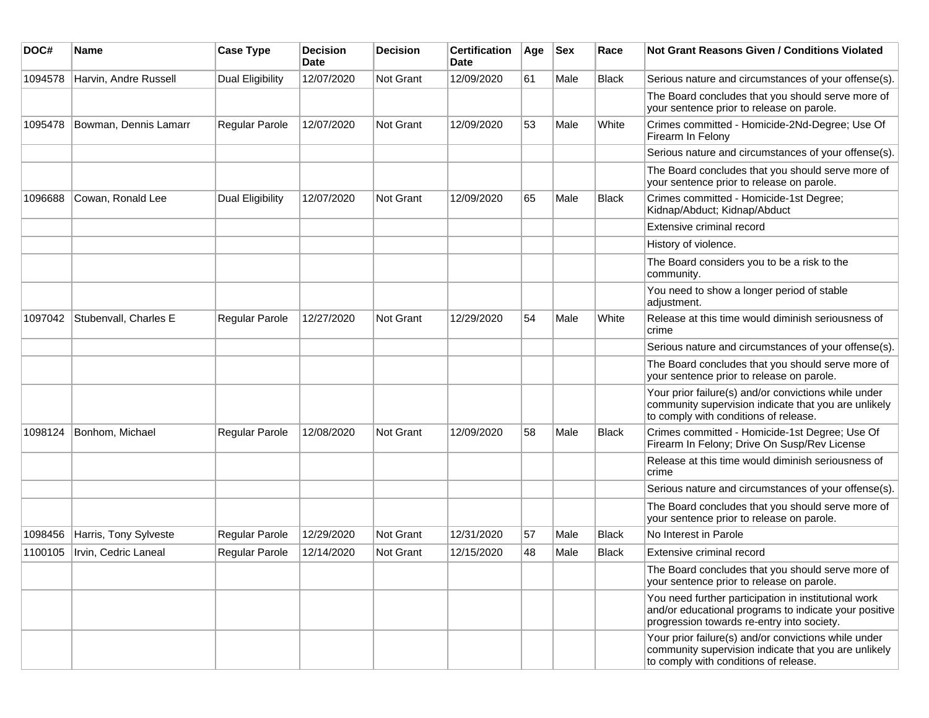| DOC#    | Name                  | <b>Case Type</b>        | <b>Decision</b><br>Date | <b>Decision</b> | <b>Certification</b><br>Date | Age | <b>Sex</b> | Race         | Not Grant Reasons Given / Conditions Violated                                                                                                               |
|---------|-----------------------|-------------------------|-------------------------|-----------------|------------------------------|-----|------------|--------------|-------------------------------------------------------------------------------------------------------------------------------------------------------------|
| 1094578 | Harvin, Andre Russell | <b>Dual Eligibility</b> | 12/07/2020              | Not Grant       | 12/09/2020                   | 61  | Male       | <b>Black</b> | Serious nature and circumstances of your offense(s).                                                                                                        |
|         |                       |                         |                         |                 |                              |     |            |              | The Board concludes that you should serve more of<br>your sentence prior to release on parole.                                                              |
| 1095478 | Bowman, Dennis Lamarr | Regular Parole          | 12/07/2020              | Not Grant       | 12/09/2020                   | 53  | Male       | White        | Crimes committed - Homicide-2Nd-Degree; Use Of<br>Firearm In Felony                                                                                         |
|         |                       |                         |                         |                 |                              |     |            |              | Serious nature and circumstances of your offense(s).                                                                                                        |
|         |                       |                         |                         |                 |                              |     |            |              | The Board concludes that you should serve more of<br>your sentence prior to release on parole.                                                              |
| 1096688 | Cowan, Ronald Lee     | <b>Dual Eligibility</b> | 12/07/2020              | Not Grant       | 12/09/2020                   | 65  | Male       | <b>Black</b> | Crimes committed - Homicide-1st Degree;<br>Kidnap/Abduct; Kidnap/Abduct                                                                                     |
|         |                       |                         |                         |                 |                              |     |            |              | Extensive criminal record                                                                                                                                   |
|         |                       |                         |                         |                 |                              |     |            |              | History of violence.                                                                                                                                        |
|         |                       |                         |                         |                 |                              |     |            |              | The Board considers you to be a risk to the<br>community.                                                                                                   |
|         |                       |                         |                         |                 |                              |     |            |              | You need to show a longer period of stable<br>adjustment.                                                                                                   |
| 1097042 | Stubenvall, Charles E | Regular Parole          | 12/27/2020              | Not Grant       | 12/29/2020                   | 54  | Male       | White        | Release at this time would diminish seriousness of<br>crime                                                                                                 |
|         |                       |                         |                         |                 |                              |     |            |              | Serious nature and circumstances of your offense(s).                                                                                                        |
|         |                       |                         |                         |                 |                              |     |            |              | The Board concludes that you should serve more of<br>your sentence prior to release on parole.                                                              |
|         |                       |                         |                         |                 |                              |     |            |              | Your prior failure(s) and/or convictions while under<br>community supervision indicate that you are unlikely<br>to comply with conditions of release.       |
| 1098124 | Bonhom, Michael       | <b>Regular Parole</b>   | 12/08/2020              | Not Grant       | 12/09/2020                   | 58  | Male       | <b>Black</b> | Crimes committed - Homicide-1st Degree; Use Of<br>Firearm In Felony; Drive On Susp/Rev License                                                              |
|         |                       |                         |                         |                 |                              |     |            |              | Release at this time would diminish seriousness of<br>crime                                                                                                 |
|         |                       |                         |                         |                 |                              |     |            |              | Serious nature and circumstances of your offense(s).                                                                                                        |
|         |                       |                         |                         |                 |                              |     |            |              | The Board concludes that you should serve more of<br>your sentence prior to release on parole.                                                              |
| 1098456 | Harris, Tony Sylveste | Regular Parole          | 12/29/2020              | Not Grant       | 12/31/2020                   | 57  | Male       | <b>Black</b> | No Interest in Parole                                                                                                                                       |
| 1100105 | Irvin, Cedric Laneal  | Regular Parole          | 12/14/2020              | Not Grant       | 12/15/2020                   | 48  | Male       | <b>Black</b> | Extensive criminal record                                                                                                                                   |
|         |                       |                         |                         |                 |                              |     |            |              | The Board concludes that you should serve more of<br>your sentence prior to release on parole.                                                              |
|         |                       |                         |                         |                 |                              |     |            |              | You need further participation in institutional work<br>and/or educational programs to indicate your positive<br>progression towards re-entry into society. |
|         |                       |                         |                         |                 |                              |     |            |              | Your prior failure(s) and/or convictions while under<br>community supervision indicate that you are unlikely<br>to comply with conditions of release.       |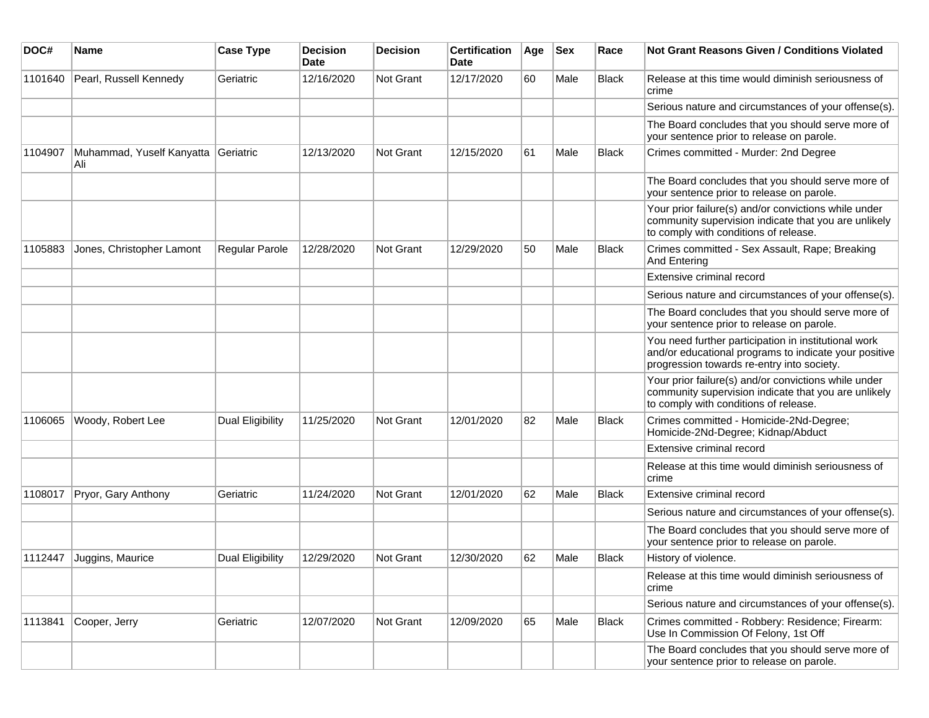| DOC#    | Name                             | <b>Case Type</b>      | <b>Decision</b><br><b>Date</b> | <b>Decision</b> | <b>Certification</b><br>Date | Age | <b>Sex</b> | Race         | Not Grant Reasons Given / Conditions Violated                                                                                                               |
|---------|----------------------------------|-----------------------|--------------------------------|-----------------|------------------------------|-----|------------|--------------|-------------------------------------------------------------------------------------------------------------------------------------------------------------|
| 1101640 | Pearl, Russell Kennedy           | Geriatric             | 12/16/2020                     | Not Grant       | 12/17/2020                   | 60  | Male       | Black        | Release at this time would diminish seriousness of<br>crime                                                                                                 |
|         |                                  |                       |                                |                 |                              |     |            |              | Serious nature and circumstances of your offense(s).                                                                                                        |
|         |                                  |                       |                                |                 |                              |     |            |              | The Board concludes that you should serve more of<br>your sentence prior to release on parole.                                                              |
| 1104907 | Muhammad, Yuself Kanyatta<br>Ali | Geriatric             | 12/13/2020                     | Not Grant       | 12/15/2020                   | 61  | Male       | <b>Black</b> | Crimes committed - Murder: 2nd Degree                                                                                                                       |
|         |                                  |                       |                                |                 |                              |     |            |              | The Board concludes that you should serve more of<br>your sentence prior to release on parole.                                                              |
|         |                                  |                       |                                |                 |                              |     |            |              | Your prior failure(s) and/or convictions while under<br>community supervision indicate that you are unlikely<br>to comply with conditions of release.       |
| 1105883 | Jones, Christopher Lamont        | <b>Regular Parole</b> | 12/28/2020                     | Not Grant       | 12/29/2020                   | 50  | Male       | <b>Black</b> | Crimes committed - Sex Assault, Rape; Breaking<br>And Entering                                                                                              |
|         |                                  |                       |                                |                 |                              |     |            |              | Extensive criminal record                                                                                                                                   |
|         |                                  |                       |                                |                 |                              |     |            |              | Serious nature and circumstances of your offense(s).                                                                                                        |
|         |                                  |                       |                                |                 |                              |     |            |              | The Board concludes that you should serve more of<br>your sentence prior to release on parole.                                                              |
|         |                                  |                       |                                |                 |                              |     |            |              | You need further participation in institutional work<br>and/or educational programs to indicate your positive<br>progression towards re-entry into society. |
|         |                                  |                       |                                |                 |                              |     |            |              | Your prior failure(s) and/or convictions while under<br>community supervision indicate that you are unlikely<br>to comply with conditions of release.       |
| 1106065 | Woody, Robert Lee                | Dual Eligibility      | 11/25/2020                     | Not Grant       | 12/01/2020                   | 82  | Male       | <b>Black</b> | Crimes committed - Homicide-2Nd-Degree;<br>Homicide-2Nd-Degree; Kidnap/Abduct                                                                               |
|         |                                  |                       |                                |                 |                              |     |            |              | Extensive criminal record                                                                                                                                   |
|         |                                  |                       |                                |                 |                              |     |            |              | Release at this time would diminish seriousness of<br>crime                                                                                                 |
| 1108017 | Pryor, Gary Anthony              | Geriatric             | 11/24/2020                     | Not Grant       | 12/01/2020                   | 62  | Male       | <b>Black</b> | Extensive criminal record                                                                                                                                   |
|         |                                  |                       |                                |                 |                              |     |            |              | Serious nature and circumstances of your offense(s).                                                                                                        |
|         |                                  |                       |                                |                 |                              |     |            |              | The Board concludes that you should serve more of<br>your sentence prior to release on parole.                                                              |
| 1112447 | Juggins, Maurice                 | Dual Eligibility      | 12/29/2020                     | Not Grant       | 12/30/2020                   | 62  | Male       | <b>Black</b> | History of violence.                                                                                                                                        |
|         |                                  |                       |                                |                 |                              |     |            |              | Release at this time would diminish seriousness of<br>crime                                                                                                 |
|         |                                  |                       |                                |                 |                              |     |            |              | Serious nature and circumstances of your offense(s).                                                                                                        |
| 1113841 | Cooper, Jerry                    | Geriatric             | 12/07/2020                     | Not Grant       | 12/09/2020                   | 65  | Male       | Black        | Crimes committed - Robbery: Residence; Firearm:<br>Use In Commission Of Felony, 1st Off                                                                     |
|         |                                  |                       |                                |                 |                              |     |            |              | The Board concludes that you should serve more of<br>your sentence prior to release on parole.                                                              |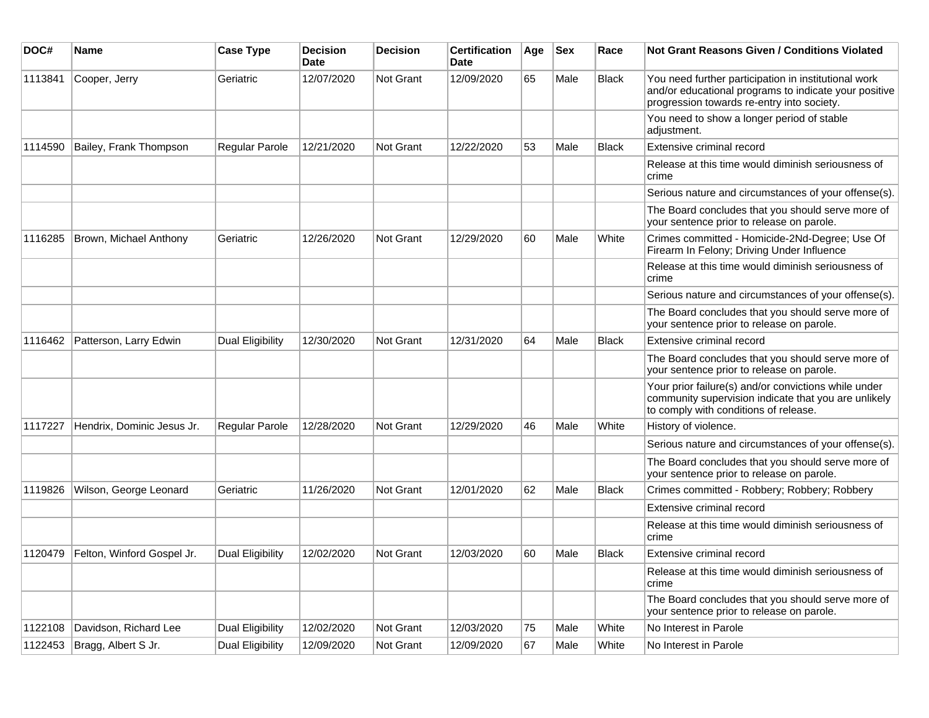| DOC#    | <b>Name</b>                | <b>Case Type</b> | <b>Decision</b><br><b>Date</b> | <b>Decision</b> | <b>Certification</b><br>Date | Age | <b>Sex</b> | Race         | <b>Not Grant Reasons Given / Conditions Violated</b>                                                                                                        |
|---------|----------------------------|------------------|--------------------------------|-----------------|------------------------------|-----|------------|--------------|-------------------------------------------------------------------------------------------------------------------------------------------------------------|
| 1113841 | Cooper, Jerry              | Geriatric        | 12/07/2020                     | Not Grant       | 12/09/2020                   | 65  | Male       | <b>Black</b> | You need further participation in institutional work<br>and/or educational programs to indicate your positive<br>progression towards re-entry into society. |
|         |                            |                  |                                |                 |                              |     |            |              | You need to show a longer period of stable<br>adjustment.                                                                                                   |
| 1114590 | Bailey, Frank Thompson     | Regular Parole   | 12/21/2020                     | Not Grant       | 12/22/2020                   | 53  | Male       | <b>Black</b> | Extensive criminal record                                                                                                                                   |
|         |                            |                  |                                |                 |                              |     |            |              | Release at this time would diminish seriousness of<br>crime                                                                                                 |
|         |                            |                  |                                |                 |                              |     |            |              | Serious nature and circumstances of your offense(s).                                                                                                        |
|         |                            |                  |                                |                 |                              |     |            |              | The Board concludes that you should serve more of<br>your sentence prior to release on parole.                                                              |
| 1116285 | Brown, Michael Anthony     | Geriatric        | 12/26/2020                     | Not Grant       | 12/29/2020                   | 60  | Male       | White        | Crimes committed - Homicide-2Nd-Degree; Use Of<br>Firearm In Felony; Driving Under Influence                                                                |
|         |                            |                  |                                |                 |                              |     |            |              | Release at this time would diminish seriousness of<br>crime                                                                                                 |
|         |                            |                  |                                |                 |                              |     |            |              | Serious nature and circumstances of your offense(s).                                                                                                        |
|         |                            |                  |                                |                 |                              |     |            |              | The Board concludes that you should serve more of<br>your sentence prior to release on parole.                                                              |
| 1116462 | Patterson, Larry Edwin     | Dual Eligibility | 12/30/2020                     | Not Grant       | 12/31/2020                   | 64  | Male       | <b>Black</b> | Extensive criminal record                                                                                                                                   |
|         |                            |                  |                                |                 |                              |     |            |              | The Board concludes that you should serve more of<br>your sentence prior to release on parole.                                                              |
|         |                            |                  |                                |                 |                              |     |            |              | Your prior failure(s) and/or convictions while under<br>community supervision indicate that you are unlikely<br>to comply with conditions of release.       |
| 1117227 | Hendrix, Dominic Jesus Jr. | Regular Parole   | 12/28/2020                     | Not Grant       | 12/29/2020                   | 46  | Male       | White        | History of violence.                                                                                                                                        |
|         |                            |                  |                                |                 |                              |     |            |              | Serious nature and circumstances of your offense(s).                                                                                                        |
|         |                            |                  |                                |                 |                              |     |            |              | The Board concludes that you should serve more of<br>your sentence prior to release on parole.                                                              |
| 1119826 | Wilson, George Leonard     | Geriatric        | 11/26/2020                     | Not Grant       | 12/01/2020                   | 62  | Male       | <b>Black</b> | Crimes committed - Robbery; Robbery; Robbery                                                                                                                |
|         |                            |                  |                                |                 |                              |     |            |              | Extensive criminal record                                                                                                                                   |
|         |                            |                  |                                |                 |                              |     |            |              | Release at this time would diminish seriousness of<br>crime                                                                                                 |
| 1120479 | Felton, Winford Gospel Jr. | Dual Eligibility | 12/02/2020                     | Not Grant       | 12/03/2020                   | 60  | Male       | <b>Black</b> | Extensive criminal record                                                                                                                                   |
|         |                            |                  |                                |                 |                              |     |            |              | Release at this time would diminish seriousness of<br>crime                                                                                                 |
|         |                            |                  |                                |                 |                              |     |            |              | The Board concludes that you should serve more of<br>your sentence prior to release on parole.                                                              |
| 1122108 | Davidson, Richard Lee      | Dual Eligibility | 12/02/2020                     | Not Grant       | 12/03/2020                   | 75  | Male       | White        | No Interest in Parole                                                                                                                                       |
| 1122453 | Bragg, Albert S Jr.        | Dual Eligibility | 12/09/2020                     | Not Grant       | 12/09/2020                   | 67  | Male       | White        | No Interest in Parole                                                                                                                                       |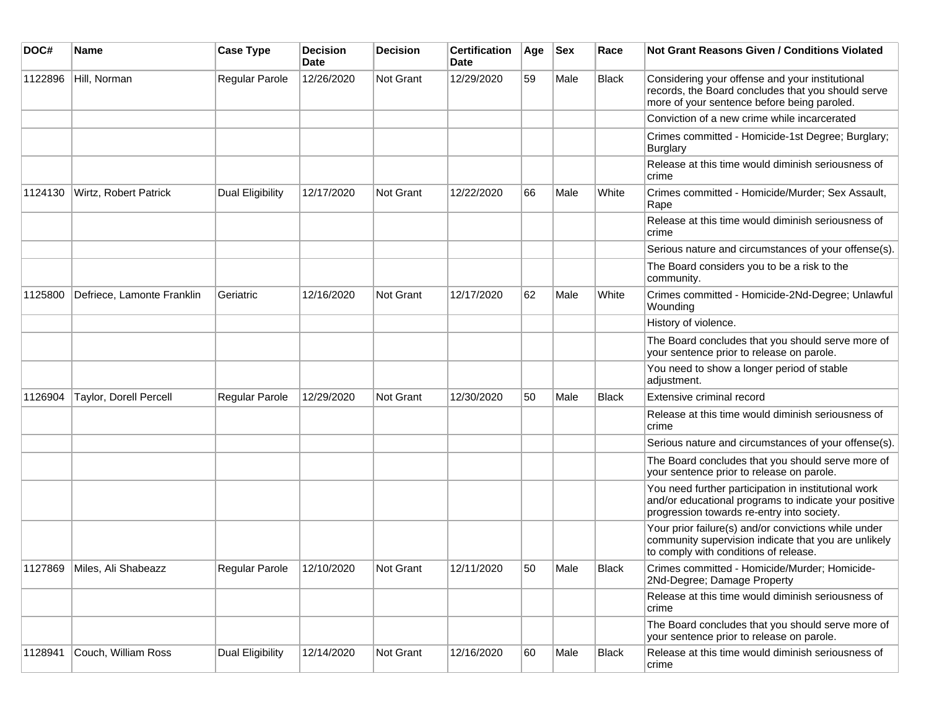| DOC#    | <b>Name</b>                 | <b>Case Type</b>        | <b>Decision</b><br><b>Date</b> | <b>Decision</b> | <b>Certification</b><br>Date | Age | <b>Sex</b> | Race         | Not Grant Reasons Given / Conditions Violated                                                                                                               |
|---------|-----------------------------|-------------------------|--------------------------------|-----------------|------------------------------|-----|------------|--------------|-------------------------------------------------------------------------------------------------------------------------------------------------------------|
| 1122896 | Hill, Norman                | Regular Parole          | 12/26/2020                     | Not Grant       | 12/29/2020                   | 59  | Male       | <b>Black</b> | Considering your offense and your institutional<br>records, the Board concludes that you should serve<br>more of your sentence before being paroled.        |
|         |                             |                         |                                |                 |                              |     |            |              | Conviction of a new crime while incarcerated                                                                                                                |
|         |                             |                         |                                |                 |                              |     |            |              | Crimes committed - Homicide-1st Degree; Burglary;<br><b>Burglary</b>                                                                                        |
|         |                             |                         |                                |                 |                              |     |            |              | Release at this time would diminish seriousness of<br>crime                                                                                                 |
| 1124130 | Wirtz, Robert Patrick       | <b>Dual Eligibility</b> | 12/17/2020                     | Not Grant       | 12/22/2020                   | 66  | Male       | White        | Crimes committed - Homicide/Murder; Sex Assault,<br>Rape                                                                                                    |
|         |                             |                         |                                |                 |                              |     |            |              | Release at this time would diminish seriousness of<br>crime                                                                                                 |
|         |                             |                         |                                |                 |                              |     |            |              | Serious nature and circumstances of your offense(s).                                                                                                        |
|         |                             |                         |                                |                 |                              |     |            |              | The Board considers you to be a risk to the<br>community.                                                                                                   |
| 1125800 | Defriece, Lamonte Franklin  | Geriatric               | 12/16/2020                     | Not Grant       | 12/17/2020                   | 62  | Male       | White        | Crimes committed - Homicide-2Nd-Degree; Unlawful<br>Wounding                                                                                                |
|         |                             |                         |                                |                 |                              |     |            |              | History of violence.                                                                                                                                        |
|         |                             |                         |                                |                 |                              |     |            |              | The Board concludes that you should serve more of<br>your sentence prior to release on parole.                                                              |
|         |                             |                         |                                |                 |                              |     |            |              | You need to show a longer period of stable<br>adjustment.                                                                                                   |
| 1126904 | Taylor, Dorell Percell      | Regular Parole          | 12/29/2020                     | Not Grant       | 12/30/2020                   | 50  | Male       | <b>Black</b> | Extensive criminal record                                                                                                                                   |
|         |                             |                         |                                |                 |                              |     |            |              | Release at this time would diminish seriousness of<br>crime                                                                                                 |
|         |                             |                         |                                |                 |                              |     |            |              | Serious nature and circumstances of your offense(s).                                                                                                        |
|         |                             |                         |                                |                 |                              |     |            |              | The Board concludes that you should serve more of<br>your sentence prior to release on parole.                                                              |
|         |                             |                         |                                |                 |                              |     |            |              | You need further participation in institutional work<br>and/or educational programs to indicate your positive<br>progression towards re-entry into society. |
|         |                             |                         |                                |                 |                              |     |            |              | Your prior failure(s) and/or convictions while under<br>community supervision indicate that you are unlikely<br>to comply with conditions of release.       |
|         | 1127869 Miles, Ali Shabeazz | Regular Parole          | 12/10/2020                     | Not Grant       | 12/11/2020                   | 50  | Male       | <b>Black</b> | Crimes committed - Homicide/Murder; Homicide-<br>2Nd-Degree; Damage Property                                                                                |
|         |                             |                         |                                |                 |                              |     |            |              | Release at this time would diminish seriousness of<br>crime                                                                                                 |
|         |                             |                         |                                |                 |                              |     |            |              | The Board concludes that you should serve more of<br>your sentence prior to release on parole.                                                              |
| 1128941 | Couch, William Ross         | <b>Dual Eligibility</b> | 12/14/2020                     | Not Grant       | 12/16/2020                   | 60  | Male       | <b>Black</b> | Release at this time would diminish seriousness of<br>crime                                                                                                 |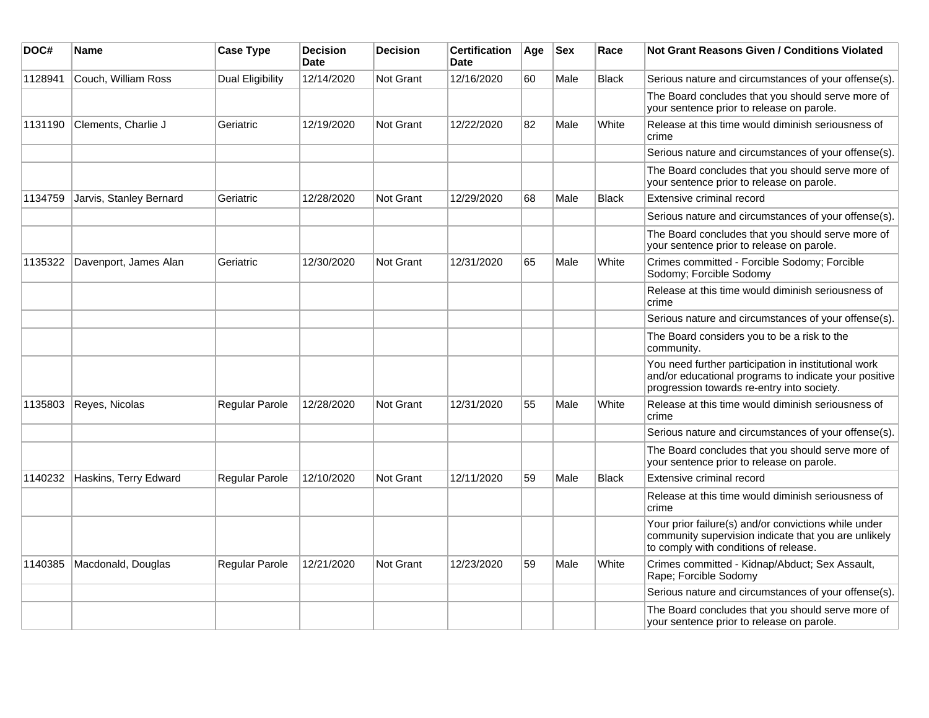| DOC#    | <b>Name</b>             | <b>Case Type</b>        | <b>Decision</b><br><b>Date</b> | <b>Decision</b>  | <b>Certification</b><br>Date | Age | <b>Sex</b> | Race         | <b>Not Grant Reasons Given / Conditions Violated</b>                                                                                                        |
|---------|-------------------------|-------------------------|--------------------------------|------------------|------------------------------|-----|------------|--------------|-------------------------------------------------------------------------------------------------------------------------------------------------------------|
| 1128941 | Couch, William Ross     | <b>Dual Eligibility</b> | 12/14/2020                     | <b>Not Grant</b> | 12/16/2020                   | 60  | Male       | Black        | Serious nature and circumstances of your offense(s).                                                                                                        |
|         |                         |                         |                                |                  |                              |     |            |              | The Board concludes that you should serve more of<br>your sentence prior to release on parole.                                                              |
| 1131190 | Clements, Charlie J     | Geriatric               | 12/19/2020                     | Not Grant        | 12/22/2020                   | 82  | Male       | White        | Release at this time would diminish seriousness of<br>crime                                                                                                 |
|         |                         |                         |                                |                  |                              |     |            |              | Serious nature and circumstances of your offense(s).                                                                                                        |
|         |                         |                         |                                |                  |                              |     |            |              | The Board concludes that you should serve more of<br>your sentence prior to release on parole.                                                              |
| 1134759 | Jarvis, Stanley Bernard | Geriatric               | 12/28/2020                     | <b>Not Grant</b> | 12/29/2020                   | 68  | Male       | <b>Black</b> | Extensive criminal record                                                                                                                                   |
|         |                         |                         |                                |                  |                              |     |            |              | Serious nature and circumstances of your offense(s).                                                                                                        |
|         |                         |                         |                                |                  |                              |     |            |              | The Board concludes that you should serve more of<br>your sentence prior to release on parole.                                                              |
| 1135322 | Davenport, James Alan   | Geriatric               | 12/30/2020                     | <b>Not Grant</b> | 12/31/2020                   | 65  | Male       | White        | Crimes committed - Forcible Sodomy; Forcible<br>Sodomy; Forcible Sodomy                                                                                     |
|         |                         |                         |                                |                  |                              |     |            |              | Release at this time would diminish seriousness of<br>crime                                                                                                 |
|         |                         |                         |                                |                  |                              |     |            |              | Serious nature and circumstances of your offense(s).                                                                                                        |
|         |                         |                         |                                |                  |                              |     |            |              | The Board considers you to be a risk to the<br>community.                                                                                                   |
|         |                         |                         |                                |                  |                              |     |            |              | You need further participation in institutional work<br>and/or educational programs to indicate your positive<br>progression towards re-entry into society. |
| 1135803 | Reyes, Nicolas          | Regular Parole          | 12/28/2020                     | <b>Not Grant</b> | 12/31/2020                   | 55  | Male       | White        | Release at this time would diminish seriousness of<br>crime                                                                                                 |
|         |                         |                         |                                |                  |                              |     |            |              | Serious nature and circumstances of your offense(s).                                                                                                        |
|         |                         |                         |                                |                  |                              |     |            |              | The Board concludes that you should serve more of<br>your sentence prior to release on parole.                                                              |
| 1140232 | Haskins, Terry Edward   | Regular Parole          | 12/10/2020                     | <b>Not Grant</b> | 12/11/2020                   | 59  | Male       | <b>Black</b> | Extensive criminal record                                                                                                                                   |
|         |                         |                         |                                |                  |                              |     |            |              | Release at this time would diminish seriousness of<br>crime                                                                                                 |
|         |                         |                         |                                |                  |                              |     |            |              | Your prior failure(s) and/or convictions while under<br>community supervision indicate that you are unlikely<br>to comply with conditions of release.       |
| 1140385 | Macdonald, Douglas      | Regular Parole          | 12/21/2020                     | <b>Not Grant</b> | 12/23/2020                   | 59  | Male       | White        | Crimes committed - Kidnap/Abduct; Sex Assault,<br>Rape; Forcible Sodomy                                                                                     |
|         |                         |                         |                                |                  |                              |     |            |              | Serious nature and circumstances of your offense(s).                                                                                                        |
|         |                         |                         |                                |                  |                              |     |            |              | The Board concludes that you should serve more of<br>your sentence prior to release on parole.                                                              |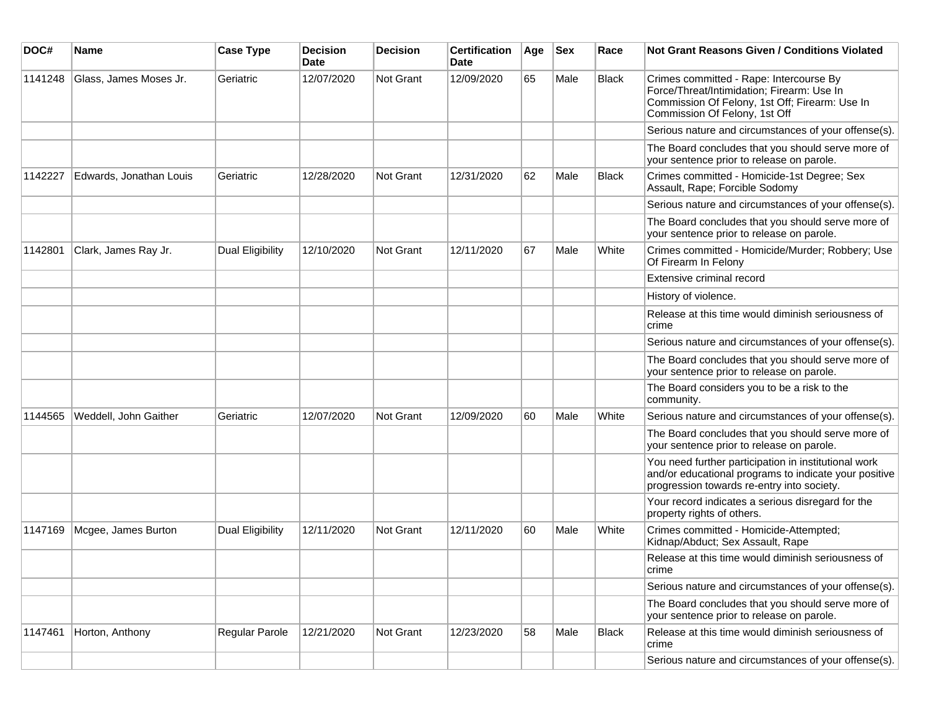| DOC#    | <b>Name</b>             | <b>Case Type</b>        | <b>Decision</b><br><b>Date</b> | <b>Decision</b>  | <b>Certification</b><br><b>Date</b> | Age | <b>Sex</b> | Race         | <b>Not Grant Reasons Given / Conditions Violated</b>                                                                                                                     |
|---------|-------------------------|-------------------------|--------------------------------|------------------|-------------------------------------|-----|------------|--------------|--------------------------------------------------------------------------------------------------------------------------------------------------------------------------|
| 1141248 | Glass, James Moses Jr.  | Geriatric               | 12/07/2020                     | Not Grant        | 12/09/2020                          | 65  | Male       | <b>Black</b> | Crimes committed - Rape: Intercourse By<br>Force/Threat/Intimidation; Firearm: Use In<br>Commission Of Felony, 1st Off; Firearm: Use In<br>Commission Of Felony, 1st Off |
|         |                         |                         |                                |                  |                                     |     |            |              | Serious nature and circumstances of your offense(s).                                                                                                                     |
|         |                         |                         |                                |                  |                                     |     |            |              | The Board concludes that you should serve more of<br>your sentence prior to release on parole.                                                                           |
| 1142227 | Edwards, Jonathan Louis | Geriatric               | 12/28/2020                     | Not Grant        | 12/31/2020                          | 62  | Male       | <b>Black</b> | Crimes committed - Homicide-1st Degree; Sex<br>Assault, Rape; Forcible Sodomy                                                                                            |
|         |                         |                         |                                |                  |                                     |     |            |              | Serious nature and circumstances of your offense(s).                                                                                                                     |
|         |                         |                         |                                |                  |                                     |     |            |              | The Board concludes that you should serve more of<br>your sentence prior to release on parole.                                                                           |
| 1142801 | Clark, James Ray Jr.    | <b>Dual Eligibility</b> | 12/10/2020                     | Not Grant        | 12/11/2020                          | 67  | Male       | White        | Crimes committed - Homicide/Murder; Robbery; Use<br>Of Firearm In Felony                                                                                                 |
|         |                         |                         |                                |                  |                                     |     |            |              | Extensive criminal record                                                                                                                                                |
|         |                         |                         |                                |                  |                                     |     |            |              | History of violence.                                                                                                                                                     |
|         |                         |                         |                                |                  |                                     |     |            |              | Release at this time would diminish seriousness of<br>crime                                                                                                              |
|         |                         |                         |                                |                  |                                     |     |            |              | Serious nature and circumstances of your offense(s).                                                                                                                     |
|         |                         |                         |                                |                  |                                     |     |            |              | The Board concludes that you should serve more of<br>your sentence prior to release on parole.                                                                           |
|         |                         |                         |                                |                  |                                     |     |            |              | The Board considers you to be a risk to the<br>community.                                                                                                                |
| 1144565 | Weddell, John Gaither   | Geriatric               | 12/07/2020                     | Not Grant        | 12/09/2020                          | 60  | Male       | White        | Serious nature and circumstances of your offense(s).                                                                                                                     |
|         |                         |                         |                                |                  |                                     |     |            |              | The Board concludes that you should serve more of<br>your sentence prior to release on parole.                                                                           |
|         |                         |                         |                                |                  |                                     |     |            |              | You need further participation in institutional work<br>and/or educational programs to indicate your positive<br>progression towards re-entry into society.              |
|         |                         |                         |                                |                  |                                     |     |            |              | Your record indicates a serious disregard for the<br>property rights of others.                                                                                          |
| 1147169 | Mcgee, James Burton     | Dual Eligibility        | 12/11/2020                     | <b>Not Grant</b> | 12/11/2020                          | 60  | Male       | White        | Crimes committed - Homicide-Attempted;<br>Kidnap/Abduct; Sex Assault, Rape                                                                                               |
|         |                         |                         |                                |                  |                                     |     |            |              | Release at this time would diminish seriousness of<br>crime                                                                                                              |
|         |                         |                         |                                |                  |                                     |     |            |              | Serious nature and circumstances of your offense(s).                                                                                                                     |
|         |                         |                         |                                |                  |                                     |     |            |              | The Board concludes that you should serve more of<br>your sentence prior to release on parole.                                                                           |
| 1147461 | Horton, Anthony         | Regular Parole          | 12/21/2020                     | Not Grant        | 12/23/2020                          | 58  | Male       | <b>Black</b> | Release at this time would diminish seriousness of<br>crime                                                                                                              |
|         |                         |                         |                                |                  |                                     |     |            |              | Serious nature and circumstances of your offense(s).                                                                                                                     |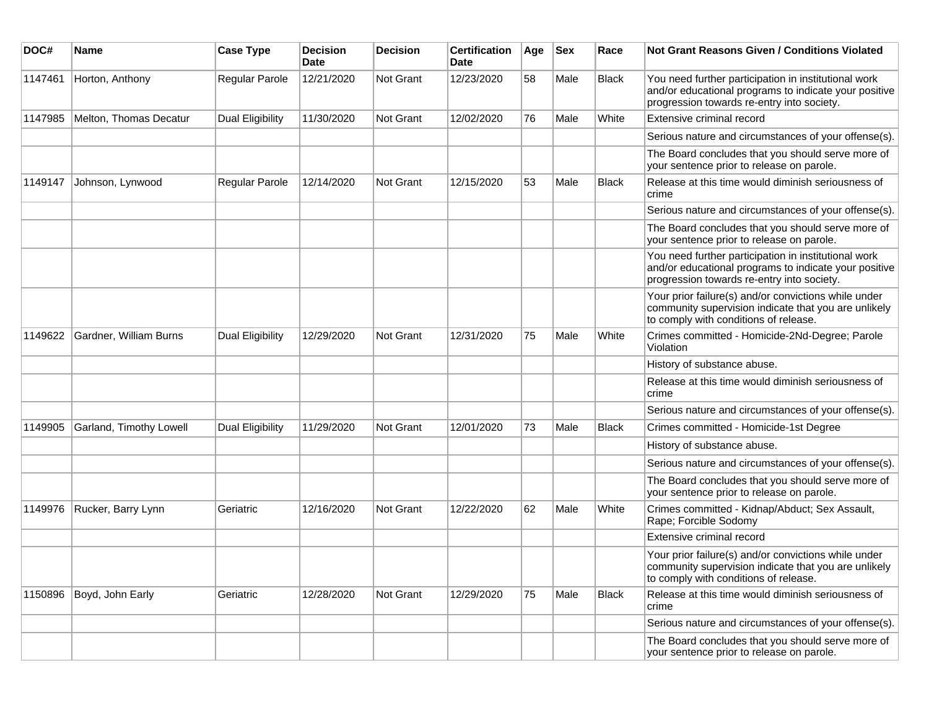| DOC#    | <b>Name</b>             | <b>Case Type</b>        | <b>Decision</b><br>Date | <b>Decision</b> | <b>Certification</b><br>Date | Age | <b>Sex</b> | Race         | Not Grant Reasons Given / Conditions Violated                                                                                                               |
|---------|-------------------------|-------------------------|-------------------------|-----------------|------------------------------|-----|------------|--------------|-------------------------------------------------------------------------------------------------------------------------------------------------------------|
| 1147461 | Horton, Anthony         | Regular Parole          | 12/21/2020              | Not Grant       | 12/23/2020                   | 58  | Male       | <b>Black</b> | You need further participation in institutional work<br>and/or educational programs to indicate your positive<br>progression towards re-entry into society. |
| 1147985 | Melton, Thomas Decatur  | <b>Dual Eligibility</b> | 11/30/2020              | Not Grant       | 12/02/2020                   | 76  | Male       | White        | Extensive criminal record                                                                                                                                   |
|         |                         |                         |                         |                 |                              |     |            |              | Serious nature and circumstances of your offense(s).                                                                                                        |
|         |                         |                         |                         |                 |                              |     |            |              | The Board concludes that you should serve more of<br>your sentence prior to release on parole.                                                              |
| 1149147 | Johnson, Lynwood        | Regular Parole          | 12/14/2020              | Not Grant       | 12/15/2020                   | 53  | Male       | <b>Black</b> | Release at this time would diminish seriousness of<br>crime                                                                                                 |
|         |                         |                         |                         |                 |                              |     |            |              | Serious nature and circumstances of your offense(s).                                                                                                        |
|         |                         |                         |                         |                 |                              |     |            |              | The Board concludes that you should serve more of<br>your sentence prior to release on parole.                                                              |
|         |                         |                         |                         |                 |                              |     |            |              | You need further participation in institutional work<br>and/or educational programs to indicate your positive<br>progression towards re-entry into society. |
|         |                         |                         |                         |                 |                              |     |            |              | Your prior failure(s) and/or convictions while under<br>community supervision indicate that you are unlikely<br>to comply with conditions of release.       |
| 1149622 | Gardner, William Burns  | Dual Eligibility        | 12/29/2020              | Not Grant       | 12/31/2020                   | 75  | Male       | White        | Crimes committed - Homicide-2Nd-Degree; Parole<br>Violation                                                                                                 |
|         |                         |                         |                         |                 |                              |     |            |              | History of substance abuse.                                                                                                                                 |
|         |                         |                         |                         |                 |                              |     |            |              | Release at this time would diminish seriousness of<br>crime                                                                                                 |
|         |                         |                         |                         |                 |                              |     |            |              | Serious nature and circumstances of your offense(s).                                                                                                        |
| 1149905 | Garland, Timothy Lowell | Dual Eligibility        | 11/29/2020              | Not Grant       | 12/01/2020                   | 73  | Male       | <b>Black</b> | Crimes committed - Homicide-1st Degree                                                                                                                      |
|         |                         |                         |                         |                 |                              |     |            |              | History of substance abuse.                                                                                                                                 |
|         |                         |                         |                         |                 |                              |     |            |              | Serious nature and circumstances of your offense(s).                                                                                                        |
|         |                         |                         |                         |                 |                              |     |            |              | The Board concludes that you should serve more of<br>your sentence prior to release on parole.                                                              |
| 1149976 | Rucker, Barry Lynn      | Geriatric               | 12/16/2020              | Not Grant       | 12/22/2020                   | 62  | Male       | White        | Crimes committed - Kidnap/Abduct; Sex Assault,<br>Rape; Forcible Sodomy                                                                                     |
|         |                         |                         |                         |                 |                              |     |            |              | Extensive criminal record                                                                                                                                   |
|         |                         |                         |                         |                 |                              |     |            |              | Your prior failure(s) and/or convictions while under<br>community supervision indicate that you are unlikely<br>to comply with conditions of release.       |
| 1150896 | Boyd, John Early        | Geriatric               | 12/28/2020              | Not Grant       | 12/29/2020                   | 75  | Male       | <b>Black</b> | Release at this time would diminish seriousness of<br>crime                                                                                                 |
|         |                         |                         |                         |                 |                              |     |            |              | Serious nature and circumstances of your offense(s).                                                                                                        |
|         |                         |                         |                         |                 |                              |     |            |              | The Board concludes that you should serve more of<br>your sentence prior to release on parole.                                                              |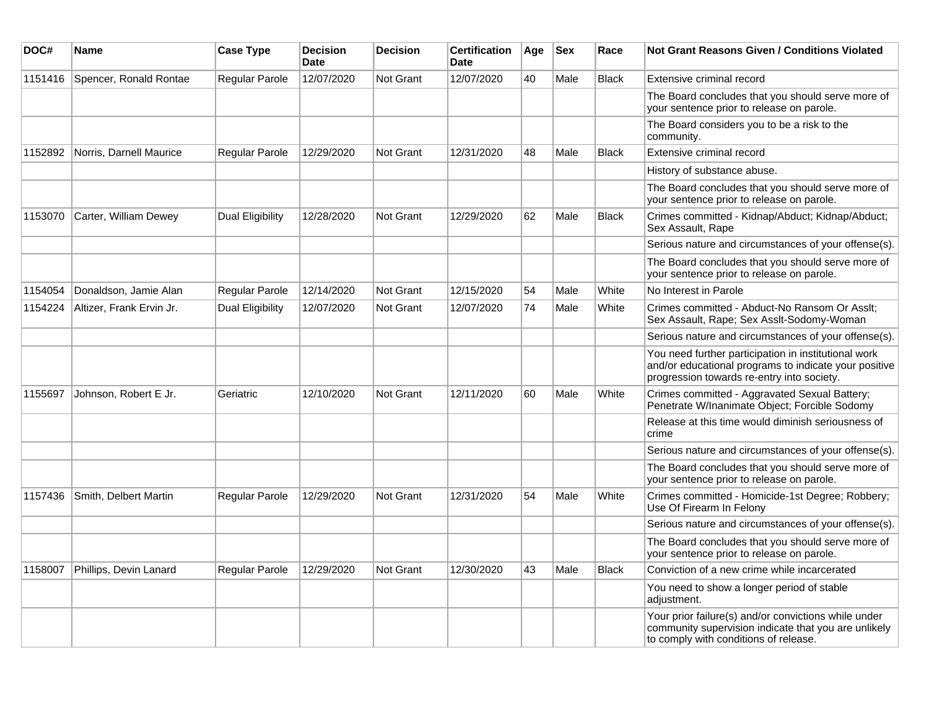| DOC#    | Name                     | <b>Case Type</b>        | <b>Decision</b><br><b>Date</b> | <b>Decision</b>  | <b>Certification</b><br>Date | Age | <b>Sex</b> | Race         | Not Grant Reasons Given / Conditions Violated                                                                                                               |
|---------|--------------------------|-------------------------|--------------------------------|------------------|------------------------------|-----|------------|--------------|-------------------------------------------------------------------------------------------------------------------------------------------------------------|
| 1151416 | Spencer, Ronald Rontae   | Regular Parole          | 12/07/2020                     | <b>Not Grant</b> | 12/07/2020                   | 40  | Male       | <b>Black</b> | Extensive criminal record                                                                                                                                   |
|         |                          |                         |                                |                  |                              |     |            |              | The Board concludes that you should serve more of<br>your sentence prior to release on parole.                                                              |
|         |                          |                         |                                |                  |                              |     |            |              | The Board considers you to be a risk to the<br>community.                                                                                                   |
| 1152892 | Norris, Darnell Maurice  | <b>Regular Parole</b>   | 12/29/2020                     | Not Grant        | 12/31/2020                   | 48  | Male       | <b>Black</b> | Extensive criminal record                                                                                                                                   |
|         |                          |                         |                                |                  |                              |     |            |              | History of substance abuse.                                                                                                                                 |
|         |                          |                         |                                |                  |                              |     |            |              | The Board concludes that you should serve more of<br>your sentence prior to release on parole.                                                              |
| 1153070 | Carter, William Dewey    | Dual Eligibility        | 12/28/2020                     | Not Grant        | 12/29/2020                   | 62  | Male       | <b>Black</b> | Crimes committed - Kidnap/Abduct; Kidnap/Abduct;<br>Sex Assault, Rape                                                                                       |
|         |                          |                         |                                |                  |                              |     |            |              | Serious nature and circumstances of your offense(s).                                                                                                        |
|         |                          |                         |                                |                  |                              |     |            |              | The Board concludes that you should serve more of<br>your sentence prior to release on parole.                                                              |
| 1154054 | Donaldson, Jamie Alan    | Regular Parole          | 12/14/2020                     | Not Grant        | 12/15/2020                   | 54  | Male       | White        | No Interest in Parole                                                                                                                                       |
| 1154224 | Altizer, Frank Ervin Jr. | <b>Dual Eligibility</b> | 12/07/2020                     | Not Grant        | 12/07/2020                   | 74  | Male       | White        | Crimes committed - Abduct-No Ransom Or Asslt;<br>Sex Assault, Rape; Sex Asslt-Sodomy-Woman                                                                  |
|         |                          |                         |                                |                  |                              |     |            |              | Serious nature and circumstances of your offense(s).                                                                                                        |
|         |                          |                         |                                |                  |                              |     |            |              | You need further participation in institutional work<br>and/or educational programs to indicate your positive<br>progression towards re-entry into society. |
| 1155697 | Johnson, Robert E Jr.    | Geriatric               | 12/10/2020                     | Not Grant        | 12/11/2020                   | 60  | Male       | White        | Crimes committed - Aggravated Sexual Battery;<br>Penetrate W/Inanimate Object; Forcible Sodomy                                                              |
|         |                          |                         |                                |                  |                              |     |            |              | Release at this time would diminish seriousness of<br>crime                                                                                                 |
|         |                          |                         |                                |                  |                              |     |            |              | Serious nature and circumstances of your offense(s).                                                                                                        |
|         |                          |                         |                                |                  |                              |     |            |              | The Board concludes that you should serve more of<br>your sentence prior to release on parole.                                                              |
| 1157436 | Smith, Delbert Martin    | Regular Parole          | 12/29/2020                     | <b>Not Grant</b> | 12/31/2020                   | 54  | Male       | White        | Crimes committed - Homicide-1st Degree; Robbery;<br>Use Of Firearm In Felony                                                                                |
|         |                          |                         |                                |                  |                              |     |            |              | Serious nature and circumstances of your offense(s).                                                                                                        |
|         |                          |                         |                                |                  |                              |     |            |              | The Board concludes that you should serve more of<br>your sentence prior to release on parole.                                                              |
| 1158007 | Phillips, Devin Lanard   | Regular Parole          | 12/29/2020                     | <b>Not Grant</b> | 12/30/2020                   | 43  | Male       | <b>Black</b> | Conviction of a new crime while incarcerated                                                                                                                |
|         |                          |                         |                                |                  |                              |     |            |              | You need to show a longer period of stable<br>adjustment.                                                                                                   |
|         |                          |                         |                                |                  |                              |     |            |              | Your prior failure(s) and/or convictions while under<br>community supervision indicate that you are unlikely<br>to comply with conditions of release.       |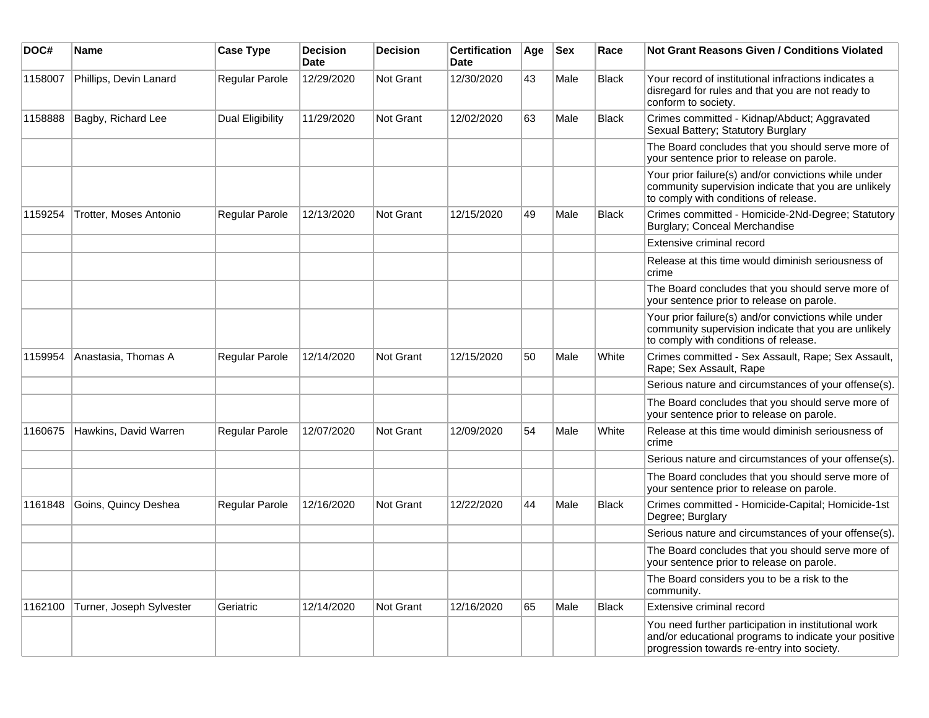| DOC#    | Name                     | <b>Case Type</b>      | <b>Decision</b><br><b>Date</b> | <b>Decision</b> | <b>Certification</b><br>Date | Age | <b>Sex</b> | Race         | <b>Not Grant Reasons Given / Conditions Violated</b>                                                                                                        |
|---------|--------------------------|-----------------------|--------------------------------|-----------------|------------------------------|-----|------------|--------------|-------------------------------------------------------------------------------------------------------------------------------------------------------------|
| 1158007 | Phillips, Devin Lanard   | Regular Parole        | 12/29/2020                     | Not Grant       | 12/30/2020                   | 43  | Male       | <b>Black</b> | Your record of institutional infractions indicates a<br>disregard for rules and that you are not ready to<br>conform to society.                            |
| 1158888 | Bagby, Richard Lee       | Dual Eligibility      | 11/29/2020                     | Not Grant       | 12/02/2020                   | 63  | Male       | <b>Black</b> | Crimes committed - Kidnap/Abduct; Aggravated<br>Sexual Battery; Statutory Burglary                                                                          |
|         |                          |                       |                                |                 |                              |     |            |              | The Board concludes that you should serve more of<br>your sentence prior to release on parole.                                                              |
|         |                          |                       |                                |                 |                              |     |            |              | Your prior failure(s) and/or convictions while under<br>community supervision indicate that you are unlikely<br>to comply with conditions of release.       |
| 1159254 | Trotter, Moses Antonio   | <b>Regular Parole</b> | 12/13/2020                     | Not Grant       | 12/15/2020                   | 49  | Male       | <b>Black</b> | Crimes committed - Homicide-2Nd-Degree; Statutory<br>Burglary; Conceal Merchandise                                                                          |
|         |                          |                       |                                |                 |                              |     |            |              | Extensive criminal record                                                                                                                                   |
|         |                          |                       |                                |                 |                              |     |            |              | Release at this time would diminish seriousness of<br>crime                                                                                                 |
|         |                          |                       |                                |                 |                              |     |            |              | The Board concludes that you should serve more of<br>your sentence prior to release on parole.                                                              |
|         |                          |                       |                                |                 |                              |     |            |              | Your prior failure(s) and/or convictions while under<br>community supervision indicate that you are unlikely<br>to comply with conditions of release.       |
| 1159954 | Anastasia, Thomas A      | Regular Parole        | 12/14/2020                     | Not Grant       | 12/15/2020                   | 50  | Male       | White        | Crimes committed - Sex Assault, Rape; Sex Assault,<br>Rape; Sex Assault, Rape                                                                               |
|         |                          |                       |                                |                 |                              |     |            |              | Serious nature and circumstances of your offense(s).                                                                                                        |
|         |                          |                       |                                |                 |                              |     |            |              | The Board concludes that you should serve more of<br>your sentence prior to release on parole.                                                              |
| 1160675 | Hawkins, David Warren    | <b>Regular Parole</b> | 12/07/2020                     | Not Grant       | 12/09/2020                   | 54  | Male       | White        | Release at this time would diminish seriousness of<br>crime                                                                                                 |
|         |                          |                       |                                |                 |                              |     |            |              | Serious nature and circumstances of your offense(s).                                                                                                        |
|         |                          |                       |                                |                 |                              |     |            |              | The Board concludes that you should serve more of<br>your sentence prior to release on parole.                                                              |
| 1161848 | Goins, Quincy Deshea     | Regular Parole        | 12/16/2020                     | Not Grant       | 12/22/2020                   | 44  | Male       | Black        | Crimes committed - Homicide-Capital; Homicide-1st<br>Degree; Burglary                                                                                       |
|         |                          |                       |                                |                 |                              |     |            |              | Serious nature and circumstances of your offense(s).                                                                                                        |
|         |                          |                       |                                |                 |                              |     |            |              | The Board concludes that you should serve more of<br>your sentence prior to release on parole.                                                              |
|         |                          |                       |                                |                 |                              |     |            |              | The Board considers you to be a risk to the<br>community.                                                                                                   |
| 1162100 | Turner, Joseph Sylvester | Geriatric             | 12/14/2020                     | Not Grant       | 12/16/2020                   | 65  | Male       | <b>Black</b> | Extensive criminal record                                                                                                                                   |
|         |                          |                       |                                |                 |                              |     |            |              | You need further participation in institutional work<br>and/or educational programs to indicate your positive<br>progression towards re-entry into society. |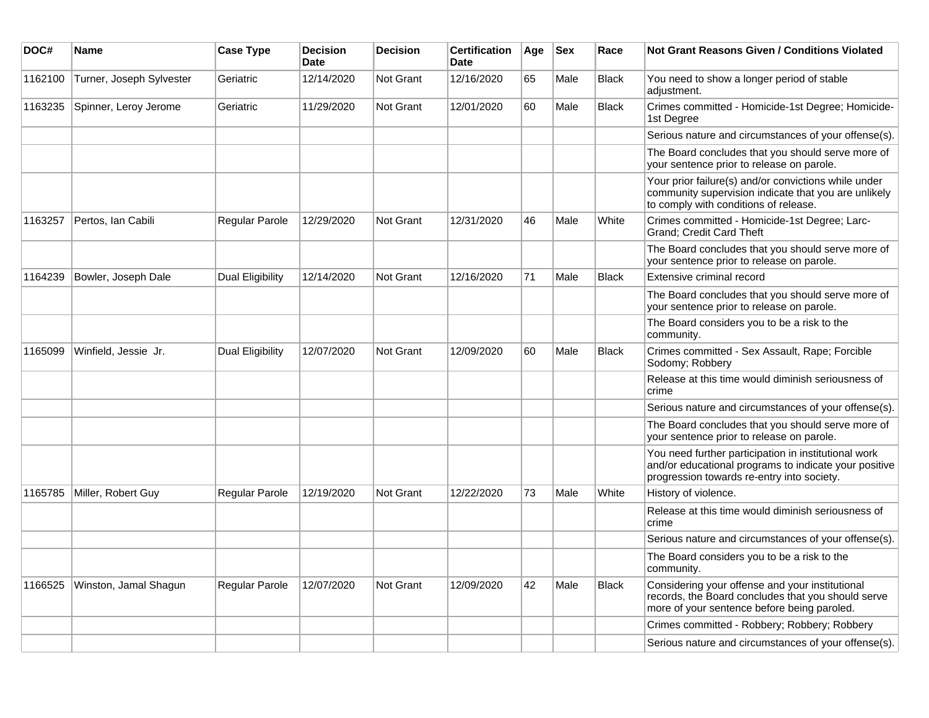| DOC#    | Name                     | <b>Case Type</b>        | <b>Decision</b><br><b>Date</b> | <b>Decision</b>  | <b>Certification</b><br><b>Date</b> | Age | <b>Sex</b> | Race         | <b>Not Grant Reasons Given / Conditions Violated</b>                                                                                                        |
|---------|--------------------------|-------------------------|--------------------------------|------------------|-------------------------------------|-----|------------|--------------|-------------------------------------------------------------------------------------------------------------------------------------------------------------|
| 1162100 | Turner, Joseph Sylvester | Geriatric               | 12/14/2020                     | Not Grant        | 12/16/2020                          | 65  | Male       | <b>Black</b> | You need to show a longer period of stable<br>adjustment.                                                                                                   |
| 1163235 | Spinner, Leroy Jerome    | Geriatric               | 11/29/2020                     | <b>Not Grant</b> | 12/01/2020                          | 60  | Male       | <b>Black</b> | Crimes committed - Homicide-1st Degree; Homicide-<br>1st Degree                                                                                             |
|         |                          |                         |                                |                  |                                     |     |            |              | Serious nature and circumstances of your offense(s).                                                                                                        |
|         |                          |                         |                                |                  |                                     |     |            |              | The Board concludes that you should serve more of<br>your sentence prior to release on parole.                                                              |
|         |                          |                         |                                |                  |                                     |     |            |              | Your prior failure(s) and/or convictions while under<br>community supervision indicate that you are unlikely<br>to comply with conditions of release.       |
| 1163257 | Pertos, Ian Cabili       | Regular Parole          | 12/29/2020                     | <b>Not Grant</b> | 12/31/2020                          | 46  | Male       | White        | Crimes committed - Homicide-1st Degree; Larc-<br>Grand; Credit Card Theft                                                                                   |
|         |                          |                         |                                |                  |                                     |     |            |              | The Board concludes that you should serve more of<br>your sentence prior to release on parole.                                                              |
| 1164239 | Bowler, Joseph Dale      | Dual Eligibility        | 12/14/2020                     | Not Grant        | 12/16/2020                          | 71  | Male       | <b>Black</b> | Extensive criminal record                                                                                                                                   |
|         |                          |                         |                                |                  |                                     |     |            |              | The Board concludes that you should serve more of<br>your sentence prior to release on parole.                                                              |
|         |                          |                         |                                |                  |                                     |     |            |              | The Board considers you to be a risk to the<br>community.                                                                                                   |
| 1165099 | Winfield, Jessie Jr.     | <b>Dual Eligibility</b> | 12/07/2020                     | Not Grant        | 12/09/2020                          | 60  | Male       | <b>Black</b> | Crimes committed - Sex Assault, Rape; Forcible<br>Sodomy; Robbery                                                                                           |
|         |                          |                         |                                |                  |                                     |     |            |              | Release at this time would diminish seriousness of<br>crime                                                                                                 |
|         |                          |                         |                                |                  |                                     |     |            |              | Serious nature and circumstances of your offense(s).                                                                                                        |
|         |                          |                         |                                |                  |                                     |     |            |              | The Board concludes that you should serve more of<br>your sentence prior to release on parole.                                                              |
|         |                          |                         |                                |                  |                                     |     |            |              | You need further participation in institutional work<br>and/or educational programs to indicate your positive<br>progression towards re-entry into society. |
| 1165785 | Miller, Robert Guy       | <b>Regular Parole</b>   | 12/19/2020                     | Not Grant        | 12/22/2020                          | 73  | Male       | White        | History of violence.                                                                                                                                        |
|         |                          |                         |                                |                  |                                     |     |            |              | Release at this time would diminish seriousness of<br>crime                                                                                                 |
|         |                          |                         |                                |                  |                                     |     |            |              | Serious nature and circumstances of your offense(s).                                                                                                        |
|         |                          |                         |                                |                  |                                     |     |            |              | The Board considers you to be a risk to the<br>community.                                                                                                   |
| 1166525 | Winston, Jamal Shagun    | Regular Parole          | 12/07/2020                     | <b>Not Grant</b> | 12/09/2020                          | 42  | Male       | <b>Black</b> | Considering your offense and your institutional<br>records, the Board concludes that you should serve<br>more of your sentence before being paroled.        |
|         |                          |                         |                                |                  |                                     |     |            |              | Crimes committed - Robbery; Robbery; Robbery                                                                                                                |
|         |                          |                         |                                |                  |                                     |     |            |              | Serious nature and circumstances of your offense(s).                                                                                                        |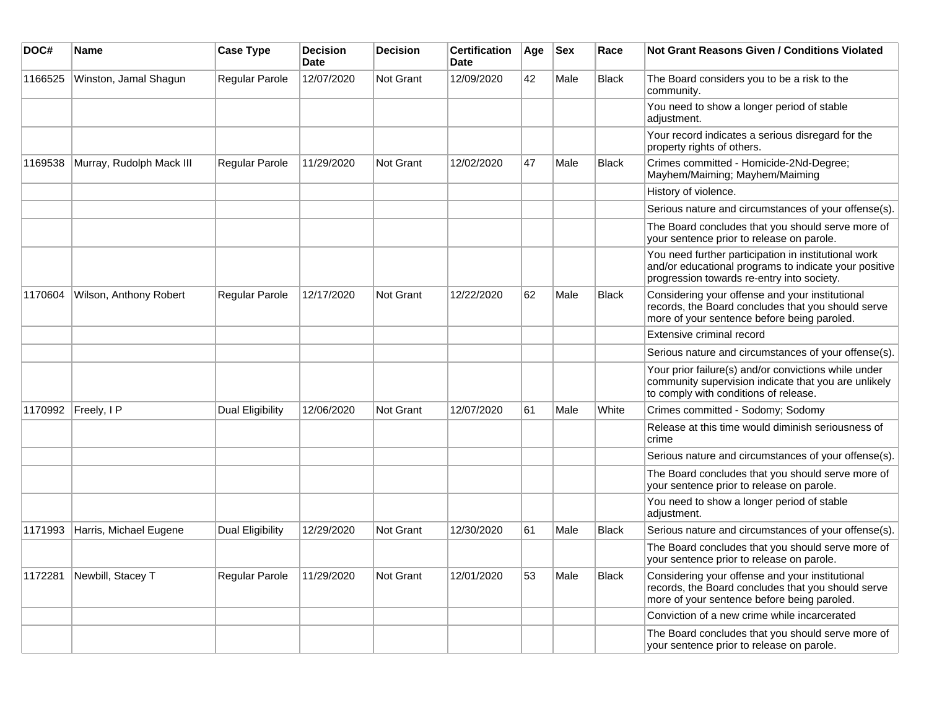| DOC#    | <b>Name</b>              | <b>Case Type</b>        | <b>Decision</b><br><b>Date</b> | <b>Decision</b>  | <b>Certification</b><br><b>Date</b> | Age | <b>Sex</b> | Race         | <b>Not Grant Reasons Given / Conditions Violated</b>                                                                                                        |
|---------|--------------------------|-------------------------|--------------------------------|------------------|-------------------------------------|-----|------------|--------------|-------------------------------------------------------------------------------------------------------------------------------------------------------------|
| 1166525 | Winston, Jamal Shagun    | Regular Parole          | 12/07/2020                     | Not Grant        | 12/09/2020                          | 42  | Male       | <b>Black</b> | The Board considers you to be a risk to the<br>community.                                                                                                   |
|         |                          |                         |                                |                  |                                     |     |            |              | You need to show a longer period of stable<br>adjustment.                                                                                                   |
|         |                          |                         |                                |                  |                                     |     |            |              | Your record indicates a serious disregard for the<br>property rights of others.                                                                             |
| 1169538 | Murray, Rudolph Mack III | Regular Parole          | 11/29/2020                     | <b>Not Grant</b> | 12/02/2020                          | 47  | Male       | <b>Black</b> | Crimes committed - Homicide-2Nd-Degree;<br>Mayhem/Maiming; Mayhem/Maiming                                                                                   |
|         |                          |                         |                                |                  |                                     |     |            |              | History of violence.                                                                                                                                        |
|         |                          |                         |                                |                  |                                     |     |            |              | Serious nature and circumstances of your offense(s).                                                                                                        |
|         |                          |                         |                                |                  |                                     |     |            |              | The Board concludes that you should serve more of<br>your sentence prior to release on parole.                                                              |
|         |                          |                         |                                |                  |                                     |     |            |              | You need further participation in institutional work<br>and/or educational programs to indicate your positive<br>progression towards re-entry into society. |
| 1170604 | Wilson, Anthony Robert   | Regular Parole          | 12/17/2020                     | Not Grant        | 12/22/2020                          | 62  | Male       | <b>Black</b> | Considering your offense and your institutional<br>records, the Board concludes that you should serve<br>more of your sentence before being paroled.        |
|         |                          |                         |                                |                  |                                     |     |            |              | Extensive criminal record                                                                                                                                   |
|         |                          |                         |                                |                  |                                     |     |            |              | Serious nature and circumstances of your offense(s).                                                                                                        |
|         |                          |                         |                                |                  |                                     |     |            |              | Your prior failure(s) and/or convictions while under<br>community supervision indicate that you are unlikely<br>to comply with conditions of release.       |
| 1170992 | Freely, I P              | <b>Dual Eligibility</b> | 12/06/2020                     | <b>Not Grant</b> | 12/07/2020                          | 61  | Male       | White        | Crimes committed - Sodomy; Sodomy                                                                                                                           |
|         |                          |                         |                                |                  |                                     |     |            |              | Release at this time would diminish seriousness of<br>crime                                                                                                 |
|         |                          |                         |                                |                  |                                     |     |            |              | Serious nature and circumstances of your offense(s).                                                                                                        |
|         |                          |                         |                                |                  |                                     |     |            |              | The Board concludes that you should serve more of<br>your sentence prior to release on parole.                                                              |
|         |                          |                         |                                |                  |                                     |     |            |              | You need to show a longer period of stable<br>adjustment.                                                                                                   |
| 1171993 | Harris, Michael Eugene   | Dual Eligibility        | 12/29/2020                     | Not Grant        | 12/30/2020                          | 61  | Male       | <b>Black</b> | Serious nature and circumstances of your offense(s).                                                                                                        |
|         |                          |                         |                                |                  |                                     |     |            |              | The Board concludes that you should serve more of<br>your sentence prior to release on parole.                                                              |
| 1172281 | Newbill, Stacey T        | Regular Parole          | 11/29/2020                     | <b>Not Grant</b> | 12/01/2020                          | 53  | Male       | <b>Black</b> | Considering your offense and your institutional<br>records, the Board concludes that you should serve<br>more of your sentence before being paroled.        |
|         |                          |                         |                                |                  |                                     |     |            |              | Conviction of a new crime while incarcerated                                                                                                                |
|         |                          |                         |                                |                  |                                     |     |            |              | The Board concludes that you should serve more of<br>your sentence prior to release on parole.                                                              |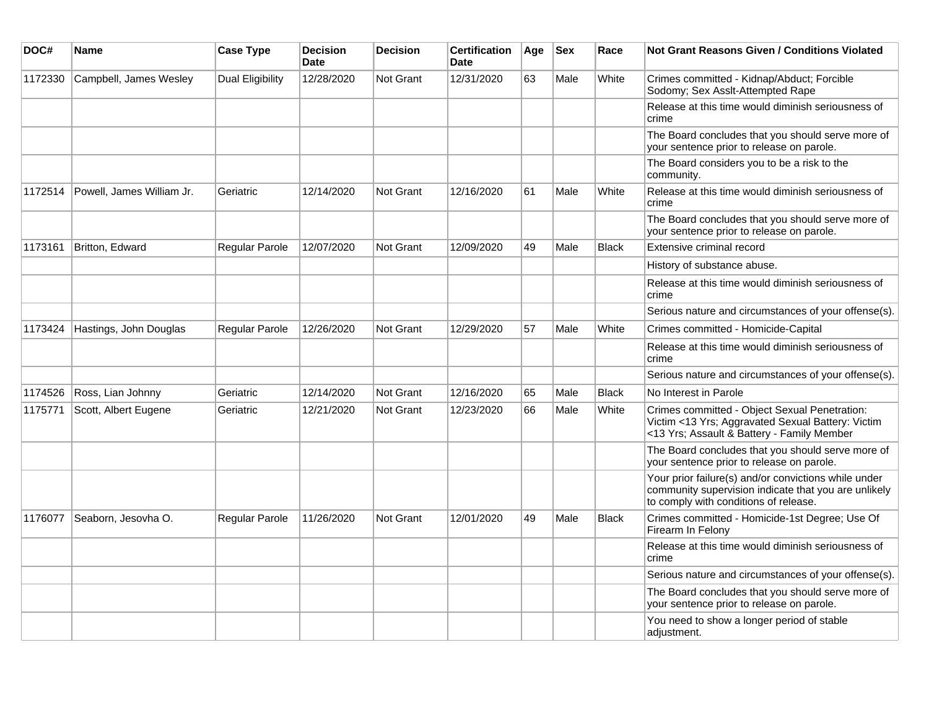| DOC#    | Name                      | <b>Case Type</b> | <b>Decision</b><br><b>Date</b> | <b>Decision</b>  | <b>Certification</b><br><b>Date</b> | Age | <b>Sex</b> | Race         | <b>Not Grant Reasons Given / Conditions Violated</b>                                                                                                  |
|---------|---------------------------|------------------|--------------------------------|------------------|-------------------------------------|-----|------------|--------------|-------------------------------------------------------------------------------------------------------------------------------------------------------|
| 1172330 | Campbell, James Wesley    | Dual Eligibility | 12/28/2020                     | <b>Not Grant</b> | 12/31/2020                          | 63  | Male       | White        | Crimes committed - Kidnap/Abduct; Forcible<br>Sodomy; Sex Asslt-Attempted Rape                                                                        |
|         |                           |                  |                                |                  |                                     |     |            |              | Release at this time would diminish seriousness of<br>crime                                                                                           |
|         |                           |                  |                                |                  |                                     |     |            |              | The Board concludes that you should serve more of<br>your sentence prior to release on parole.                                                        |
|         |                           |                  |                                |                  |                                     |     |            |              | The Board considers you to be a risk to the<br>community.                                                                                             |
| 1172514 | Powell, James William Jr. | Geriatric        | 12/14/2020                     | Not Grant        | 12/16/2020                          | 61  | Male       | White        | Release at this time would diminish seriousness of<br> crime                                                                                          |
|         |                           |                  |                                |                  |                                     |     |            |              | The Board concludes that you should serve more of<br>your sentence prior to release on parole.                                                        |
| 1173161 | Britton, Edward           | Regular Parole   | 12/07/2020                     | <b>Not Grant</b> | 12/09/2020                          | 49  | Male       | <b>Black</b> | Extensive criminal record                                                                                                                             |
|         |                           |                  |                                |                  |                                     |     |            |              | History of substance abuse.                                                                                                                           |
|         |                           |                  |                                |                  |                                     |     |            |              | Release at this time would diminish seriousness of<br>crime                                                                                           |
|         |                           |                  |                                |                  |                                     |     |            |              | Serious nature and circumstances of your offense(s).                                                                                                  |
| 1173424 | Hastings, John Douglas    | Regular Parole   | 12/26/2020                     | <b>Not Grant</b> | 12/29/2020                          | 57  | Male       | White        | Crimes committed - Homicide-Capital                                                                                                                   |
|         |                           |                  |                                |                  |                                     |     |            |              | Release at this time would diminish seriousness of<br>crime                                                                                           |
|         |                           |                  |                                |                  |                                     |     |            |              | Serious nature and circumstances of your offense(s).                                                                                                  |
| 1174526 | Ross, Lian Johnny         | Geriatric        | 12/14/2020                     | Not Grant        | 12/16/2020                          | 65  | Male       | <b>Black</b> | No Interest in Parole                                                                                                                                 |
| 1175771 | Scott, Albert Eugene      | Geriatric        | 12/21/2020                     | <b>Not Grant</b> | 12/23/2020                          | 66  | Male       | White        | Crimes committed - Object Sexual Penetration:<br>Victim <13 Yrs; Aggravated Sexual Battery: Victim<br><13 Yrs; Assault & Battery - Family Member      |
|         |                           |                  |                                |                  |                                     |     |            |              | The Board concludes that you should serve more of<br>your sentence prior to release on parole.                                                        |
|         |                           |                  |                                |                  |                                     |     |            |              | Your prior failure(s) and/or convictions while under<br>community supervision indicate that you are unlikely<br>to comply with conditions of release. |
| 1176077 | Seaborn, Jesovha O.       | Regular Parole   | 11/26/2020                     | <b>Not Grant</b> | 12/01/2020                          | 49  | Male       | <b>Black</b> | Crimes committed - Homicide-1st Degree; Use Of<br>Firearm In Felony                                                                                   |
|         |                           |                  |                                |                  |                                     |     |            |              | Release at this time would diminish seriousness of<br>crime                                                                                           |
|         |                           |                  |                                |                  |                                     |     |            |              | Serious nature and circumstances of your offense(s).                                                                                                  |
|         |                           |                  |                                |                  |                                     |     |            |              | The Board concludes that you should serve more of<br>your sentence prior to release on parole.                                                        |
|         |                           |                  |                                |                  |                                     |     |            |              | You need to show a longer period of stable<br>adjustment.                                                                                             |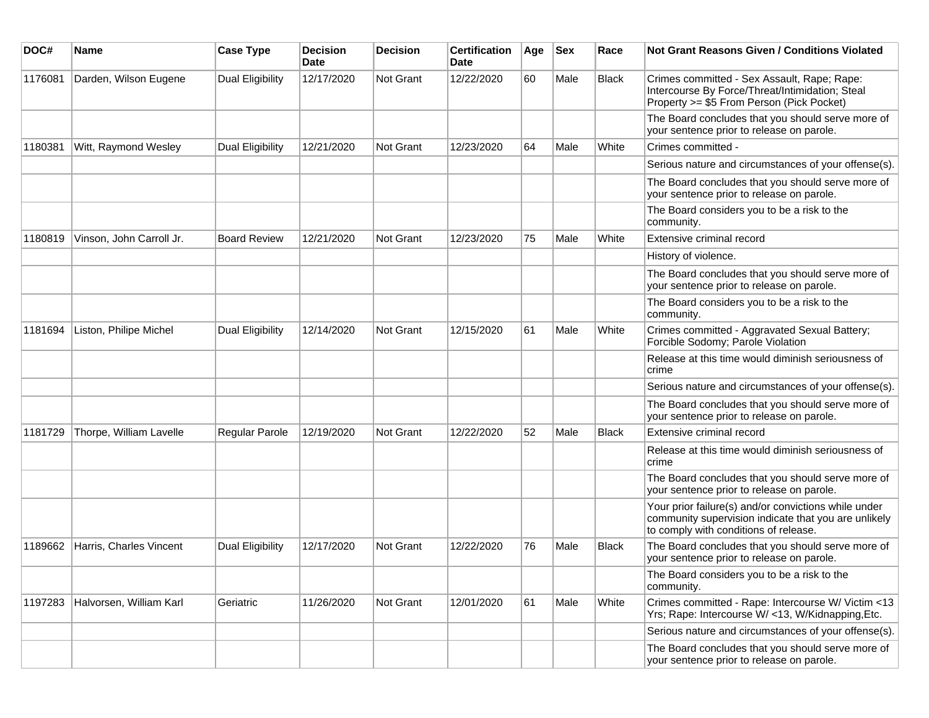| DOC#    | Name                     | <b>Case Type</b>        | <b>Decision</b><br><b>Date</b> | <b>Decision</b> | <b>Certification</b><br>Date | Age | <b>Sex</b> | Race         | <b>Not Grant Reasons Given / Conditions Violated</b>                                                                                                  |
|---------|--------------------------|-------------------------|--------------------------------|-----------------|------------------------------|-----|------------|--------------|-------------------------------------------------------------------------------------------------------------------------------------------------------|
| 1176081 | Darden, Wilson Eugene    | <b>Dual Eligibility</b> | 12/17/2020                     | Not Grant       | 12/22/2020                   | 60  | Male       | <b>Black</b> | Crimes committed - Sex Assault, Rape; Rape:<br>Intercourse By Force/Threat/Intimidation; Steal<br>Property >= \$5 From Person (Pick Pocket)           |
|         |                          |                         |                                |                 |                              |     |            |              | The Board concludes that you should serve more of<br>your sentence prior to release on parole.                                                        |
| 1180381 | Witt, Raymond Wesley     | <b>Dual Eligibility</b> | 12/21/2020                     | Not Grant       | 12/23/2020                   | 64  | Male       | White        | Crimes committed -                                                                                                                                    |
|         |                          |                         |                                |                 |                              |     |            |              | Serious nature and circumstances of your offense(s).                                                                                                  |
|         |                          |                         |                                |                 |                              |     |            |              | The Board concludes that you should serve more of<br>your sentence prior to release on parole.                                                        |
|         |                          |                         |                                |                 |                              |     |            |              | The Board considers you to be a risk to the<br>community.                                                                                             |
| 1180819 | Vinson, John Carroll Jr. | <b>Board Review</b>     | 12/21/2020                     | Not Grant       | 12/23/2020                   | 75  | Male       | White        | Extensive criminal record                                                                                                                             |
|         |                          |                         |                                |                 |                              |     |            |              | History of violence.                                                                                                                                  |
|         |                          |                         |                                |                 |                              |     |            |              | The Board concludes that you should serve more of<br>your sentence prior to release on parole.                                                        |
|         |                          |                         |                                |                 |                              |     |            |              | The Board considers you to be a risk to the<br>community.                                                                                             |
| 1181694 | Liston, Philipe Michel   | Dual Eligibility        | 12/14/2020                     | Not Grant       | 12/15/2020                   | 61  | Male       | White        | Crimes committed - Aggravated Sexual Battery;<br>Forcible Sodomy; Parole Violation                                                                    |
|         |                          |                         |                                |                 |                              |     |            |              | Release at this time would diminish seriousness of<br>crime                                                                                           |
|         |                          |                         |                                |                 |                              |     |            |              | Serious nature and circumstances of your offense(s).                                                                                                  |
|         |                          |                         |                                |                 |                              |     |            |              | The Board concludes that you should serve more of<br>your sentence prior to release on parole.                                                        |
| 1181729 | Thorpe, William Lavelle  | Regular Parole          | 12/19/2020                     | Not Grant       | 12/22/2020                   | 52  | Male       | <b>Black</b> | Extensive criminal record                                                                                                                             |
|         |                          |                         |                                |                 |                              |     |            |              | Release at this time would diminish seriousness of<br>crime                                                                                           |
|         |                          |                         |                                |                 |                              |     |            |              | The Board concludes that you should serve more of<br>your sentence prior to release on parole.                                                        |
|         |                          |                         |                                |                 |                              |     |            |              | Your prior failure(s) and/or convictions while under<br>community supervision indicate that you are unlikely<br>to comply with conditions of release. |
| 1189662 | Harris, Charles Vincent  | <b>Dual Eligibility</b> | 12/17/2020                     | Not Grant       | 12/22/2020                   | 76  | Male       | Black        | The Board concludes that you should serve more of<br>your sentence prior to release on parole.                                                        |
|         |                          |                         |                                |                 |                              |     |            |              | The Board considers you to be a risk to the<br>community.                                                                                             |
| 1197283 | Halvorsen, William Karl  | Geriatric               | 11/26/2020                     | Not Grant       | 12/01/2020                   | 61  | Male       | White        | Crimes committed - Rape: Intercourse W/ Victim <13<br>Yrs; Rape: Intercourse W/ <13, W/Kidnapping, Etc.                                               |
|         |                          |                         |                                |                 |                              |     |            |              | Serious nature and circumstances of your offense(s).                                                                                                  |
|         |                          |                         |                                |                 |                              |     |            |              | The Board concludes that you should serve more of<br>your sentence prior to release on parole.                                                        |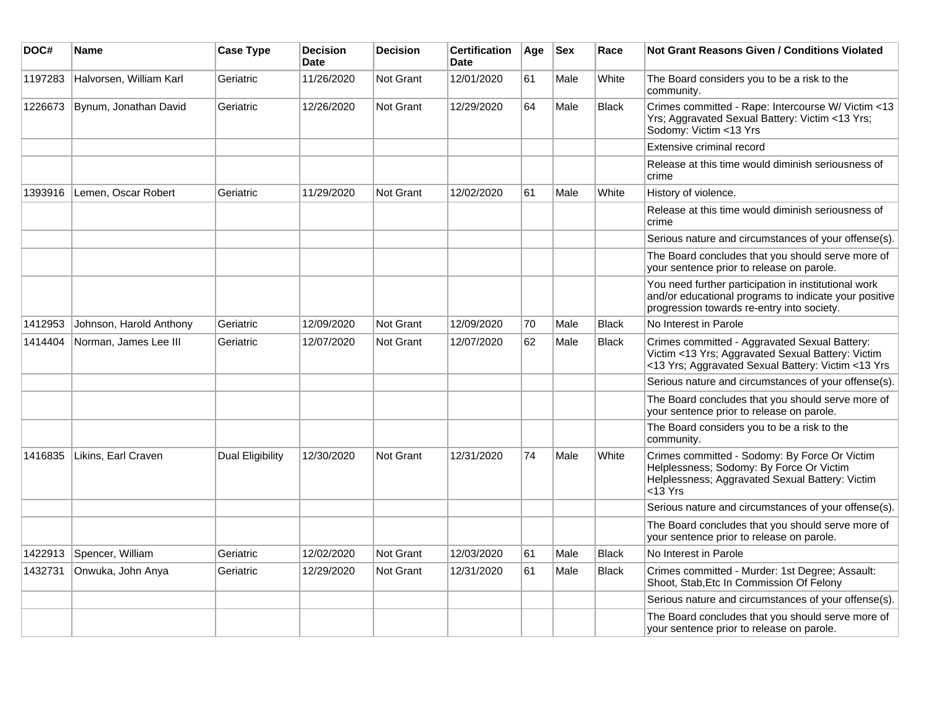| DOC#    | Name                    | <b>Case Type</b> | <b>Decision</b><br><b>Date</b> | <b>Decision</b>  | <b>Certification</b><br><b>Date</b> | Age | <b>Sex</b> | Race         | <b>Not Grant Reasons Given / Conditions Violated</b>                                                                                                        |
|---------|-------------------------|------------------|--------------------------------|------------------|-------------------------------------|-----|------------|--------------|-------------------------------------------------------------------------------------------------------------------------------------------------------------|
| 1197283 | Halvorsen, William Karl | Geriatric        | 11/26/2020                     | Not Grant        | 12/01/2020                          | 61  | Male       | White        | The Board considers you to be a risk to the<br>community.                                                                                                   |
| 1226673 | Bynum, Jonathan David   | Geriatric        | 12/26/2020                     | <b>Not Grant</b> | 12/29/2020                          | 64  | Male       | <b>Black</b> | Crimes committed - Rape: Intercourse W/ Victim <13<br>Yrs; Aggravated Sexual Battery: Victim <13 Yrs;<br>Sodomy: Victim <13 Yrs                             |
|         |                         |                  |                                |                  |                                     |     |            |              | Extensive criminal record                                                                                                                                   |
|         |                         |                  |                                |                  |                                     |     |            |              | Release at this time would diminish seriousness of<br>crime                                                                                                 |
| 1393916 | Lemen, Oscar Robert     | Geriatric        | 11/29/2020                     | Not Grant        | 12/02/2020                          | 61  | Male       | White        | History of violence.                                                                                                                                        |
|         |                         |                  |                                |                  |                                     |     |            |              | Release at this time would diminish seriousness of<br>crime                                                                                                 |
|         |                         |                  |                                |                  |                                     |     |            |              | Serious nature and circumstances of your offense(s).                                                                                                        |
|         |                         |                  |                                |                  |                                     |     |            |              | The Board concludes that you should serve more of<br>your sentence prior to release on parole.                                                              |
|         |                         |                  |                                |                  |                                     |     |            |              | You need further participation in institutional work<br>and/or educational programs to indicate your positive<br>progression towards re-entry into society. |
| 1412953 | Johnson, Harold Anthony | Geriatric        | 12/09/2020                     | <b>Not Grant</b> | 12/09/2020                          | 70  | Male       | <b>Black</b> | No Interest in Parole                                                                                                                                       |
| 1414404 | Norman, James Lee III   | Geriatric        | 12/07/2020                     | Not Grant        | 12/07/2020                          | 62  | Male       | <b>Black</b> | Crimes committed - Aggravated Sexual Battery:<br>Victim <13 Yrs; Aggravated Sexual Battery: Victim<br><13 Yrs; Aggravated Sexual Battery: Victim <13 Yrs    |
|         |                         |                  |                                |                  |                                     |     |            |              | Serious nature and circumstances of your offense(s).                                                                                                        |
|         |                         |                  |                                |                  |                                     |     |            |              | The Board concludes that you should serve more of<br>your sentence prior to release on parole.                                                              |
|         |                         |                  |                                |                  |                                     |     |            |              | The Board considers you to be a risk to the<br>community.                                                                                                   |
| 1416835 | Likins, Earl Craven     | Dual Eligibility | 12/30/2020                     | <b>Not Grant</b> | 12/31/2020                          | 74  | Male       | White        | Crimes committed - Sodomy: By Force Or Victim<br>Helplessness; Sodomy: By Force Or Victim<br>Helplessness; Aggravated Sexual Battery: Victim<br>$<$ 13 Yrs  |
|         |                         |                  |                                |                  |                                     |     |            |              | Serious nature and circumstances of your offense(s).                                                                                                        |
|         |                         |                  |                                |                  |                                     |     |            |              | The Board concludes that you should serve more of<br>your sentence prior to release on parole.                                                              |
| 1422913 | Spencer, William        | Geriatric        | 12/02/2020                     | <b>Not Grant</b> | 12/03/2020                          | 61  | Male       | Black        | No Interest in Parole                                                                                                                                       |
| 1432731 | Onwuka, John Anya       | Geriatric        | 12/29/2020                     | <b>Not Grant</b> | 12/31/2020                          | 61  | Male       | Black        | Crimes committed - Murder: 1st Degree; Assault:<br>Shoot, Stab, Etc In Commission Of Felony                                                                 |
|         |                         |                  |                                |                  |                                     |     |            |              | Serious nature and circumstances of your offense(s).                                                                                                        |
|         |                         |                  |                                |                  |                                     |     |            |              | The Board concludes that you should serve more of<br>your sentence prior to release on parole.                                                              |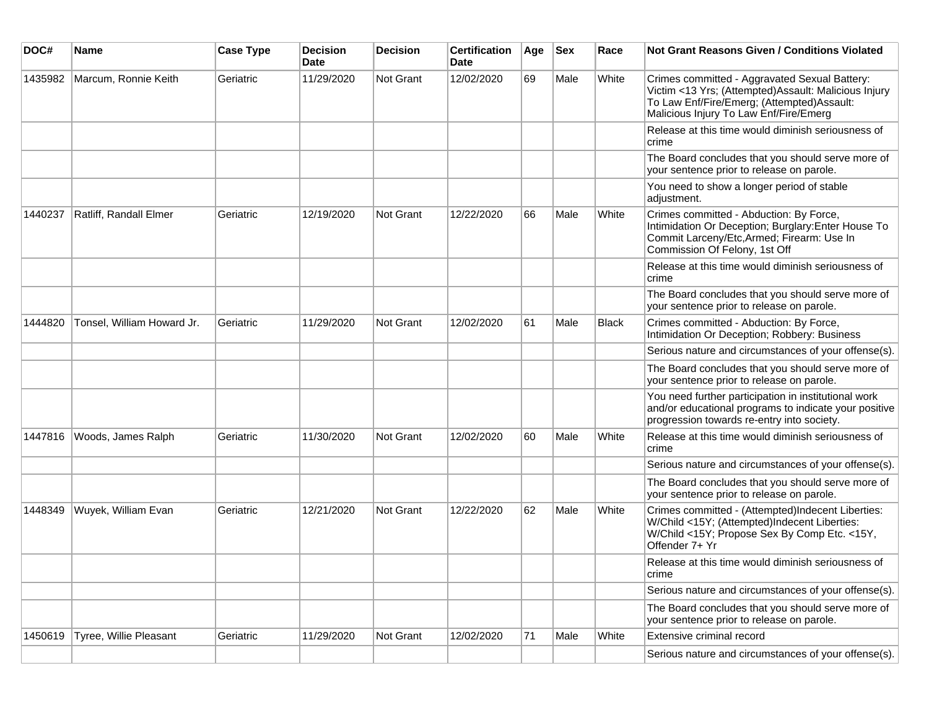| DOC#    | <b>Name</b>                | <b>Case Type</b> | <b>Decision</b><br><b>Date</b> | <b>Decision</b> | <b>Certification</b><br>Date | Age | <b>Sex</b> | Race  | <b>Not Grant Reasons Given / Conditions Violated</b>                                                                                                                                          |
|---------|----------------------------|------------------|--------------------------------|-----------------|------------------------------|-----|------------|-------|-----------------------------------------------------------------------------------------------------------------------------------------------------------------------------------------------|
| 1435982 | Marcum, Ronnie Keith       | Geriatric        | 11/29/2020                     | Not Grant       | 12/02/2020                   | 69  | Male       | White | Crimes committed - Aggravated Sexual Battery:<br>Victim <13 Yrs; (Attempted)Assault: Malicious Injury<br>To Law Enf/Fire/Emerg; (Attempted)Assault:<br>Malicious Injury To Law Enf/Fire/Emerg |
|         |                            |                  |                                |                 |                              |     |            |       | Release at this time would diminish seriousness of<br>crime                                                                                                                                   |
|         |                            |                  |                                |                 |                              |     |            |       | The Board concludes that you should serve more of<br>your sentence prior to release on parole.                                                                                                |
|         |                            |                  |                                |                 |                              |     |            |       | You need to show a longer period of stable<br>adjustment.                                                                                                                                     |
| 1440237 | Ratliff, Randall Elmer     | Geriatric        | 12/19/2020                     | Not Grant       | 12/22/2020                   | 66  | Male       | White | Crimes committed - Abduction: By Force,<br>Intimidation Or Deception; Burglary: Enter House To<br>Commit Larceny/Etc, Armed; Firearm: Use In<br>Commission Of Felony, 1st Off                 |
|         |                            |                  |                                |                 |                              |     |            |       | Release at this time would diminish seriousness of<br>crime                                                                                                                                   |
|         |                            |                  |                                |                 |                              |     |            |       | The Board concludes that you should serve more of<br>your sentence prior to release on parole.                                                                                                |
| 1444820 | Tonsel, William Howard Jr. | Geriatric        | 11/29/2020                     | Not Grant       | 12/02/2020                   | 61  | Male       | Black | Crimes committed - Abduction: By Force,<br>Intimidation Or Deception; Robbery: Business                                                                                                       |
|         |                            |                  |                                |                 |                              |     |            |       | Serious nature and circumstances of your offense(s).                                                                                                                                          |
|         |                            |                  |                                |                 |                              |     |            |       | The Board concludes that you should serve more of<br>your sentence prior to release on parole.                                                                                                |
|         |                            |                  |                                |                 |                              |     |            |       | You need further participation in institutional work<br>and/or educational programs to indicate your positive<br>progression towards re-entry into society.                                   |
| 1447816 | Woods, James Ralph         | Geriatric        | 11/30/2020                     | Not Grant       | 12/02/2020                   | 60  | Male       | White | Release at this time would diminish seriousness of<br>crime                                                                                                                                   |
|         |                            |                  |                                |                 |                              |     |            |       | Serious nature and circumstances of your offense(s).                                                                                                                                          |
|         |                            |                  |                                |                 |                              |     |            |       | The Board concludes that you should serve more of<br>your sentence prior to release on parole.                                                                                                |
| 1448349 | Wuyek, William Evan        | Geriatric        | 12/21/2020                     | Not Grant       | 12/22/2020                   | 62  | Male       | White | Crimes committed - (Attempted)Indecent Liberties:<br>W/Child <15Y; (Attempted)Indecent Liberties:<br>W/Child <15Y; Propose Sex By Comp Etc. <15Y,<br>Offender 7+ Yr                           |
|         |                            |                  |                                |                 |                              |     |            |       | Release at this time would diminish seriousness of<br>crime                                                                                                                                   |
|         |                            |                  |                                |                 |                              |     |            |       | Serious nature and circumstances of your offense(s).                                                                                                                                          |
|         |                            |                  |                                |                 |                              |     |            |       | The Board concludes that you should serve more of<br>your sentence prior to release on parole.                                                                                                |
| 1450619 | Tyree, Willie Pleasant     | Geriatric        | 11/29/2020                     | Not Grant       | 12/02/2020                   | 71  | Male       | White | Extensive criminal record                                                                                                                                                                     |
|         |                            |                  |                                |                 |                              |     |            |       | Serious nature and circumstances of your offense(s).                                                                                                                                          |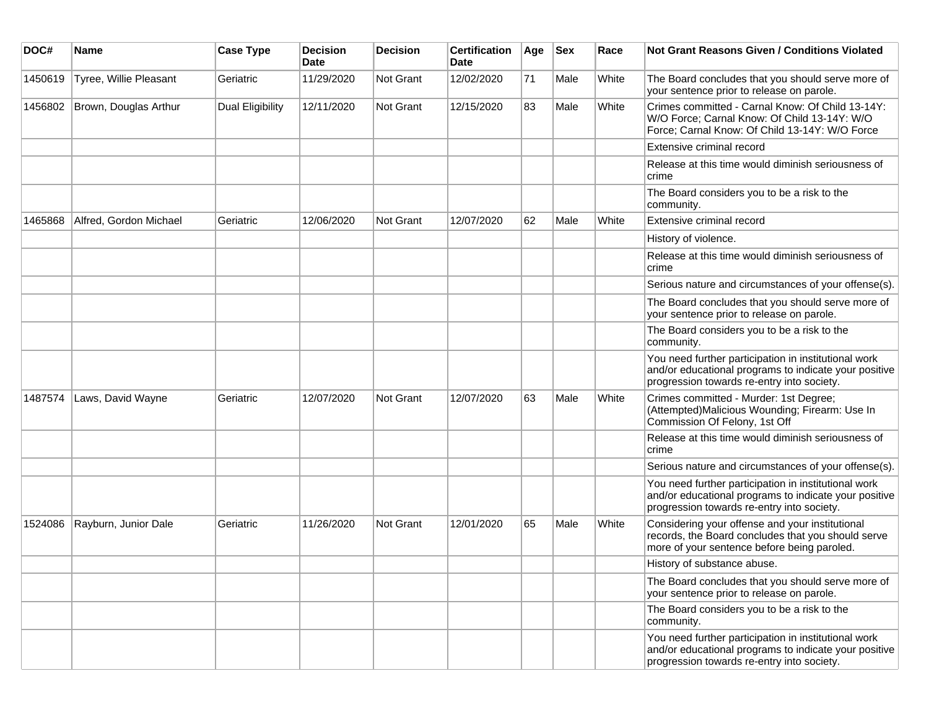| DOC#    | <b>Name</b>            | <b>Case Type</b> | Decision<br><b>Date</b> | <b>Decision</b>  | <b>Certification</b><br>Date | Age | <b>Sex</b> | Race  | <b>Not Grant Reasons Given / Conditions Violated</b>                                                                                                        |
|---------|------------------------|------------------|-------------------------|------------------|------------------------------|-----|------------|-------|-------------------------------------------------------------------------------------------------------------------------------------------------------------|
| 1450619 | Tyree, Willie Pleasant | Geriatric        | 11/29/2020              | <b>Not Grant</b> | 12/02/2020                   | 71  | Male       | White | The Board concludes that you should serve more of<br>your sentence prior to release on parole.                                                              |
| 1456802 | Brown, Douglas Arthur  | Dual Eligibility | 12/11/2020              | Not Grant        | 12/15/2020                   | 83  | Male       | White | Crimes committed - Carnal Know: Of Child 13-14Y:<br>W/O Force; Carnal Know: Of Child 13-14Y: W/O<br>Force; Carnal Know: Of Child 13-14Y: W/O Force          |
|         |                        |                  |                         |                  |                              |     |            |       | Extensive criminal record                                                                                                                                   |
|         |                        |                  |                         |                  |                              |     |            |       | Release at this time would diminish seriousness of<br>crime                                                                                                 |
|         |                        |                  |                         |                  |                              |     |            |       | The Board considers you to be a risk to the<br>community.                                                                                                   |
| 1465868 | Alfred, Gordon Michael | Geriatric        | 12/06/2020              | <b>Not Grant</b> | 12/07/2020                   | 62  | Male       | White | Extensive criminal record                                                                                                                                   |
|         |                        |                  |                         |                  |                              |     |            |       | History of violence.                                                                                                                                        |
|         |                        |                  |                         |                  |                              |     |            |       | Release at this time would diminish seriousness of<br>crime                                                                                                 |
|         |                        |                  |                         |                  |                              |     |            |       | Serious nature and circumstances of your offense(s).                                                                                                        |
|         |                        |                  |                         |                  |                              |     |            |       | The Board concludes that you should serve more of<br>your sentence prior to release on parole.                                                              |
|         |                        |                  |                         |                  |                              |     |            |       | The Board considers you to be a risk to the<br>community.                                                                                                   |
|         |                        |                  |                         |                  |                              |     |            |       | You need further participation in institutional work<br>and/or educational programs to indicate your positive<br>progression towards re-entry into society. |
| 1487574 | Laws, David Wayne      | Geriatric        | 12/07/2020              | <b>Not Grant</b> | 12/07/2020                   | 63  | Male       | White | Crimes committed - Murder: 1st Degree;<br>(Attempted)Malicious Wounding; Firearm: Use In<br>Commission Of Felony, 1st Off                                   |
|         |                        |                  |                         |                  |                              |     |            |       | Release at this time would diminish seriousness of<br>crime                                                                                                 |
|         |                        |                  |                         |                  |                              |     |            |       | Serious nature and circumstances of your offense(s).                                                                                                        |
|         |                        |                  |                         |                  |                              |     |            |       | You need further participation in institutional work<br>and/or educational programs to indicate your positive<br>progression towards re-entry into society. |
| 1524086 | Rayburn, Junior Dale   | Geriatric        | 11/26/2020              | <b>Not Grant</b> | 12/01/2020                   | 65  | Male       | White | Considering your offense and your institutional<br>records, the Board concludes that you should serve<br>more of your sentence before being paroled.        |
|         |                        |                  |                         |                  |                              |     |            |       | History of substance abuse.                                                                                                                                 |
|         |                        |                  |                         |                  |                              |     |            |       | The Board concludes that you should serve more of<br>your sentence prior to release on parole.                                                              |
|         |                        |                  |                         |                  |                              |     |            |       | The Board considers you to be a risk to the<br>community.                                                                                                   |
|         |                        |                  |                         |                  |                              |     |            |       | You need further participation in institutional work<br>and/or educational programs to indicate your positive<br>progression towards re-entry into society. |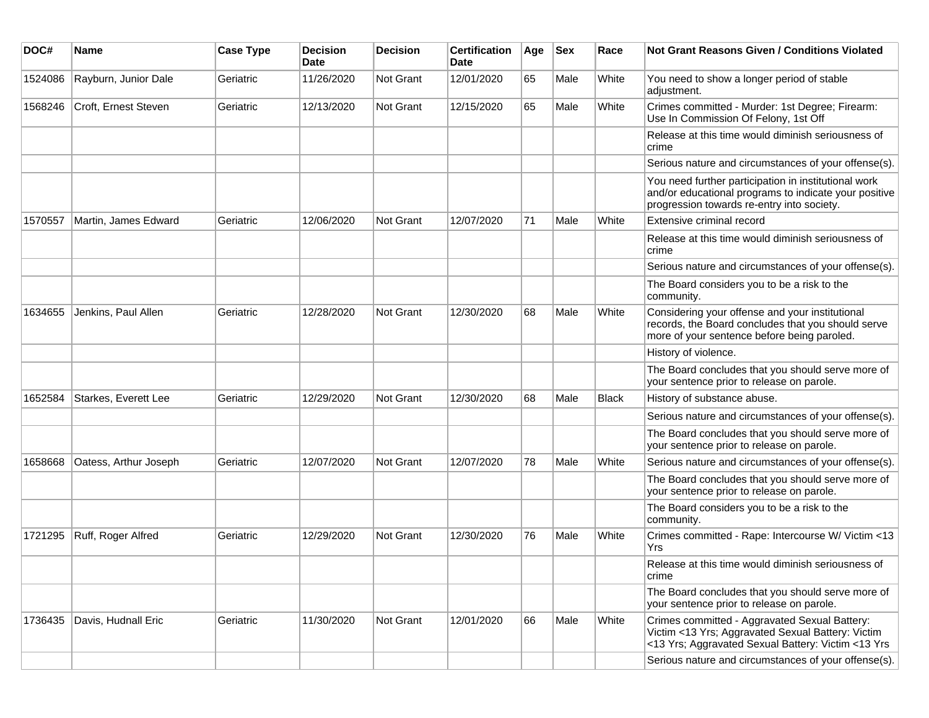| DOC#    | <b>Name</b>           | <b>Case Type</b> | <b>Decision</b><br><b>Date</b> | <b>Decision</b>  | <b>Certification</b><br>Date | Age | <b>Sex</b> | Race  | <b>Not Grant Reasons Given / Conditions Violated</b>                                                                                                        |
|---------|-----------------------|------------------|--------------------------------|------------------|------------------------------|-----|------------|-------|-------------------------------------------------------------------------------------------------------------------------------------------------------------|
| 1524086 | Rayburn, Junior Dale  | Geriatric        | 11/26/2020                     | <b>Not Grant</b> | 12/01/2020                   | 65  | Male       | White | You need to show a longer period of stable<br>adjustment.                                                                                                   |
| 1568246 | Croft, Ernest Steven  | Geriatric        | 12/13/2020                     | Not Grant        | 12/15/2020                   | 65  | Male       | White | Crimes committed - Murder: 1st Degree; Firearm:<br>Use In Commission Of Felony, 1st Off                                                                     |
|         |                       |                  |                                |                  |                              |     |            |       | Release at this time would diminish seriousness of<br>crime                                                                                                 |
|         |                       |                  |                                |                  |                              |     |            |       | Serious nature and circumstances of your offense(s).                                                                                                        |
|         |                       |                  |                                |                  |                              |     |            |       | You need further participation in institutional work<br>and/or educational programs to indicate your positive<br>progression towards re-entry into society. |
| 1570557 | Martin, James Edward  | Geriatric        | 12/06/2020                     | <b>Not Grant</b> | 12/07/2020                   | 71  | Male       | White | Extensive criminal record                                                                                                                                   |
|         |                       |                  |                                |                  |                              |     |            |       | Release at this time would diminish seriousness of<br>crime                                                                                                 |
|         |                       |                  |                                |                  |                              |     |            |       | Serious nature and circumstances of your offense(s).                                                                                                        |
|         |                       |                  |                                |                  |                              |     |            |       | The Board considers you to be a risk to the<br>community.                                                                                                   |
| 1634655 | Jenkins, Paul Allen   | Geriatric        | 12/28/2020                     | <b>Not Grant</b> | 12/30/2020                   | 68  | Male       | White | Considering your offense and your institutional<br>records, the Board concludes that you should serve<br>more of your sentence before being paroled.        |
|         |                       |                  |                                |                  |                              |     |            |       | History of violence.                                                                                                                                        |
|         |                       |                  |                                |                  |                              |     |            |       | The Board concludes that you should serve more of<br>your sentence prior to release on parole.                                                              |
| 1652584 | Starkes, Everett Lee  | Geriatric        | 12/29/2020                     | <b>Not Grant</b> | 12/30/2020                   | 68  | Male       | Black | History of substance abuse.                                                                                                                                 |
|         |                       |                  |                                |                  |                              |     |            |       | Serious nature and circumstances of your offense(s).                                                                                                        |
|         |                       |                  |                                |                  |                              |     |            |       | The Board concludes that you should serve more of<br>your sentence prior to release on parole.                                                              |
| 1658668 | Oatess, Arthur Joseph | Geriatric        | 12/07/2020                     | <b>Not Grant</b> | 12/07/2020                   | 78  | Male       | White | Serious nature and circumstances of your offense(s).                                                                                                        |
|         |                       |                  |                                |                  |                              |     |            |       | The Board concludes that you should serve more of<br>your sentence prior to release on parole.                                                              |
|         |                       |                  |                                |                  |                              |     |            |       | The Board considers you to be a risk to the<br>community.                                                                                                   |
| 1721295 | Ruff, Roger Alfred    | Geriatric        | 12/29/2020                     | <b>Not Grant</b> | 12/30/2020                   | 76  | Male       | White | Crimes committed - Rape: Intercourse W/ Victim <13<br>Yrs                                                                                                   |
|         |                       |                  |                                |                  |                              |     |            |       | Release at this time would diminish seriousness of<br>crime                                                                                                 |
|         |                       |                  |                                |                  |                              |     |            |       | The Board concludes that you should serve more of<br>your sentence prior to release on parole.                                                              |
| 1736435 | Davis, Hudnall Eric   | Geriatric        | 11/30/2020                     | Not Grant        | 12/01/2020                   | 66  | Male       | White | Crimes committed - Aggravated Sexual Battery:<br>Victim <13 Yrs; Aggravated Sexual Battery: Victim<br><13 Yrs; Aggravated Sexual Battery: Victim <13 Yrs    |
|         |                       |                  |                                |                  |                              |     |            |       | Serious nature and circumstances of your offense(s).                                                                                                        |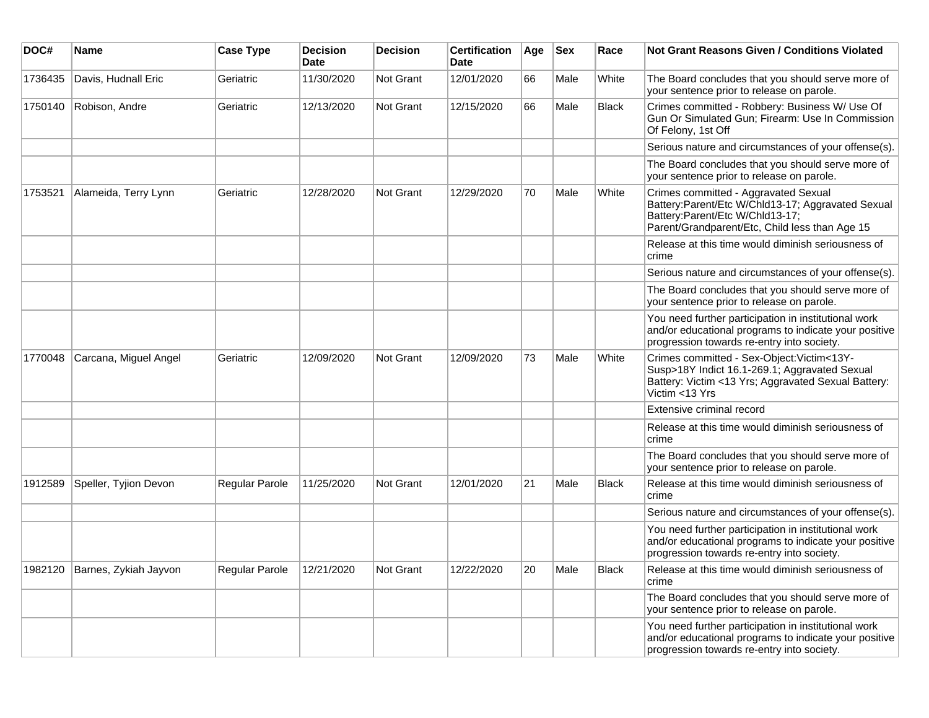| DOC#    | <b>Name</b>           | <b>Case Type</b> | <b>Decision</b><br><b>Date</b> | <b>Decision</b> | <b>Certification</b><br>Date | Age | <b>Sex</b> | Race         | <b>Not Grant Reasons Given / Conditions Violated</b>                                                                                                                           |
|---------|-----------------------|------------------|--------------------------------|-----------------|------------------------------|-----|------------|--------------|--------------------------------------------------------------------------------------------------------------------------------------------------------------------------------|
| 1736435 | Davis, Hudnall Eric   | Geriatric        | 11/30/2020                     | Not Grant       | 12/01/2020                   | 66  | Male       | White        | The Board concludes that you should serve more of<br>your sentence prior to release on parole.                                                                                 |
| 1750140 | Robison, Andre        | Geriatric        | 12/13/2020                     | Not Grant       | 12/15/2020                   | 66  | Male       | <b>Black</b> | Crimes committed - Robbery: Business W/ Use Of<br>Gun Or Simulated Gun; Firearm: Use In Commission<br>Of Felony, 1st Off                                                       |
|         |                       |                  |                                |                 |                              |     |            |              | Serious nature and circumstances of your offense(s).                                                                                                                           |
|         |                       |                  |                                |                 |                              |     |            |              | The Board concludes that you should serve more of<br>your sentence prior to release on parole.                                                                                 |
| 1753521 | Alameida, Terry Lynn  | Geriatric        | 12/28/2020                     | Not Grant       | 12/29/2020                   | 70  | Male       | White        | Crimes committed - Aggravated Sexual<br>Battery:Parent/Etc W/Chld13-17; Aggravated Sexual<br>Battery:Parent/Etc W/Chld13-17;<br>Parent/Grandparent/Etc, Child less than Age 15 |
|         |                       |                  |                                |                 |                              |     |            |              | Release at this time would diminish seriousness of<br>crime                                                                                                                    |
|         |                       |                  |                                |                 |                              |     |            |              | Serious nature and circumstances of your offense(s).                                                                                                                           |
|         |                       |                  |                                |                 |                              |     |            |              | The Board concludes that you should serve more of<br>your sentence prior to release on parole.                                                                                 |
|         |                       |                  |                                |                 |                              |     |            |              | You need further participation in institutional work<br>and/or educational programs to indicate your positive<br>progression towards re-entry into society.                    |
| 1770048 | Carcana, Miguel Angel | Geriatric        | 12/09/2020                     | Not Grant       | 12/09/2020                   | 73  | Male       | White        | Crimes committed - Sex-Object: Victim<13Y-<br>Susp>18Y Indict 16.1-269.1; Aggravated Sexual<br>Battery: Victim <13 Yrs; Aggravated Sexual Battery:<br>Victim <13 Yrs           |
|         |                       |                  |                                |                 |                              |     |            |              | Extensive criminal record                                                                                                                                                      |
|         |                       |                  |                                |                 |                              |     |            |              | Release at this time would diminish seriousness of<br>crime                                                                                                                    |
|         |                       |                  |                                |                 |                              |     |            |              | The Board concludes that you should serve more of<br>your sentence prior to release on parole.                                                                                 |
| 1912589 | Speller, Tyjion Devon | Regular Parole   | 11/25/2020                     | Not Grant       | 12/01/2020                   | 21  | Male       | <b>Black</b> | Release at this time would diminish seriousness of<br>crime                                                                                                                    |
|         |                       |                  |                                |                 |                              |     |            |              | Serious nature and circumstances of your offense(s).                                                                                                                           |
|         |                       |                  |                                |                 |                              |     |            |              | You need further participation in institutional work<br>and/or educational programs to indicate your positive<br>progression towards re-entry into society.                    |
| 1982120 | Barnes, Zykiah Jayvon | Regular Parole   | 12/21/2020                     | Not Grant       | 12/22/2020                   | 20  | Male       | <b>Black</b> | Release at this time would diminish seriousness of<br>crime                                                                                                                    |
|         |                       |                  |                                |                 |                              |     |            |              | The Board concludes that you should serve more of<br>your sentence prior to release on parole.                                                                                 |
|         |                       |                  |                                |                 |                              |     |            |              | You need further participation in institutional work<br>and/or educational programs to indicate your positive<br>progression towards re-entry into society.                    |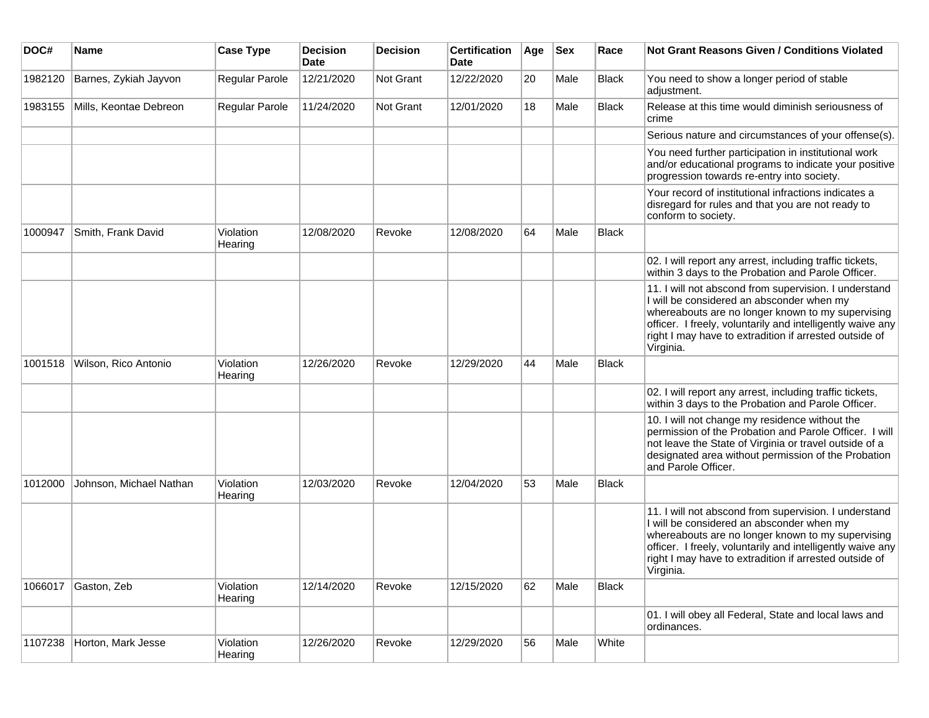| DOC#    | Name                    | <b>Case Type</b>     | <b>Decision</b><br><b>Date</b> | <b>Decision</b> | <b>Certification</b><br>Date | Age | <b>Sex</b> | Race         | <b>Not Grant Reasons Given / Conditions Violated</b>                                                                                                                                                                                                                                         |
|---------|-------------------------|----------------------|--------------------------------|-----------------|------------------------------|-----|------------|--------------|----------------------------------------------------------------------------------------------------------------------------------------------------------------------------------------------------------------------------------------------------------------------------------------------|
| 1982120 | Barnes, Zykiah Jayvon   | Regular Parole       | 12/21/2020                     | Not Grant       | 12/22/2020                   | 20  | Male       | Black        | You need to show a longer period of stable<br>adjustment.                                                                                                                                                                                                                                    |
| 1983155 | Mills, Keontae Debreon  | Regular Parole       | 11/24/2020                     | Not Grant       | 12/01/2020                   | 18  | Male       | Black        | Release at this time would diminish seriousness of<br>crime                                                                                                                                                                                                                                  |
|         |                         |                      |                                |                 |                              |     |            |              | Serious nature and circumstances of your offense(s).                                                                                                                                                                                                                                         |
|         |                         |                      |                                |                 |                              |     |            |              | You need further participation in institutional work<br>and/or educational programs to indicate your positive<br>progression towards re-entry into society.                                                                                                                                  |
|         |                         |                      |                                |                 |                              |     |            |              | Your record of institutional infractions indicates a<br>disregard for rules and that you are not ready to<br>conform to society.                                                                                                                                                             |
| 1000947 | Smith, Frank David      | Violation<br>Hearing | 12/08/2020                     | Revoke          | 12/08/2020                   | 64  | Male       | Black        |                                                                                                                                                                                                                                                                                              |
|         |                         |                      |                                |                 |                              |     |            |              | 02. I will report any arrest, including traffic tickets,<br>within 3 days to the Probation and Parole Officer.                                                                                                                                                                               |
|         |                         |                      |                                |                 |                              |     |            |              | 11. I will not abscond from supervision. I understand<br>I will be considered an absconder when my<br>whereabouts are no longer known to my supervising<br>officer. I freely, voluntarily and intelligently waive any<br>right I may have to extradition if arrested outside of<br>Virginia. |
| 1001518 | Wilson, Rico Antonio    | Violation<br>Hearing | 12/26/2020                     | Revoke          | 12/29/2020                   | 44  | Male       | Black        |                                                                                                                                                                                                                                                                                              |
|         |                         |                      |                                |                 |                              |     |            |              | 02. I will report any arrest, including traffic tickets,<br>within 3 days to the Probation and Parole Officer.                                                                                                                                                                               |
|         |                         |                      |                                |                 |                              |     |            |              | 10. I will not change my residence without the<br>permission of the Probation and Parole Officer. I will<br>not leave the State of Virginia or travel outside of a<br>designated area without permission of the Probation<br>and Parole Officer.                                             |
| 1012000 | Johnson, Michael Nathan | Violation<br>Hearing | 12/03/2020                     | Revoke          | 12/04/2020                   | 53  | Male       | Black        |                                                                                                                                                                                                                                                                                              |
|         |                         |                      |                                |                 |                              |     |            |              | 11. I will not abscond from supervision. I understand<br>I will be considered an absconder when my<br>whereabouts are no longer known to my supervising<br>officer. I freely, voluntarily and intelligently waive any<br>right I may have to extradition if arrested outside of<br>Virginia. |
| 1066017 | Gaston, Zeb             | Violation<br>Hearing | 12/14/2020                     | Revoke          | 12/15/2020                   | 62  | Male       | <b>Black</b> |                                                                                                                                                                                                                                                                                              |
|         |                         |                      |                                |                 |                              |     |            |              | 01. I will obey all Federal, State and local laws and<br>ordinances.                                                                                                                                                                                                                         |
| 1107238 | Horton, Mark Jesse      | Violation<br>Hearing | 12/26/2020                     | Revoke          | 12/29/2020                   | 56  | Male       | White        |                                                                                                                                                                                                                                                                                              |